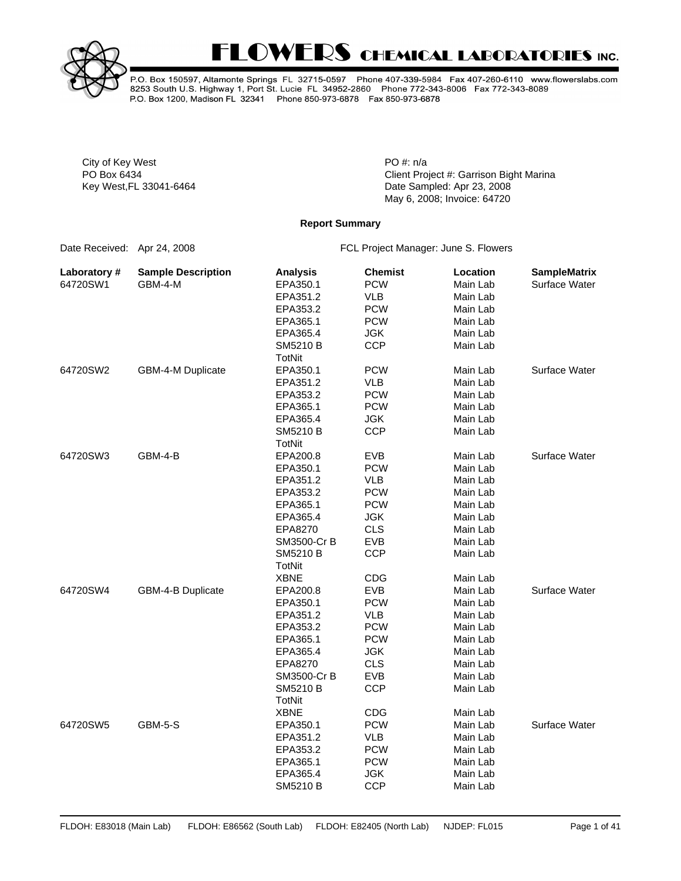



P.O. Box 150597, Altamonte Springs FL 32715-0597 Phone 407-339-5984 Fax 407-260-6110 www.flowerslabs.com<br>8253 South U.S. Highway 1, Port St. Lucie FL 34952-2860 Phone 772-343-8006 Fax 772-343-8089 P.O. Box 1200, Madison FL 32341 Phone 850-973-6878 Fax 850-973-6878

City of Key West **PO** #: n/a

PO Box 6434 **PO Box 6434** Client Project #: Garrison Bight Marina Key West,FL 33041-6464 **Date Sampled: Apr 23, 2008** May 6, 2008; Invoice: 64720

#### **Report Summary**

Date Received: Apr 24, 2008 FCL Project Manager: June S. Flowers

| Laboratory# | <b>Sample Description</b> | <b>Analysis</b> | <b>Chemist</b> | Location | <b>SampleMatrix</b> |
|-------------|---------------------------|-----------------|----------------|----------|---------------------|
| 64720SW1    | GBM-4-M                   | EPA350.1        | <b>PCW</b>     | Main Lab | Surface Water       |
|             |                           | EPA351.2        | <b>VLB</b>     | Main Lab |                     |
|             |                           | EPA353.2        | <b>PCW</b>     | Main Lab |                     |
|             |                           | EPA365.1        | <b>PCW</b>     | Main Lab |                     |
|             |                           | EPA365.4        | <b>JGK</b>     | Main Lab |                     |
|             |                           | SM5210 B        | <b>CCP</b>     | Main Lab |                     |
|             |                           | TotNit          |                |          |                     |
| 64720SW2    | <b>GBM-4-M Duplicate</b>  | EPA350.1        | <b>PCW</b>     | Main Lab | Surface Water       |
|             |                           | EPA351.2        | VLB            | Main Lab |                     |
|             |                           | EPA353.2        | <b>PCW</b>     | Main Lab |                     |
|             |                           | EPA365.1        | <b>PCW</b>     | Main Lab |                     |
|             |                           | EPA365.4        | <b>JGK</b>     | Main Lab |                     |
|             |                           | SM5210 B        | <b>CCP</b>     | Main Lab |                     |
|             |                           | <b>TotNit</b>   |                |          |                     |
| 64720SW3    | GBM-4-B                   | EPA200.8        | <b>EVB</b>     | Main Lab | Surface Water       |
|             |                           | EPA350.1        | <b>PCW</b>     | Main Lab |                     |
|             |                           | EPA351.2        | VLB            | Main Lab |                     |
|             |                           | EPA353.2        | <b>PCW</b>     | Main Lab |                     |
|             |                           | EPA365.1        | <b>PCW</b>     | Main Lab |                     |
|             |                           | EPA365.4        | <b>JGK</b>     | Main Lab |                     |
|             |                           | EPA8270         | <b>CLS</b>     | Main Lab |                     |
|             |                           | SM3500-Cr B     | <b>EVB</b>     | Main Lab |                     |
|             |                           | SM5210 B        | <b>CCP</b>     | Main Lab |                     |
|             |                           | TotNit          |                |          |                     |
|             |                           | <b>XBNE</b>     | CDG            | Main Lab |                     |
| 64720SW4    | GBM-4-B Duplicate         | EPA200.8        | <b>EVB</b>     | Main Lab | Surface Water       |
|             |                           | EPA350.1        | <b>PCW</b>     | Main Lab |                     |
|             |                           | EPA351.2        | VLB            | Main Lab |                     |
|             |                           | EPA353.2        | <b>PCW</b>     | Main Lab |                     |
|             |                           | EPA365.1        | <b>PCW</b>     | Main Lab |                     |
|             |                           | EPA365.4        | <b>JGK</b>     | Main Lab |                     |
|             |                           | EPA8270         | <b>CLS</b>     | Main Lab |                     |
|             |                           | SM3500-Cr B     | <b>EVB</b>     | Main Lab |                     |
|             |                           | SM5210 B        | <b>CCP</b>     | Main Lab |                     |
|             |                           | TotNit          |                |          |                     |
|             |                           | <b>XBNE</b>     | <b>CDG</b>     | Main Lab |                     |
| 64720SW5    | GBM-5-S                   | EPA350.1        | <b>PCW</b>     | Main Lab | Surface Water       |
|             |                           | EPA351.2        | VLB            | Main Lab |                     |
|             |                           | EPA353.2        | <b>PCW</b>     | Main Lab |                     |
|             |                           | EPA365.1        | <b>PCW</b>     | Main Lab |                     |
|             |                           | EPA365.4        | <b>JGK</b>     | Main Lab |                     |
|             |                           | SM5210 B        | <b>CCP</b>     | Main Lab |                     |
|             |                           |                 |                |          |                     |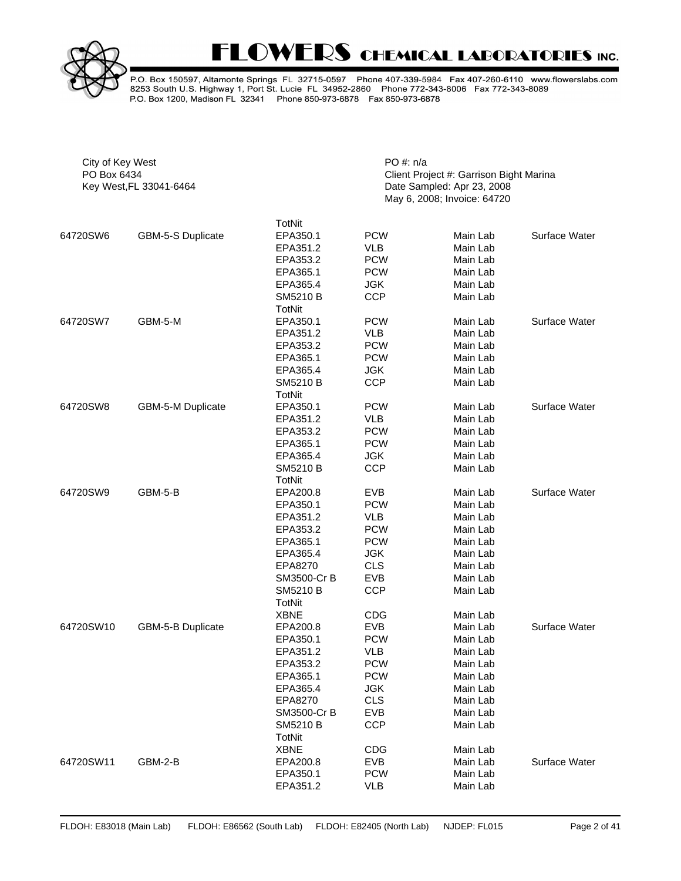



| City of Key West<br>PO Box 6434 | Key West, FL 33041-6464 |                                            | $PO \#: n/a$                    | Client Project #: Garrison Bight Marina<br>Date Sampled: Apr 23, 2008 |               |
|---------------------------------|-------------------------|--------------------------------------------|---------------------------------|-----------------------------------------------------------------------|---------------|
| 64720SW6                        | GBM-5-S Duplicate       | TotNit<br>EPA350.1<br>EPA351.2<br>EPA353.2 | <b>PCW</b><br>VLB<br><b>PCW</b> | May 6, 2008; Invoice: 64720<br>Main Lab<br>Main Lab<br>Main Lab       | Surface Water |

|           |                   | EPA365.1        | <b>PCW</b> | Main Lab |               |
|-----------|-------------------|-----------------|------------|----------|---------------|
|           |                   | EPA365.4        | <b>JGK</b> | Main Lab |               |
|           |                   | <b>SM5210 B</b> | <b>CCP</b> | Main Lab |               |
|           |                   | TotNit          |            |          |               |
| 64720SW7  | GBM-5-M           | EPA350.1        | <b>PCW</b> | Main Lab | Surface Water |
|           |                   | EPA351.2        | <b>VLB</b> | Main Lab |               |
|           |                   | EPA353.2        | <b>PCW</b> | Main Lab |               |
|           |                   | EPA365.1        | <b>PCW</b> | Main Lab |               |
|           |                   | EPA365.4        | <b>JGK</b> | Main Lab |               |
|           |                   | <b>SM5210 B</b> | <b>CCP</b> | Main Lab |               |
|           |                   | TotNit          |            |          |               |
| 64720SW8  | GBM-5-M Duplicate | EPA350.1        | <b>PCW</b> | Main Lab | Surface Water |
|           |                   | EPA351.2        | <b>VLB</b> | Main Lab |               |
|           |                   | EPA353.2        | <b>PCW</b> | Main Lab |               |
|           |                   | EPA365.1        | <b>PCW</b> | Main Lab |               |
|           |                   | EPA365.4        | <b>JGK</b> | Main Lab |               |
|           |                   | <b>SM5210 B</b> | <b>CCP</b> | Main Lab |               |
|           |                   | <b>TotNit</b>   |            |          |               |
| 64720SW9  | GBM-5-B           | EPA200.8        | <b>EVB</b> | Main Lab | Surface Water |
|           |                   | EPA350.1        | <b>PCW</b> | Main Lab |               |
|           |                   | EPA351.2        | <b>VLB</b> | Main Lab |               |
|           |                   | EPA353.2        | <b>PCW</b> | Main Lab |               |
|           |                   | EPA365.1        | <b>PCW</b> | Main Lab |               |
|           |                   | EPA365.4        | <b>JGK</b> | Main Lab |               |
|           |                   | EPA8270         | <b>CLS</b> | Main Lab |               |
|           |                   | SM3500-Cr B     | EVB        | Main Lab |               |
|           |                   | SM5210 B        | <b>CCP</b> | Main Lab |               |
|           |                   | TotNit          |            |          |               |
|           |                   | <b>XBNE</b>     | <b>CDG</b> | Main Lab |               |
| 64720SW10 | GBM-5-B Duplicate | EPA200.8        | <b>EVB</b> | Main Lab | Surface Water |
|           |                   | EPA350.1        | <b>PCW</b> | Main Lab |               |
|           |                   | EPA351.2        | VLB        | Main Lab |               |
|           |                   | EPA353.2        | <b>PCW</b> | Main Lab |               |
|           |                   | EPA365.1        | <b>PCW</b> | Main Lab |               |
|           |                   | EPA365.4        | <b>JGK</b> | Main Lab |               |
|           |                   | EPA8270         | <b>CLS</b> | Main Lab |               |
|           |                   | SM3500-Cr B     | <b>EVB</b> | Main Lab |               |
|           |                   | <b>SM5210 B</b> | <b>CCP</b> | Main Lab |               |
|           |                   | TotNit          |            |          |               |
|           |                   | <b>XBNE</b>     | <b>CDG</b> | Main Lab |               |
| 64720SW11 | GBM-2-B           | EPA200.8        | <b>EVB</b> | Main Lab | Surface Water |
|           |                   | EPA350.1        | <b>PCW</b> | Main Lab |               |
|           |                   | EPA351.2        | <b>VLB</b> | Main Lab |               |
|           |                   |                 |            |          |               |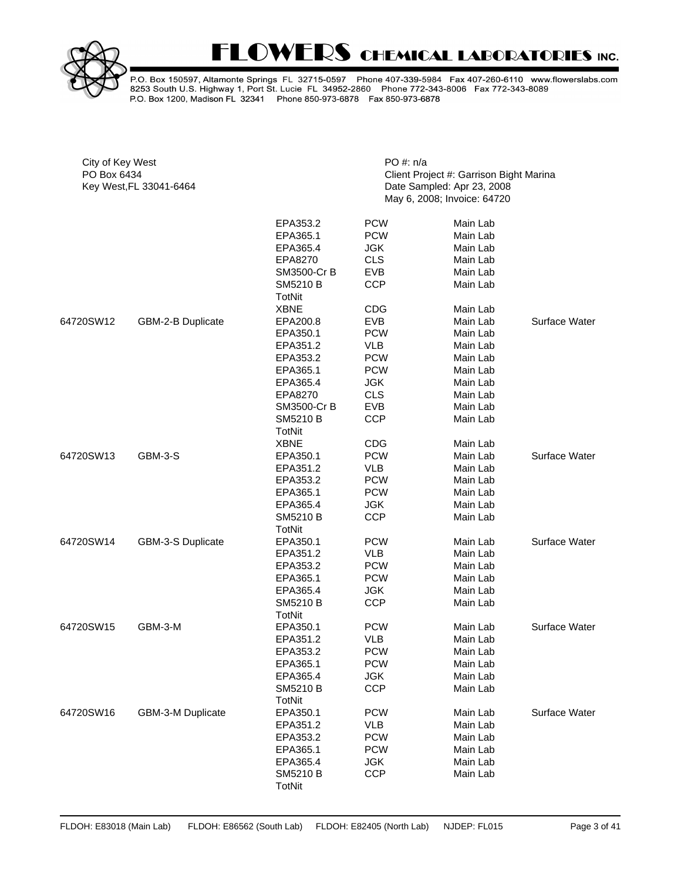

| City of Key West<br>PO Box 6434 |                         |                      | PO #: n/a         | Client Project #: Garrison Bight Marina                   |               |
|---------------------------------|-------------------------|----------------------|-------------------|-----------------------------------------------------------|---------------|
|                                 | Key West, FL 33041-6464 |                      |                   | Date Sampled: Apr 23, 2008<br>May 6, 2008; Invoice: 64720 |               |
|                                 |                         | EPA353.2             | <b>PCW</b>        | Main Lab                                                  |               |
|                                 |                         | EPA365.1             | <b>PCW</b>        | Main Lab                                                  |               |
|                                 |                         | EPA365.4             | <b>JGK</b>        | Main Lab                                                  |               |
|                                 |                         | EPA8270              | <b>CLS</b>        | Main Lab                                                  |               |
|                                 |                         | SM3500-Cr B          | <b>EVB</b>        | Main Lab                                                  |               |
|                                 |                         | <b>SM5210 B</b>      | <b>CCP</b>        | Main Lab                                                  |               |
|                                 |                         | TotNit               |                   |                                                           |               |
|                                 |                         | <b>XBNE</b>          | <b>CDG</b>        | Main Lab                                                  |               |
| 64720SW12                       | GBM-2-B Duplicate       | EPA200.8             | <b>EVB</b>        | Main Lab                                                  | Surface Water |
|                                 |                         | EPA350.1             | <b>PCW</b>        | Main Lab                                                  |               |
|                                 |                         | EPA351.2             | VLB               | Main Lab                                                  |               |
|                                 |                         | EPA353.2             | <b>PCW</b>        | Main Lab                                                  |               |
|                                 |                         | EPA365.1             | <b>PCW</b>        | Main Lab                                                  |               |
|                                 |                         | EPA365.4             | <b>JGK</b>        | Main Lab                                                  |               |
|                                 |                         | EPA8270              | <b>CLS</b>        | Main Lab                                                  |               |
|                                 |                         | SM3500-Cr B          | <b>EVB</b>        | Main Lab                                                  |               |
|                                 |                         | SM5210 B             | <b>CCP</b>        | Main Lab                                                  |               |
|                                 |                         | TotNit               |                   |                                                           |               |
|                                 |                         | <b>XBNE</b>          | <b>CDG</b>        | Main Lab                                                  |               |
| 64720SW13                       | GBM-3-S                 | EPA350.1             | <b>PCW</b>        | Main Lab                                                  | Surface Water |
|                                 |                         | EPA351.2             | <b>VLB</b>        | Main Lab                                                  |               |
|                                 |                         | EPA353.2             | <b>PCW</b>        | Main Lab                                                  |               |
|                                 |                         | EPA365.1             | <b>PCW</b>        | Main Lab                                                  |               |
|                                 |                         | EPA365.4             | JGK               | Main Lab                                                  |               |
|                                 |                         | SM5210 B             | <b>CCP</b>        | Main Lab                                                  |               |
|                                 |                         | TotNit               |                   |                                                           | Surface Water |
| 64720SW14                       | GBM-3-S Duplicate       | EPA350.1<br>EPA351.2 | <b>PCW</b><br>VLB | Main Lab<br>Main Lab                                      |               |
|                                 |                         | EPA353.2             | <b>PCW</b>        | Main Lab                                                  |               |
|                                 |                         | EPA365.1             | <b>PCW</b>        | Main Lab                                                  |               |
|                                 |                         | EPA365.4             | JGK               | Main Lab                                                  |               |
|                                 |                         | SM5210 B             | <b>CCP</b>        | Main Lab                                                  |               |
|                                 |                         | <b>TotNit</b>        |                   |                                                           |               |
| 64720SW15                       | GBM-3-M                 | EPA350.1             | <b>PCW</b>        | Main Lab                                                  | Surface Water |
|                                 |                         | EPA351.2             | <b>VLB</b>        | Main Lab                                                  |               |
|                                 |                         | EPA353.2             | <b>PCW</b>        | Main Lab                                                  |               |
|                                 |                         | EPA365.1             | <b>PCW</b>        | Main Lab                                                  |               |
|                                 |                         | EPA365.4             | <b>JGK</b>        | Main Lab                                                  |               |
|                                 |                         | <b>SM5210 B</b>      | <b>CCP</b>        | Main Lab                                                  |               |
|                                 |                         | <b>TotNit</b>        |                   |                                                           |               |
| 64720SW16                       | GBM-3-M Duplicate       | EPA350.1             | <b>PCW</b>        | Main Lab                                                  | Surface Water |
|                                 |                         | EPA351.2             | VLB               | Main Lab                                                  |               |
|                                 |                         | EPA353.2             | <b>PCW</b>        | Main Lab                                                  |               |
|                                 |                         | EPA365.1             | <b>PCW</b>        | Main Lab                                                  |               |
|                                 |                         | EPA365.4             | <b>JGK</b>        | Main Lab                                                  |               |
|                                 |                         | SM5210 B             | <b>CCP</b>        | Main Lab                                                  |               |
|                                 |                         | <b>TotNit</b>        |                   |                                                           |               |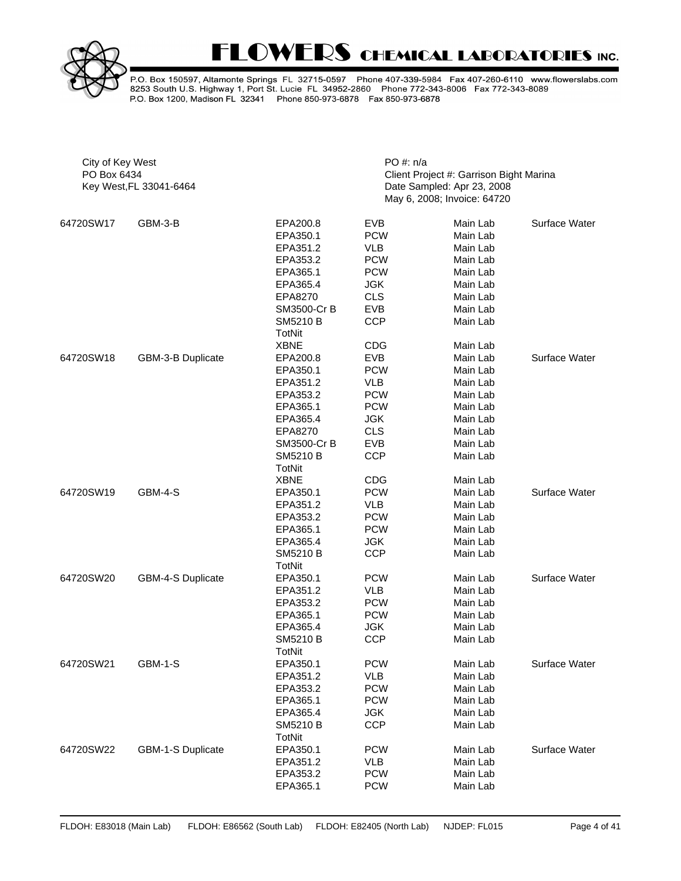

| City of Key West<br>PO Box 6434 | Key West, FL 33041-6464 |                                                                                                                              |                                                                                                                            | PO #: n/a<br>Client Project #: Garrison Bight Marina<br>Date Sampled: Apr 23, 2008<br>May 6, 2008; Invoice: 64720 |                                                                                                                      |               |  |  |
|---------------------------------|-------------------------|------------------------------------------------------------------------------------------------------------------------------|----------------------------------------------------------------------------------------------------------------------------|-------------------------------------------------------------------------------------------------------------------|----------------------------------------------------------------------------------------------------------------------|---------------|--|--|
| 64720SW17                       | GBM-3-B                 |                                                                                                                              | <b>EVB</b><br><b>PCW</b><br><b>VLB</b><br><b>PCW</b><br><b>PCW</b><br><b>JGK</b><br><b>CLS</b><br><b>EVB</b><br><b>CCP</b> |                                                                                                                   | Main Lab<br>Main Lab<br>Main Lab<br>Main Lab<br>Main Lab<br>Main Lab<br>Main Lab<br>Main Lab<br>Main Lab             | Surface Water |  |  |
| 64720SW18                       | GBM-3-B Duplicate       | XBNE<br>EPA200.8<br>EPA350.1<br>EPA351.2<br>EPA353.2<br>EPA365.1<br>EPA365.4<br>EPA8270<br>SM3500-Cr B<br>SM5210 B<br>TotNit | <b>CDG</b><br><b>EVB</b><br><b>PCW</b><br>VLB<br><b>PCW</b><br><b>PCW</b><br>JGK<br><b>CLS</b><br><b>EVB</b><br><b>CCP</b> |                                                                                                                   | Main Lab<br>Main Lab<br>Main Lab<br>Main Lab<br>Main Lab<br>Main Lab<br>Main Lab<br>Main Lab<br>Main Lab<br>Main Lab | Surface Water |  |  |
| 64720SW19                       | GBM-4-S                 | <b>XBNE</b><br>EPA350.1<br>EPA351.2<br>EPA353.2<br>EPA365.1<br>EPA365.4<br>SM5210 B<br>TotNit                                | <b>CDG</b><br><b>PCW</b><br><b>VLB</b><br><b>PCW</b><br><b>PCW</b><br>JGK<br><b>CCP</b>                                    |                                                                                                                   | Main Lab<br>Main Lab<br>Main Lab<br>Main Lab<br>Main Lab<br>Main Lab<br>Main Lab                                     | Surface Water |  |  |
| 64720SW20                       | GBM-4-S Duplicate       | EPA350.1<br>EPA351.2<br>EPA353.2<br>EPA365.1<br>EPA365.4<br>SM5210 B<br>TotNit                                               | <b>PCW</b><br>VLB<br><b>PCW</b><br><b>PCW</b><br>JGK<br><b>CCP</b>                                                         |                                                                                                                   | Main Lab<br>Main Lab<br>Main Lab<br>Main Lab<br>Main Lab<br>Main Lab                                                 | Surface Water |  |  |
| 64720SW21                       | <b>GBM-1-S</b>          | EPA350.1<br>EPA351.2<br>EPA353.2<br>EPA365.1<br>EPA365.4<br>SM5210 B<br><b>TotNit</b>                                        | <b>PCW</b><br>VLB<br><b>PCW</b><br><b>PCW</b><br>JGK<br><b>CCP</b>                                                         |                                                                                                                   | Main Lab<br>Main Lab<br>Main Lab<br>Main Lab<br>Main Lab<br>Main Lab                                                 | Surface Water |  |  |
| 64720SW22                       | GBM-1-S Duplicate       | EPA350.1<br>EPA351.2<br>EPA353.2<br>EPA365.1                                                                                 | <b>PCW</b><br>VLB<br><b>PCW</b><br><b>PCW</b>                                                                              |                                                                                                                   | Main Lab<br>Main Lab<br>Main Lab<br>Main Lab                                                                         | Surface Water |  |  |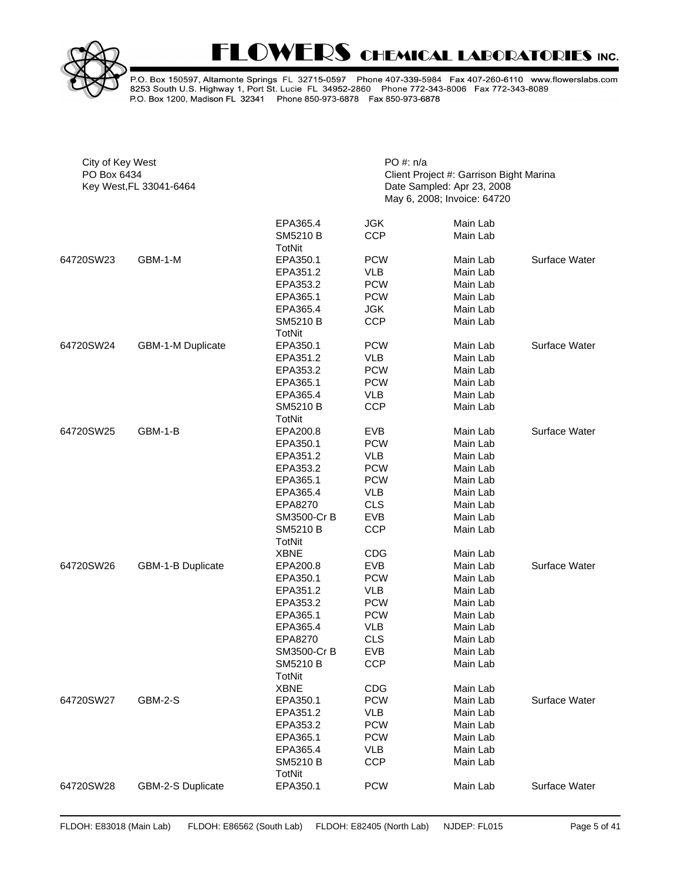

| City of Key West<br>PO Box 6434 | Key West, FL 33041-6464 |                                       |                          | PO #: n/a<br>Client Project #: Garrison Bight Marina<br>Date Sampled: Apr 23, 2008<br>May 6, 2008; Invoice: 64720 |               |  |  |  |
|---------------------------------|-------------------------|---------------------------------------|--------------------------|-------------------------------------------------------------------------------------------------------------------|---------------|--|--|--|
|                                 |                         | EPA365.4<br>SM5210 B<br><b>TotNit</b> | <b>JGK</b><br><b>CCP</b> | Main Lab<br>Main Lab                                                                                              |               |  |  |  |
| 64720SW23                       | GBM-1-M                 | EPA350.1                              | <b>PCW</b>               | Main Lab                                                                                                          | Surface Water |  |  |  |
|                                 |                         | EPA351.2                              | <b>VLB</b>               | Main Lab                                                                                                          |               |  |  |  |
|                                 |                         | EPA353.2                              | <b>PCW</b>               | Main Lab                                                                                                          |               |  |  |  |
|                                 |                         | EPA365.1                              | <b>PCW</b>               | Main Lab                                                                                                          |               |  |  |  |
|                                 |                         | EPA365.4                              | JGK                      | Main Lab                                                                                                          |               |  |  |  |
|                                 |                         | SM5210 B<br><b>TotNit</b>             | <b>CCP</b>               | Main Lab                                                                                                          |               |  |  |  |
| 64720SW24                       | GBM-1-M Duplicate       | EPA350.1                              | <b>PCW</b>               | Main Lab                                                                                                          | Surface Water |  |  |  |
|                                 |                         | EPA351.2                              | <b>VLB</b>               | Main Lab                                                                                                          |               |  |  |  |
|                                 |                         | EPA353.2                              | <b>PCW</b>               | Main Lab                                                                                                          |               |  |  |  |
|                                 |                         | EPA365.1                              | <b>PCW</b>               | Main Lab                                                                                                          |               |  |  |  |
|                                 |                         | EPA365.4                              | <b>VLB</b>               | Main Lab                                                                                                          |               |  |  |  |
|                                 |                         | <b>SM5210 B</b><br>TotNit             | <b>CCP</b>               | Main Lab                                                                                                          |               |  |  |  |
| 64720SW25                       | GBM-1-B                 | EPA200.8                              | <b>EVB</b>               | Main Lab                                                                                                          | Surface Water |  |  |  |
|                                 |                         | EPA350.1                              | <b>PCW</b>               | Main Lab                                                                                                          |               |  |  |  |
|                                 |                         | EPA351.2                              | VLB                      | Main Lab                                                                                                          |               |  |  |  |
|                                 |                         | EPA353.2                              | <b>PCW</b>               | Main Lab                                                                                                          |               |  |  |  |
|                                 |                         | EPA365.1<br>EPA365.4                  | <b>PCW</b><br>VLB        | Main Lab<br>Main Lab                                                                                              |               |  |  |  |
|                                 |                         | EPA8270                               | <b>CLS</b>               | Main Lab                                                                                                          |               |  |  |  |
|                                 |                         | SM3500-Cr B                           | <b>EVB</b>               | Main Lab                                                                                                          |               |  |  |  |
|                                 |                         | SM5210 B                              | <b>CCP</b>               | Main Lab                                                                                                          |               |  |  |  |
|                                 |                         | TotNit                                |                          |                                                                                                                   |               |  |  |  |
|                                 |                         | <b>XBNE</b>                           | <b>CDG</b>               | Main Lab                                                                                                          |               |  |  |  |
| 64720SW26                       | GBM-1-B Duplicate       | EPA200.8                              | <b>EVB</b>               | Main Lab                                                                                                          | Surface Water |  |  |  |
|                                 |                         | EPA350.1                              | <b>PCW</b>               | Main Lab                                                                                                          |               |  |  |  |
|                                 |                         | EPA351.2                              | VLB                      | Main Lab                                                                                                          |               |  |  |  |
|                                 |                         | EPA353.2                              | <b>PCW</b>               | Main Lab                                                                                                          |               |  |  |  |
|                                 |                         | EPA365.1                              | <b>PCW</b>               | Main Lab                                                                                                          |               |  |  |  |
|                                 |                         | EPA365.4                              | VLB                      | Main Lab                                                                                                          |               |  |  |  |
|                                 |                         | EPA8270                               | <b>CLS</b>               | Main Lab                                                                                                          |               |  |  |  |
|                                 |                         | SM3500-Cr B                           | <b>EVB</b>               | Main Lab                                                                                                          |               |  |  |  |
|                                 |                         | SM5210 B<br>TotNit                    | <b>CCP</b>               | Main Lab                                                                                                          |               |  |  |  |
|                                 |                         | <b>XBNE</b>                           | <b>CDG</b>               | Main Lab                                                                                                          |               |  |  |  |
| 64720SW27                       | <b>GBM-2-S</b>          | EPA350.1                              | <b>PCW</b>               | Main Lab                                                                                                          | Surface Water |  |  |  |
|                                 |                         | EPA351.2                              | VLB                      | Main Lab                                                                                                          |               |  |  |  |
|                                 |                         | EPA353.2                              | <b>PCW</b>               | Main Lab                                                                                                          |               |  |  |  |
|                                 |                         | EPA365.1                              | <b>PCW</b>               | Main Lab                                                                                                          |               |  |  |  |
|                                 |                         | EPA365.4                              | VLB                      | Main Lab                                                                                                          |               |  |  |  |
|                                 |                         | SM5210 B<br>TotNit                    | <b>CCP</b>               | Main Lab                                                                                                          |               |  |  |  |
| 64720SW28                       | GBM-2-S Duplicate       | EPA350.1                              | <b>PCW</b>               | Main Lab                                                                                                          | Surface Water |  |  |  |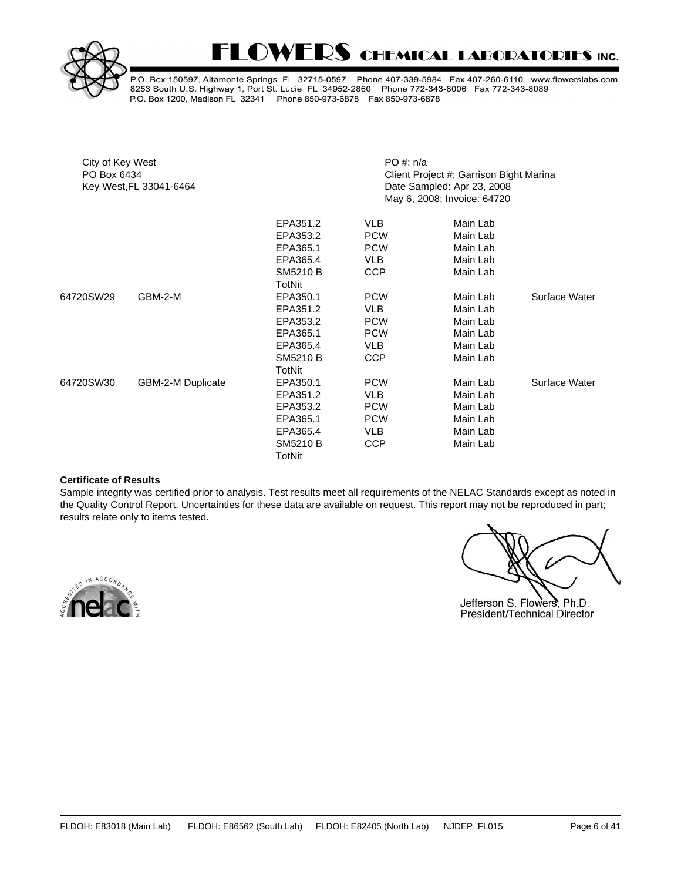



P.O. Box 150597, Altamonte Springs FL 32715-0597 Phone 407-339-5984 Fax 407-260-6110 www.flowerslabs.com 8253 South U.S. Highway 1, Port St. Lucie FL 34952-2860 Phone 772-343-8006 Fax 772-343-8089 P.O. Box 1200, Madison FL 32341 Phone 850-973-6878 Fax 850-973-6878

| City of Key West<br>PO Box 6434 | Key West, FL 33041-6464 |                 | $PO \#: n/a$ | Client Project #: Garrison Bight Marina<br>Date Sampled: Apr 23, 2008<br>May 6, 2008; Invoice: 64720 |               |
|---------------------------------|-------------------------|-----------------|--------------|------------------------------------------------------------------------------------------------------|---------------|
|                                 |                         | EPA351.2        | VLB          | Main Lab                                                                                             |               |
|                                 |                         | EPA353.2        | <b>PCW</b>   | Main Lab                                                                                             |               |
|                                 |                         | EPA365.1        | <b>PCW</b>   | Main Lab                                                                                             |               |
|                                 |                         | EPA365.4        | VLB          | Main Lab                                                                                             |               |
|                                 |                         | SM5210 B        | <b>CCP</b>   | Main Lab                                                                                             |               |
|                                 |                         | TotNit          |              |                                                                                                      |               |
| 64720SW29                       | GBM-2-M                 | EPA350.1        | <b>PCW</b>   | Main Lab                                                                                             | Surface Water |
|                                 |                         | EPA351.2        | VLB          | Main Lab                                                                                             |               |
|                                 |                         | EPA353.2        | <b>PCW</b>   | Main Lab                                                                                             |               |
|                                 |                         | EPA365.1        | <b>PCW</b>   | Main Lab                                                                                             |               |
|                                 |                         | EPA365.4        | VLB          | Main Lab                                                                                             |               |
|                                 |                         | <b>SM5210 B</b> | <b>CCP</b>   | Main Lab                                                                                             |               |
|                                 |                         | TotNit          |              |                                                                                                      |               |
| 64720SW30                       | GBM-2-M Duplicate       | EPA350.1        | <b>PCW</b>   | Main Lab                                                                                             | Surface Water |
|                                 |                         | EPA351.2        | VLB          | Main Lab                                                                                             |               |
|                                 |                         | EPA353.2        | <b>PCW</b>   | Main Lab                                                                                             |               |
|                                 |                         | EPA365.1        | <b>PCW</b>   | Main Lab                                                                                             |               |
|                                 |                         | EPA365.4        | VLB          | Main Lab                                                                                             |               |
|                                 |                         | <b>SM5210 B</b> | <b>CCP</b>   | Main Lab                                                                                             |               |
|                                 |                         | TotNit          |              |                                                                                                      |               |

#### **Certificate of Results**

Sample integrity was certified prior to analysis. Test results meet all requirements of the NELAC Standards except as noted in the Quality Control Report. Uncertainties for these data are available on request. This report may not be reproduced in part; results relate only to items tested.



Jefferson S. Flowers, Ph.D. President/Technical Director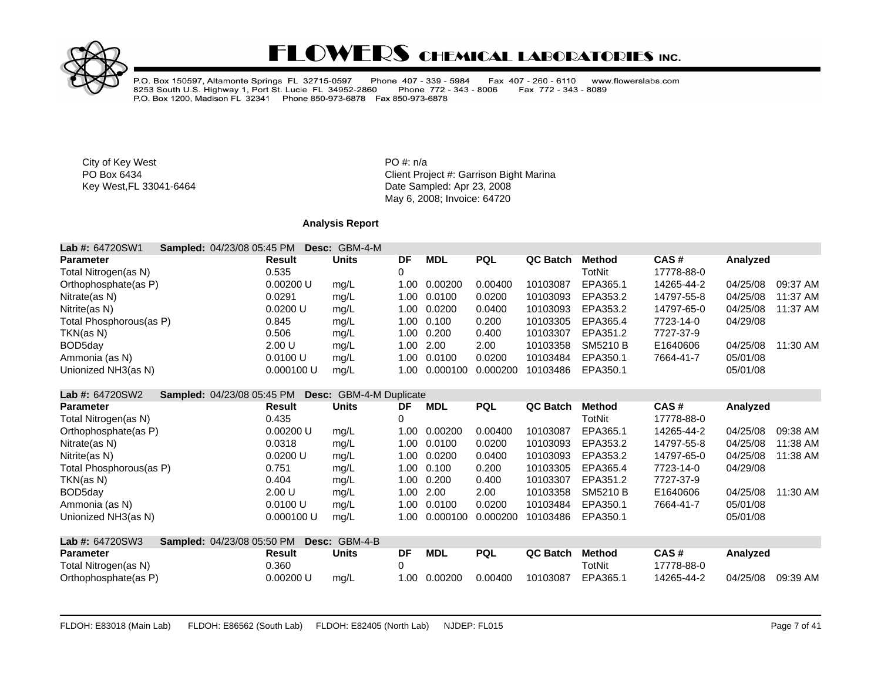

P.O. Box 150597, Altamonte Springs FL 32715-0597 Phone 407 - 339 - 5984<br>8253 South U.S. Highway 1, Port St. Lucie FL 34952-2860 Phone 772 - 343<br>P.O. Box 1200, Madison FL 32341 Phone 850-973-6878 Fax 850-973-6878 Fax 407 - 260 - 6110 www.flowerslabs.com Fax 772 - 343 - 8089 Phone 772 - 343 - 8006

City of Key West **PO** #: n/a

PO Box 6434<br>
Rey West, FL 33041-6464<br>
Key West, FL 33041-6464<br>
Client Project #: Garrison Bight Marina Date Sampled: Apr 23, 2008 May 6, 2008; Invoice: 64720

#### **Analysis Report**

| Sampled: 04/23/08 05:45 PM<br>Lab #: 64720SW1        | Desc:         | GBM-4-M                        |      |            |            |                 |                 |            |          |          |
|------------------------------------------------------|---------------|--------------------------------|------|------------|------------|-----------------|-----------------|------------|----------|----------|
| <b>Parameter</b>                                     | <b>Result</b> | <b>Units</b>                   | DF   | <b>MDL</b> | <b>PQL</b> | <b>QC Batch</b> | <b>Method</b>   | CAS#       | Analyzed |          |
| Total Nitrogen(as N)                                 | 0.535         |                                | 0    |            |            |                 | TotNit          | 17778-88-0 |          |          |
| Orthophosphate(as P)                                 | 0.00200 U     | mg/L                           | 1.00 | 0.00200    | 0.00400    | 10103087        | EPA365.1        | 14265-44-2 | 04/25/08 | 09:37 AM |
| Nitrate(as N)                                        | 0.0291        | mg/L                           | 1.00 | 0.0100     | 0.0200     | 10103093        | EPA353.2        | 14797-55-8 | 04/25/08 | 11:37 AM |
| Nitrite(as N)                                        | 0.0200 U      | mg/L                           | 1.00 | 0.0200     | 0.0400     | 10103093        | EPA353.2        | 14797-65-0 | 04/25/08 | 11:37 AM |
| Total Phosphorous(as P)                              | 0.845         | mg/L                           | 1.00 | 0.100      | 0.200      | 10103305        | EPA365.4        | 7723-14-0  | 04/29/08 |          |
| TKN(as N)                                            | 0.506         | mg/L                           | 1.00 | 0.200      | 0.400      | 10103307        | EPA351.2        | 7727-37-9  |          |          |
| BOD <sub>5day</sub>                                  | 2.00 U        | mg/L                           | 1.00 | 2.00       | 2.00       | 10103358        | <b>SM5210 B</b> | E1640606   | 04/25/08 | 11:30 AM |
| Ammonia (as N)                                       | 0.0100 U      | mg/L                           | 1.00 | 0.0100     | 0.0200     | 10103484        | EPA350.1        | 7664-41-7  | 05/01/08 |          |
| Unionized NH3(as N)                                  | 0.000100 U    | mg/L                           | 1.00 | 0.000100   | 0.000200   | 10103486        | EPA350.1        |            | 05/01/08 |          |
| <b>Lab #: 64720SW2</b><br>Sampled: 04/23/08 05:45 PM |               | <b>Desc:</b> GBM-4-M Duplicate |      |            |            |                 |                 |            |          |          |
| <b>Parameter</b>                                     | <b>Result</b> | <b>Units</b>                   | DF   | <b>MDL</b> | <b>PQL</b> | <b>QC Batch</b> | <b>Method</b>   | CAS#       | Analyzed |          |
| Total Nitrogen(as N)                                 | 0.435         |                                | 0    |            |            |                 | <b>TotNit</b>   | 17778-88-0 |          |          |
| Orthophosphate(as P)                                 | 0.00200 U     | mg/L                           | 1.00 | 0.00200    | 0.00400    | 10103087        | EPA365.1        | 14265-44-2 | 04/25/08 | 09:38 AM |
| Nitrate(as N)                                        | 0.0318        | mg/L                           | 1.00 | 0.0100     | 0.0200     | 10103093        | EPA353.2        | 14797-55-8 | 04/25/08 | 11:38 AM |
| Nitrite(as N)                                        | 0.0200 U      | mg/L                           | 1.00 | 0.0200     | 0.0400     | 10103093        | EPA353.2        | 14797-65-0 | 04/25/08 | 11:38 AM |
| Total Phosphorous(as P)                              | 0.751         | mg/L                           | 1.00 | 0.100      | 0.200      | 10103305        | EPA365.4        | 7723-14-0  | 04/29/08 |          |
| TKN(as N)                                            | 0.404         | mg/L                           | 1.00 | 0.200      | 0.400      | 10103307        | EPA351.2        | 7727-37-9  |          |          |
| BOD5day                                              | 2.00 U        | mg/L                           | 1.00 | 2.00       | 2.00       | 10103358        | <b>SM5210 B</b> | E1640606   | 04/25/08 | 11:30 AM |
| Ammonia (as N)                                       | 0.0100 U      | mg/L                           | 1.00 | 0.0100     | 0.0200     | 10103484        | EPA350.1        | 7664-41-7  | 05/01/08 |          |
| Unionized NH3(as N)                                  | 0.000100 U    | mg/L                           | 1.00 | 0.000100   | 0.000200   | 10103486        | EPA350.1        |            | 05/01/08 |          |
| <b>Lab #: 64720SW3</b><br>Sampled: 04/23/08 05:50 PM |               | Desc: GBM-4-B                  |      |            |            |                 |                 |            |          |          |
| <b>Parameter</b>                                     | <b>Result</b> | <b>Units</b>                   | DF   | <b>MDL</b> | <b>PQL</b> | <b>QC Batch</b> | <b>Method</b>   | CAS#       | Analyzed |          |
| Total Nitrogen(as N)                                 | 0.360         |                                | 0    |            |            |                 | TotNit          | 17778-88-0 |          |          |
| Orthophosphate(as P)                                 | 0.00200 U     | mg/L                           | 1.00 | 0.00200    | 0.00400    | 10103087        | EPA365.1        | 14265-44-2 | 04/25/08 | 09:39 AM |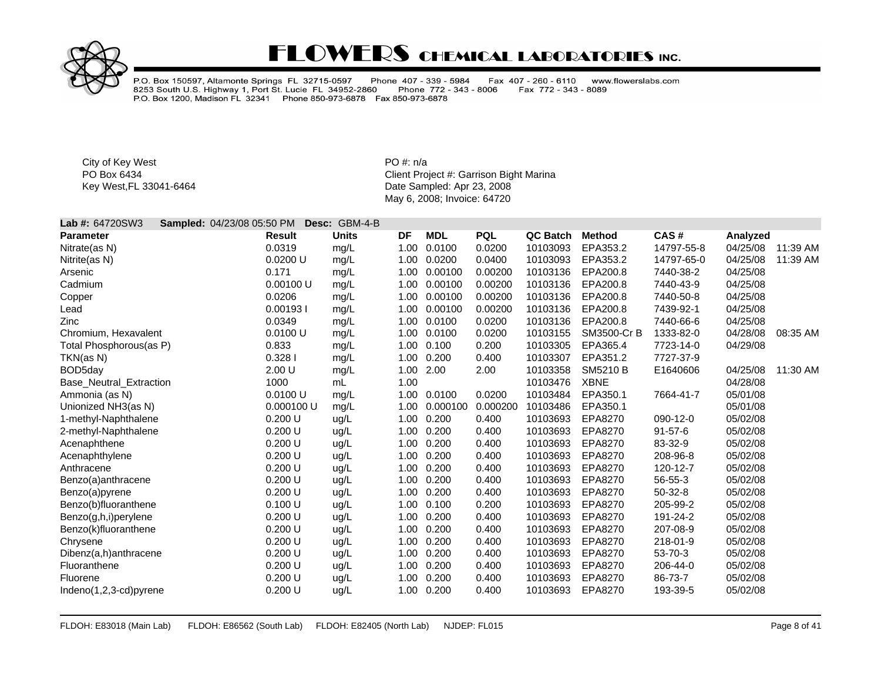

P.O. Box 150597, Altamonte Springs FL 32715-0597 Phone 407 - 339 - 5984<br>8253 South U.S. Highway 1, Port St. Lucie FL 34952-2860 Phone 772 - 343<br>P.O. Box 1200, Madison FL 32341 Phone 850-973-6878 Fax 850-973-6878 Fax 407 - 260 - 6110 www.flowerslabs.com Phone 772 - 343 - 8006 Fax 772 - 343 - 8089

City of Key West **PO** #: n/a

PO Box 6434 **PO Box 6434** Client Project #: Garrison Bight Marina Key West,FL 33041-6464 **Date Sampled: Apr 23, 2008** May 6, 2008; Invoice: 64720

#### **Lab #:** 64720SW3 **Sampled:** 04/23/08 05:50 PM **Desc:** GBM-4-B

| <b>Parameter</b>               | <b>Result</b> | <b>Units</b> | DF   | <b>MDL</b> | <b>PQL</b> | <b>QC Batch</b> | <b>Method</b>   | CAS#          | Analyzed |          |
|--------------------------------|---------------|--------------|------|------------|------------|-----------------|-----------------|---------------|----------|----------|
| Nitrate(as N)                  | 0.0319        | mg/L         | 1.00 | 0.0100     | 0.0200     | 10103093        | EPA353.2        | 14797-55-8    | 04/25/08 | 11:39 AM |
| Nitrite(as N)                  | 0.0200 U      | mg/L         | 1.00 | 0.0200     | 0.0400     | 10103093        | EPA353.2        | 14797-65-0    | 04/25/08 | 11:39 AM |
| Arsenic                        | 0.171         | mg/L         | 1.00 | 0.00100    | 0.00200    | 10103136        | EPA200.8        | 7440-38-2     | 04/25/08 |          |
| Cadmium                        | 0.00100 U     | mg/L         | 1.00 | 0.00100    | 0.00200    | 10103136        | EPA200.8        | 7440-43-9     | 04/25/08 |          |
| Copper                         | 0.0206        | mg/L         | 1.00 | 0.00100    | 0.00200    | 10103136        | EPA200.8        | 7440-50-8     | 04/25/08 |          |
| Lead                           | 0.001931      | mg/L         | 1.00 | 0.00100    | 0.00200    | 10103136        | EPA200.8        | 7439-92-1     | 04/25/08 |          |
| Zinc                           | 0.0349        | mg/L         | 1.00 | 0.0100     | 0.0200     | 10103136        | EPA200.8        | 7440-66-6     | 04/25/08 |          |
| Chromium, Hexavalent           | 0.0100 U      | mg/L         | 1.00 | 0.0100     | 0.0200     | 10103155        | SM3500-Cr B     | 1333-82-0     | 04/28/08 | 08:35 AM |
| Total Phosphorous(as P)        | 0.833         | mg/L         | 1.00 | 0.100      | 0.200      | 10103305        | EPA365.4        | 7723-14-0     | 04/29/08 |          |
| TKN(as N)                      | 0.3281        | mg/L         | 1.00 | 0.200      | 0.400      | 10103307        | EPA351.2        | 7727-37-9     |          |          |
| BOD5day                        | 2.00 U        | mg/L         | 1.00 | 2.00       | 2.00       | 10103358        | <b>SM5210 B</b> | E1640606      | 04/25/08 | 11:30 AM |
| <b>Base Neutral Extraction</b> | 1000          | mL           | 1.00 |            |            | 10103476        | <b>XBNE</b>     |               | 04/28/08 |          |
| Ammonia (as N)                 | 0.0100 U      | mg/L         | 1.00 | 0.0100     | 0.0200     | 10103484        | EPA350.1        | 7664-41-7     | 05/01/08 |          |
| Unionized NH3(as N)            | 0.000100 U    | mg/L         | 1.00 | 0.000100   | 0.000200   | 10103486        | EPA350.1        |               | 05/01/08 |          |
| 1-methyl-Naphthalene           | $0.200$ U     | ug/L         | 1.00 | 0.200      | 0.400      | 10103693        | EPA8270         | 090-12-0      | 05/02/08 |          |
| 2-methyl-Naphthalene           | 0.200 U       | ug/L         | 1.00 | 0.200      | 0.400      | 10103693        | EPA8270         | $91 - 57 - 6$ | 05/02/08 |          |
| Acenaphthene                   | 0.200 U       | ug/L         | 1.00 | 0.200      | 0.400      | 10103693        | EPA8270         | 83-32-9       | 05/02/08 |          |
| Acenaphthylene                 | 0.200 U       | ug/L         | 1.00 | 0.200      | 0.400      | 10103693        | EPA8270         | 208-96-8      | 05/02/08 |          |
| Anthracene                     | 0.200U        | ug/L         | 1.00 | 0.200      | 0.400      | 10103693        | EPA8270         | 120-12-7      | 05/02/08 |          |
| Benzo(a)anthracene             | $0.200$ U     | ug/L         | 1.00 | 0.200      | 0.400      | 10103693        | EPA8270         | 56-55-3       | 05/02/08 |          |
| Benzo(a)pyrene                 | $0.200$ U     | ug/L         | 1.00 | 0.200      | 0.400      | 10103693        | EPA8270         | $50-32-8$     | 05/02/08 |          |
| Benzo(b)fluoranthene           | 0.100 U       | ug/L         | 1.00 | 0.100      | 0.200      | 10103693        | EPA8270         | 205-99-2      | 05/02/08 |          |
| Benzo(g,h,i)perylene           | $0.200$ U     | ug/L         | 1.00 | 0.200      | 0.400      | 10103693        | EPA8270         | 191-24-2      | 05/02/08 |          |
| Benzo(k)fluoranthene           | 0.200 U       | ug/L         | 1.00 | 0.200      | 0.400      | 10103693        | EPA8270         | 207-08-9      | 05/02/08 |          |
| Chrysene                       | 0.200 U       | ug/L         | 1.00 | 0.200      | 0.400      | 10103693        | EPA8270         | 218-01-9      | 05/02/08 |          |
| Dibenz(a,h)anthracene          | 0.200 U       | ug/L         | 1.00 | 0.200      | 0.400      | 10103693        | EPA8270         | 53-70-3       | 05/02/08 |          |
| Fluoranthene                   | 0.200 U       | ug/L         | 1.00 | 0.200      | 0.400      | 10103693        | EPA8270         | 206-44-0      | 05/02/08 |          |
| Fluorene                       | 0.200 U       | ug/L         | 1.00 | 0.200      | 0.400      | 10103693        | EPA8270         | 86-73-7       | 05/02/08 |          |
| Indeno(1,2,3-cd)pyrene         | 0.200 U       | ug/L         | 1.00 | 0.200      | 0.400      | 10103693        | EPA8270         | 193-39-5      | 05/02/08 |          |
|                                |               |              |      |            |            |                 |                 |               |          |          |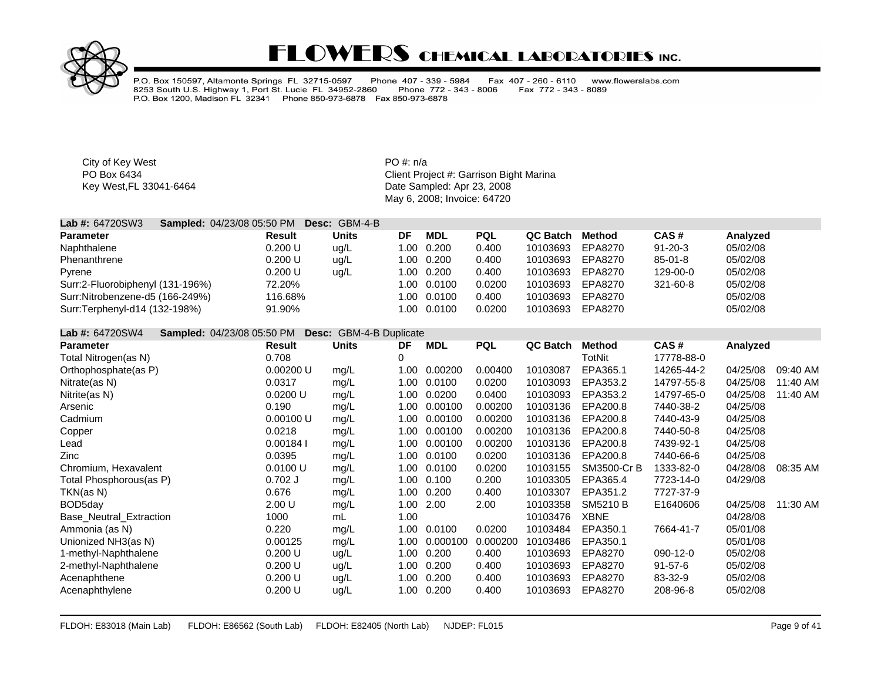

P.O. Box 150597, Altamonte Springs FL 32715-0597 Phone 407 - 339 - 5984 Fax 407 - 260 - 6110 www.flowerslabs.com 8253 South U.S. Highway 1, Port St. Lucie FL 34952-2860 Phone 772 - 343 - 8006 Fax 772 - 343 - 8089 P.O. Box 1200. Madison FL 32341 Phone 850-973-6878 Fax 850-973-6878

City of Key West **PO #:** n/a

PO Box 6434 **PO Box 6434** Client Project #: Garrison Bight Marina Key West, FL 33041-6464 **Date Sampled: Apr 23, 2008** May 6, 2008; Invoice: 64720

#### **Lab #:** 64720SW3 **Sampled:** 04/23/08 05:50 PM **Desc:** GBM-4-B

| <b>Parameter</b>                 | <b>Result</b> | Units | DF   | <b>MDL</b>  | <b>PQL</b> | QC Batch | Method  | CAS#          | Analyzed |
|----------------------------------|---------------|-------|------|-------------|------------|----------|---------|---------------|----------|
| Naphthalene                      | 0.200 U       | ug/L  | 1.00 | 0.200       | 0.400      | 10103693 | EPA8270 | $91 - 20 - 3$ | 05/02/08 |
| Phenanthrene                     | 0.200 U       | ug/L  | 1.00 | 0.200       | 0.400      | 10103693 | EPA8270 | $85 - 01 - 8$ | 05/02/08 |
| Pyrene                           | 0.200 U       | ug/L  | 1.00 | 0.200       | 0.400      | 10103693 | EPA8270 | 129-00-0      | 05/02/08 |
| Surr:2-Fluorobiphenyl (131-196%) | 72.20%        |       |      | 1.00 0.0100 | 0.0200     | 10103693 | EPA8270 | 321-60-8      | 05/02/08 |
| Surr:Nitrobenzene-d5 (166-249%)  | 116.68%       |       | 1.00 | 0.0100      | 0.400      | 10103693 | EPA8270 |               | 05/02/08 |
| Surr:Terphenyl-d14 (132-198%)    | 91.90%        |       |      | 1.00 0.0100 | 0.0200     | 10103693 | EPA8270 |               | 05/02/08 |

#### **Lab #:** 64720SW4 **Sampled:** 04/23/08 05:50 PM **Desc:** GBM-4-B Duplicate **Parameter Result Units DF MDL PQL QC Batch Method CAS # Analyzed** Total Nitrogen(as N)  $0.708$  0.708 0 0 TotNit 17778-88-0 Orthophosphate(as P) 0.00200 U mg/L 1.00 0.00200 0.00400 10103087 EPA365.1 14265-44-2 04/25/08 09:40 AM Nitrate(as N) 0.0317 mg/L 1.00 0.0100 0.0200 10103093 EPA353.2 14797-55-8 04/25/08 11:40 AM Nitrite(as N) 0.0200 U mg/L 1.00 0.0200 0.0400 10103093 EPA353.2 14797-65-0 04/25/08 11:40 AM Arsenic 0.190 mg/L 1.00 0.00100 0.00200 10103136 EPA200.8 7440-38-2 04/25/08 Cadmium 0.00100 U mg/L 1.00 0.00100 0.00200 10103136 EPA200.8 7440-43-9 04/25/08 Copper 0.0218 mg/L 1.00 0.00100 0.00200 10103136 EPA200.8 7440-50-8 04/25/08 Lead 0.00184 I mg/L 1.00 0.00100 0.00200 10103136 EPA200.8 7439-92-1 04/25/08 Zinc 0.0395 mg/L 1.00 0.0100 0.0200 10103136 EPA200.8 7440-66-6 04/25/08 Chromium, Hexavalent 0.0100 U mg/L 1.00 0.0100 0.0200 10103155 SM3500-Cr B 1333-82-0 04/28/08 08:35 AM Total Phosphorous(as P) 0.702 J mg/L 1.00 0.100 0.200 10103305 EPA365.4 7723-14-0 04/29/08 TKN(as N) 0.676 mg/L 1.00 0.200 0.400 10103307 EPA351.2 7727-37-9 BOD5day 2.00 U mg/L 1.00 2.00 2.00 10103358 SM5210 B E1640606 04/25/08 11:30 AM Base\_Neutral\_Extraction 1000 mL 1.00 10103476 XBNE 04/28/08 Ammonia (as N) 0.220 mg/L 1.00 0.0100 0.0200 10103484 EPA350.1 7664-41-7 05/01/08 Unionized NH3(as N) 0.00125 mg/L 1.00 0.000100 0.000200 10103486 EPA350.1 05/01/08 1-methyl-Naphthalene 0.200 U ug/L 1.00 0.200 0.400 10103693 EPA8270 090-12-0 05/02/08 2-methyl-Naphthalene 0.200 U ug/L 1.00 0.200 0.400 10103693 EPA8270 91-57-6 05/02/08 Acenaphthene 0.200 U ug/L 1.00 0.200 0.400 10103693 EPA8270 83-32-9 05/02/08 Acenaphthylene 0.200 U ug/L 1.00 0.200 0.400 10103693 EPA8270 208-96-8 05/02/08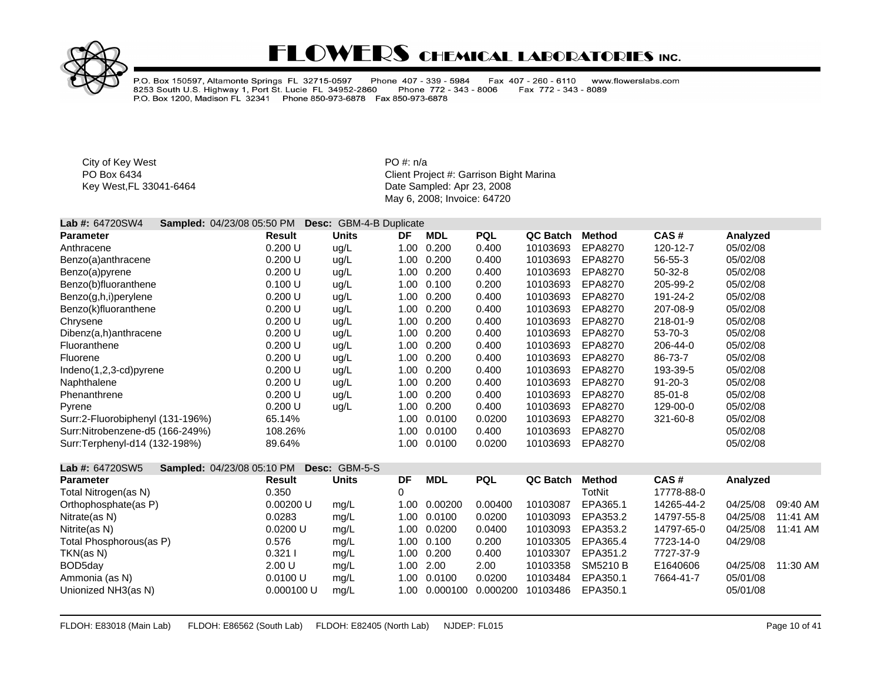

P.O. Box 150597, Altamonte Springs FL 32715-0597 Phone 407 - 339 - 5984<br>8253 South U.S. Highway 1, Port St. Lucie FL 34952-2860 Phone 772 - 343<br>P.O. Box 1200, Madison FL 32341 Phone 850-973-6878 Fax 850-973-6878 Fax 407 - 260 - 6110 www.flowerslabs.com Phone 772 - 343 - 8006 Fax 772 - 343 - 8089

City of Key West **PO** #: n/a

PO Box 6434<br>
Rey West, FL 33041-6464<br>
Key West, FL 33041-6464<br>
Client Project #: Garrison Bight Marina Date Sampled: Apr 23, 2008 May 6, 2008; Invoice: 64720

| Lab #: 64720SW4                  | Sampled: 04/23/08 05:50 PM | Desc:        | <b>GBM-4-B Duplicate</b> |            |            |                 |               |                |          |  |
|----------------------------------|----------------------------|--------------|--------------------------|------------|------------|-----------------|---------------|----------------|----------|--|
| <b>Parameter</b>                 | Result                     | <b>Units</b> | DF                       | <b>MDL</b> | <b>PQL</b> | <b>QC Batch</b> | <b>Method</b> | CAS#           | Analyzed |  |
| Anthracene                       | 0.200 U                    | ug/L         | 1.00                     | 0.200      | 0.400      | 10103693        | EPA8270       | 120-12-7       | 05/02/08 |  |
| Benzo(a)anthracene               | 0.200 U                    | ug/L         | 1.00                     | 0.200      | 0.400      | 10103693        | EPA8270       | 56-55-3        | 05/02/08 |  |
| Benzo(a)pyrene                   | 0.200 U                    | ug/L         | 1.00                     | 0.200      | 0.400      | 10103693        | EPA8270       | $50-32-8$      | 05/02/08 |  |
| Benzo(b)fluoranthene             | 0.100 U                    | ug/L         | 1.00                     | 0.100      | 0.200      | 10103693        | EPA8270       | 205-99-2       | 05/02/08 |  |
| Benzo(g,h,i)perylene             | 0.200 U                    | ug/L         | 1.00                     | 0.200      | 0.400      | 10103693        | EPA8270       | 191-24-2       | 05/02/08 |  |
| Benzo(k)fluoranthene             | 0.200 U                    | ug/L         | 1.00                     | 0.200      | 0.400      | 10103693        | EPA8270       | 207-08-9       | 05/02/08 |  |
| Chrysene                         | 0.200 U                    | ug/L         | 1.00                     | 0.200      | 0.400      | 10103693        | EPA8270       | 218-01-9       | 05/02/08 |  |
| Dibenz(a,h)anthracene            | 0.200 U                    | ug/L         | 1.00                     | 0.200      | 0.400      | 10103693        | EPA8270       | $53 - 70 - 3$  | 05/02/08 |  |
| Fluoranthene                     | 0.200 U                    | ug/L         | 1.00                     | 0.200      | 0.400      | 10103693        | EPA8270       | 206-44-0       | 05/02/08 |  |
| Fluorene                         | 0.200 U                    | ug/L         | 1.00                     | 0.200      | 0.400      | 10103693        | EPA8270       | 86-73-7        | 05/02/08 |  |
| Indeno(1,2,3-cd)pyrene           | 0.200 U                    | ug/L         | 1.00                     | 0.200      | 0.400      | 10103693        | EPA8270       | 193-39-5       | 05/02/08 |  |
| Naphthalene                      | 0.200 U                    | ug/L         | 1.00                     | 0.200      | 0.400      | 10103693        | EPA8270       | $91 - 20 - 3$  | 05/02/08 |  |
| Phenanthrene                     | 0.200 U                    | ug/L         | 1.00                     | 0.200      | 0.400      | 10103693        | EPA8270       | $85 - 01 - 8$  | 05/02/08 |  |
| Pyrene                           | 0.200 U                    | ug/L         | 1.00                     | 0.200      | 0.400      | 10103693        | EPA8270       | 129-00-0       | 05/02/08 |  |
| Surr:2-Fluorobiphenyl (131-196%) | 65.14%                     |              | 1.00                     | 0.0100     | 0.0200     | 10103693        | EPA8270       | $321 - 60 - 8$ | 05/02/08 |  |
| Surr:Nitrobenzene-d5 (166-249%)  | 108.26%                    |              | 1.00                     | 0.0100     | 0.400      | 10103693        | EPA8270       |                | 05/02/08 |  |
| Surr:Terphenyl-d14 (132-198%)    | 89.64%                     |              | 1.00                     | 0.0100     | 0.0200     | 10103693        | EPA8270       |                | 05/02/08 |  |

|                         | <b>Result</b> | Units                             | DF | MDL           | <b>PQL</b>                                                              | QC Batch | Method          | CAS#       |          |          |
|-------------------------|---------------|-----------------------------------|----|---------------|-------------------------------------------------------------------------|----------|-----------------|------------|----------|----------|
|                         | 0.350         |                                   |    |               |                                                                         |          | TotNit          | 17778-88-0 |          |          |
| Orthophosphate(as P)    | 0.00200 U     | mq/L                              |    | 0.00200       | 0.00400                                                                 | 10103087 | EPA365.1        | 14265-44-2 | 04/25/08 | 09:40 AM |
|                         | 0.0283        | mg/L                              |    | 0.0100        | 0.0200                                                                  | 10103093 | EPA353.2        | 14797-55-8 | 04/25/08 | 11:41 AM |
|                         | 0.0200 U      | mq/L                              |    | 0.0200        | 0.0400                                                                  | 10103093 | EPA353.2        | 14797-65-0 | 04/25/08 | 11:41 AM |
| Total Phosphorous(as P) | 0.576         | mg/L                              |    | 0.100         | 0.200                                                                   | 10103305 | EPA365.4        | 7723-14-0  | 04/29/08 |          |
|                         | 0.3211        | mq/L                              |    |               | 0.400                                                                   | 10103307 | EPA351.2        | 7727-37-9  |          |          |
|                         | 2.00 U        | mg/L                              |    |               | 2.00                                                                    | 10103358 | <b>SM5210 B</b> | E1640606   | 04/25/08 | 11:30 AM |
|                         | 0.0100 U      | mq/L                              |    | 0.0100        | 0.0200                                                                  | 10103484 | EPA350.1        | 7664-41-7  | 05/01/08 |          |
|                         | 0.000100 U    | mq/L                              |    |               | 0.000200                                                                | 10103486 | EPA350.1        |            | 05/01/08 |          |
|                         |               | <b>Sampled:</b> 04/23/08 05:10 PM |    | Desc: GBM-5-5 | 1.00<br>1.00<br>1.00<br>1.00<br>1.00 0.200<br>1.00 2.00<br>1.00<br>1.00 | 0.000100 |                 |            |          | Analyzed |

**Lab #:** 64720SW5 **Sampled:** 04/23/08 05:10 PM **Desc:** GBM-5-S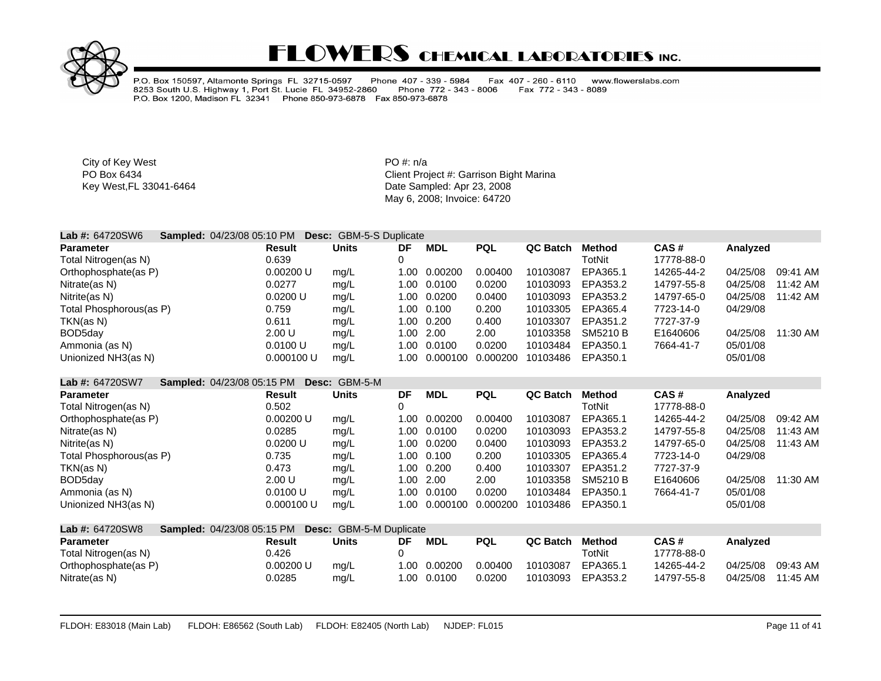

P.O. Box 150597, Altamonte Springs FL 32715-0597 Phone 407 - 339 - 5984<br>8253 South U.S. Highway 1, Port St. Lucie FL 34952-2860 Phone 772 - 343<br>P.O. Box 1200, Madison FL 32341 Phone 850-973-6878 Fax 850-973-6878 Fax 407 - 260 - 6110 www.flowerslabs.com Phone 772 - 343 - 8006 Fax 772 - 343 - 8089

City of Key West **PO** #: n/a

| Lab #: 64720SW6                          | Sampled: 04/23/08 05:10 PM<br>Desc: |               | <b>GBM-5-S Duplicate</b> |            |            |                 |                                |                    |          |          |
|------------------------------------------|-------------------------------------|---------------|--------------------------|------------|------------|-----------------|--------------------------------|--------------------|----------|----------|
| <b>Parameter</b>                         | <b>Result</b>                       | <b>Units</b>  | DF                       | <b>MDL</b> | <b>PQL</b> | <b>QC Batch</b> | <b>Method</b>                  | CAS#               | Analyzed |          |
| Total Nitrogen(as N)                     | 0.639                               |               | 0                        |            |            |                 | TotNit                         | 17778-88-0         |          |          |
| Orthophosphate(as P)                     | 0.00200 U                           | mg/L          | 1.00                     | 0.00200    | 0.00400    | 10103087        | EPA365.1                       | 14265-44-2         | 04/25/08 | 09:41 AM |
| Nitrate(as N)                            | 0.0277                              | mg/L          | 1.00                     | 0.0100     | 0.0200     | 10103093        | EPA353.2                       | 14797-55-8         | 04/25/08 | 11:42 AM |
| Nitrite(as N)                            | 0.0200 U                            | mg/L          | 1.00                     | 0.0200     | 0.0400     | 10103093        | EPA353.2                       | 14797-65-0         | 04/25/08 | 11:42 AM |
| Total Phosphorous(as P)                  | 0.759                               | mg/L          | 1.00                     | 0.100      | 0.200      | 10103305        | EPA365.4                       | 7723-14-0          | 04/29/08 |          |
| TKN(as N)                                | 0.611                               | mg/L          | 1.00                     | 0.200      | 0.400      | 10103307        | EPA351.2                       | 7727-37-9          |          |          |
| BOD <sub>5day</sub>                      | 2.00 U                              | mg/L          | 1.00                     | 2.00       | 2.00       | 10103358        | SM5210 B                       | E1640606           | 04/25/08 | 11:30 AM |
| Ammonia (as N)                           | 0.0100 U                            | mg/L          | 1.00                     | 0.0100     | 0.0200     | 10103484        | EPA350.1                       | 7664-41-7          | 05/01/08 |          |
| Unionized NH3(as N)                      | 0.000100 U                          | mg/L          | 1.00                     | 0.000100   | 0.000200   | 10103486        | EPA350.1                       |                    | 05/01/08 |          |
| Lab #: 64720SW7                          | Sampled: 04/23/08 05:15 PM          | Desc: GBM-5-M |                          |            |            |                 |                                |                    |          |          |
| <b>Parameter</b>                         | <b>Result</b>                       | <b>Units</b>  | DF                       | <b>MDL</b> | <b>PQL</b> | <b>QC Batch</b> | <b>Method</b>                  | CAS#               | Analyzed |          |
| Total Nitrogen(as N)                     | 0.502                               |               | $\Omega$                 |            |            |                 | <b>TotNit</b>                  | 17778-88-0         |          |          |
| Orthophosphate(as P)                     | 0.00200 U                           | mg/L          | 1.00                     | 0.00200    | 0.00400    | 10103087        | EPA365.1                       | 14265-44-2         | 04/25/08 | 09:42 AM |
| Nitrate(as N)                            | 0.0285                              | mg/L          | 1.00                     | 0.0100     | 0.0200     | 10103093        | EPA353.2                       | 14797-55-8         | 04/25/08 | 11:43 AM |
| Nitrite(as N)                            | 0.0200 U                            | mg/L          | 1.00                     | 0.0200     | 0.0400     | 10103093        | EPA353.2                       | 14797-65-0         | 04/25/08 | 11:43 AM |
| Total Phosphorous(as P)                  | 0.735                               | mg/L          | 1.00                     | 0.100      | 0.200      | 10103305        | EPA365.4                       | 7723-14-0          | 04/29/08 |          |
| TKN(as N)                                | 0.473                               | mg/L          | 1.00                     | 0.200      | 0.400      | 10103307        | EPA351.2                       | 7727-37-9          |          |          |
| BOD5day                                  | 2.00 U                              | mg/L          | 1.00                     | 2.00       | 2.00       | 10103358        | <b>SM5210 B</b>                | E1640606           | 04/25/08 | 11:30 AM |
| Ammonia (as N)                           | 0.0100 U                            | mg/L          | 1.00                     | 0.0100     | 0.0200     | 10103484        | EPA350.1                       | 7664-41-7          | 05/01/08 |          |
| Unionized NH3(as N)                      | 0.000100 U                          | mg/L          | 1.00                     | 0.000100   | 0.000200   | 10103486        | EPA350.1                       |                    | 05/01/08 |          |
| Lab #: 64720SW8                          | <b>Sampled: 04/23/08 05:15 PM</b>   |               | Desc: GBM-5-M Duplicate  |            |            |                 |                                |                    |          |          |
| <b>Parameter</b><br>Total Nitrogen(as N) | <b>Result</b><br>0.426              | <b>Units</b>  | DF<br>0                  | <b>MDL</b> | <b>PQL</b> | <b>QC Batch</b> | <b>Method</b><br><b>TotNit</b> | CAS#<br>17778-88-0 | Analyzed |          |
| Orthophosphate(as P)                     | 0.00200 U                           | mg/L          | 1.00                     | 0.00200    | 0.00400    | 10103087        | EPA365.1                       | 14265-44-2         | 04/25/08 | 09:43 AM |
| Nitrate(as N)                            | 0.0285                              | mg/L          | 1.00                     | 0.0100     | 0.0200     | 10103093        | EPA353.2                       | 14797-55-8         | 04/25/08 | 11:45 AM |
|                                          |                                     |               |                          |            |            |                 |                                |                    |          |          |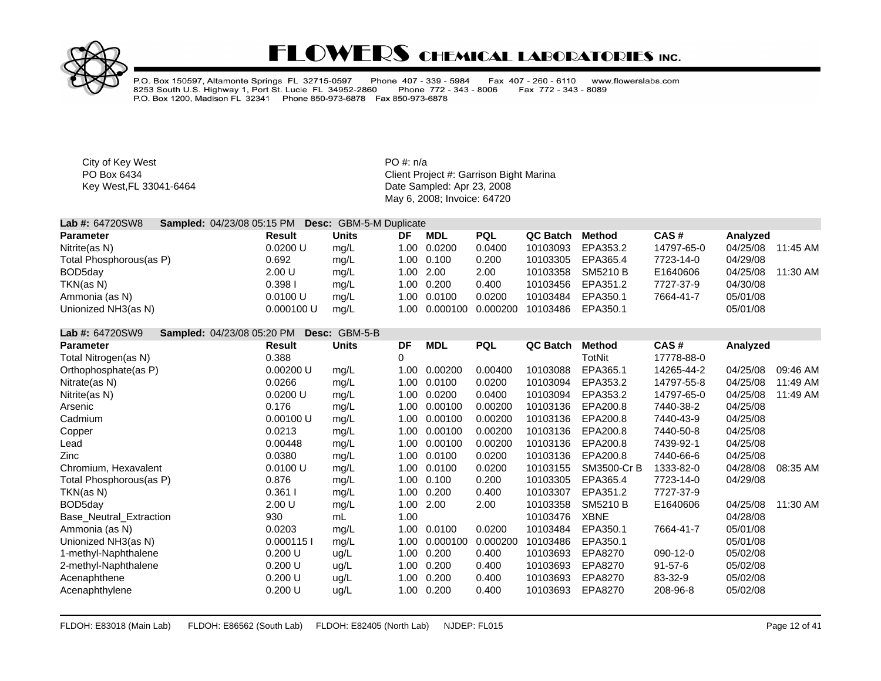

P.O. Box 150597, Altamonte Springs FL 32715-0597 Phone 407 - 339 - 5984<br>8253 South U.S. Highway 1, Port St. Lucie FL 34952-2860 Phone 772 - 343<br>P.O. Box 1200, Madison FL 32341 Phone 850-973-6878 Fax 850-973-6878 Fax 407 - 260 - 6110 www.flowerslabs.com Phone 772 - 343 - 8006 Fax 772 - 343 - 8089

City of Key West **PO** #: n/a

| <b>Lab #: 64720SW8</b>  | <b>Sampled: 04/23/08 05:15 PM Desc: GBM-5-M Duplicate</b> |       |           |               |            |          |          |            |                      |
|-------------------------|-----------------------------------------------------------|-------|-----------|---------------|------------|----------|----------|------------|----------------------|
| <b>Parameter</b>        | Result                                                    | Units | DF        | MDL           | <b>PQL</b> | QC Batch | Method   | CAS#       | Analyzed             |
| Nitrite(as N)           | 0.0200 U                                                  | mg/L  |           | 1.00 0.0200   | 0.0400     | 10103093 | EPA353.2 | 14797-65-0 | 04/25/08<br>11:45 AM |
| Total Phosphorous(as P) | 0.692                                                     | mg/L  |           | 1.00 0.100    | 0.200      | 10103305 | EPA365.4 | 7723-14-0  | 04/29/08             |
| BOD5day                 | 2.00 U                                                    | mg/L  | 1.00 2.00 |               | 2.00       | 10103358 | SM5210 B | E1640606   | 04/25/08<br>11:30 AM |
| TKN(as N)               | 0.3981                                                    | mq/L  |           | 1.00 0.200    | 0.400      | 10103456 | EPA351.2 | 7727-37-9  | 04/30/08             |
| Ammonia (as N)          | 0.0100 U                                                  | mq/L  |           | 1.00 0.0100   | 0.0200     | 10103484 | EPA350.1 | 7664-41-7  | 05/01/08             |
| Unionized NH3(as N)     | 0.000100 U                                                | mq/L  |           | 1.00 0.000100 | 0.000200   | 10103486 | EPA350.1 |            | 05/01/08             |

| Lab #: 64720SW9<br>Sampled: 04/23/08 05:20 PM |               | Desc: GBM-5-B |      |            |            |                 |                 |            |                      |
|-----------------------------------------------|---------------|---------------|------|------------|------------|-----------------|-----------------|------------|----------------------|
| <b>Parameter</b>                              | <b>Result</b> | <b>Units</b>  | DF   | <b>MDL</b> | <b>PQL</b> | <b>QC Batch</b> | Method          | CAS#       | Analyzed             |
| Total Nitrogen(as N)                          | 0.388         |               | 0    |            |            |                 | TotNit          | 17778-88-0 |                      |
| Orthophosphate(as P)                          | 0.00200 U     | mg/L          | .00  | 0.00200    | 0.00400    | 10103088        | EPA365.1        | 14265-44-2 | 04/25/08<br>09:46 AM |
| Nitrate(as N)                                 | 0.0266        | mg/L          | 1.00 | 0.0100     | 0.0200     | 10103094        | EPA353.2        | 14797-55-8 | 04/25/08<br>11:49 AM |
| Nitrite(as N)                                 | 0.0200 U      | mg/L          | 1.00 | 0.0200     | 0.0400     | 10103094        | EPA353.2        | 14797-65-0 | 04/25/08<br>11:49 AM |
| Arsenic                                       | 0.176         | mg/L          | 1.00 | 0.00100    | 0.00200    | 10103136        | EPA200.8        | 7440-38-2  | 04/25/08             |
| Cadmium                                       | 0.00100 U     | mg/L          | 1.00 | 0.00100    | 0.00200    | 10103136        | EPA200.8        | 7440-43-9  | 04/25/08             |
| Copper                                        | 0.0213        | mg/L          | 1.00 | 0.00100    | 0.00200    | 10103136        | EPA200.8        | 7440-50-8  | 04/25/08             |
| Lead                                          | 0.00448       | mg/L          | 0.00 | 0.00100    | 0.00200    | 10103136        | EPA200.8        | 7439-92-1  | 04/25/08             |
| Zinc                                          | 0.0380        | mg/L          | 1.00 | 0.0100     | 0.0200     | 10103136        | EPA200.8        | 7440-66-6  | 04/25/08             |
| Chromium, Hexavalent                          | 0.0100 U      | mg/L          | 1.00 | 0.0100     | 0.0200     | 10103155        | SM3500-Cr B     | 1333-82-0  | 04/28/08<br>08:35 AM |
| Total Phosphorous(as P)                       | 0.876         | mg/L          | 1.00 | 0.100      | 0.200      | 10103305        | EPA365.4        | 7723-14-0  | 04/29/08             |
| TKN(as N)                                     | 0.3611        | mg/L          | 1.00 | 0.200      | 0.400      | 10103307        | EPA351.2        | 7727-37-9  |                      |
| BOD5day                                       | 2.00 U        | mg/L          | 1.00 | 2.00       | 2.00       | 10103358        | <b>SM5210 B</b> | E1640606   | 04/25/08<br>11:30 AM |
| Base_Neutral_Extraction                       | 930           | mL            | 1.00 |            |            | 10103476        | <b>XBNE</b>     |            | 04/28/08             |
| Ammonia (as N)                                | 0.0203        | mg/L          | 1.00 | 0.0100     | 0.0200     | 10103484        | EPA350.1        | 7664-41-7  | 05/01/08             |
| Unionized NH3(as N)                           | 0.000115      | mg/L          | 1.00 | 0.000100   | 0.000200   | 10103486        | EPA350.1        |            | 05/01/08             |
| 1-methyl-Naphthalene                          | 0.200 U       | ug/L          | 1.00 | 0.200      | 0.400      | 10103693        | EPA8270         | 090-12-0   | 05/02/08             |
| 2-methyl-Naphthalene                          | 0.200 U       | ug/L          | 1.00 | 0.200      | 0.400      | 10103693        | EPA8270         | 91-57-6    | 05/02/08             |
| Acenaphthene                                  | 0.200 U       | ug/L          | 1.00 | 0.200      | 0.400      | 10103693        | EPA8270         | 83-32-9    | 05/02/08             |
| Acenaphthylene                                | 0.200 U       | ug/L          | 1.00 | 0.200      | 0.400      | 10103693        | EPA8270         | 208-96-8   | 05/02/08             |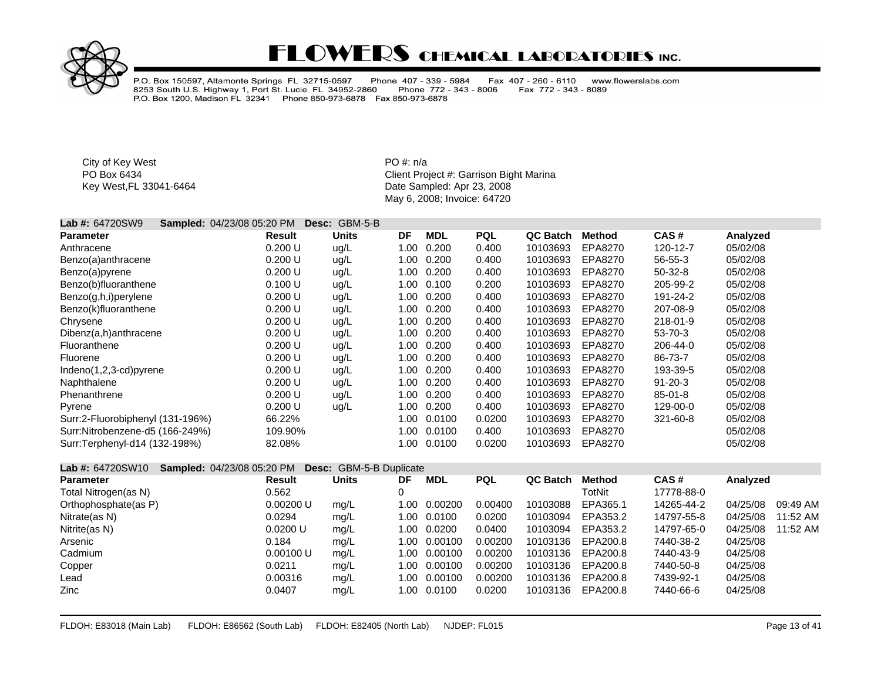

P.O. Box 150597, Altamonte Springs FL 32715-0597 Phone 407 - 339 - 5984<br>8253 South U.S. Highway 1, Port St. Lucie FL 34952-2860 Phone 772 - 343 Fax 407 - 260 - 6110 www.flowerslabs.com Phone 772 - 343 - 8006 Fax 772 - 343 - 8089 P.O. Box 1200, Madison FL 32341 Phone 850-973-6878 Fax 850-973-6878

City of Key West **PO** #: n/a

PO Box 6434 **PO Box 6434** Client Project #: Garrison Bight Marina Key West,FL 33041-6464 **Date Sampled: Apr 23, 2008** May 6, 2008; Invoice: 64720

#### **Lab #:** 64720SW9 **Sampled:** 04/23/08 05:20 PM **Desc:** GBM-5-B

| <b>Parameter</b>                 | <b>Result</b> | <b>Units</b> | DF   | <b>MDL</b> | <b>PQL</b> | <b>QC Batch</b> | Method  | CAS#          | Analyzed |
|----------------------------------|---------------|--------------|------|------------|------------|-----------------|---------|---------------|----------|
| Anthracene                       | 0.200 U       | ug/L         | 1.00 | 0.200      | 0.400      | 10103693        | EPA8270 | 120-12-7      | 05/02/08 |
| Benzo(a)anthracene               | 0.200 U       | ug/L         | 1.00 | 0.200      | 0.400      | 10103693        | EPA8270 | 56-55-3       | 05/02/08 |
| Benzo(a)pyrene                   | 0.200 U       | ug/L         | 1.00 | 0.200      | 0.400      | 10103693        | EPA8270 | $50-32-8$     | 05/02/08 |
| Benzo(b)fluoranthene             | 0.100 U       | ug/L         | 1.00 | 0.100      | 0.200      | 10103693        | EPA8270 | 205-99-2      | 05/02/08 |
| Benzo(g,h,i)perylene             | 0.200 U       | ug/L         | 1.00 | 0.200      | 0.400      | 10103693        | EPA8270 | 191-24-2      | 05/02/08 |
| Benzo(k)fluoranthene             | 0.200 U       | ug/L         | 1.00 | 0.200      | 0.400      | 10103693        | EPA8270 | 207-08-9      | 05/02/08 |
| Chrysene                         | 0.200 U       | ug/L         | 1.00 | 0.200      | 0.400      | 10103693        | EPA8270 | 218-01-9      | 05/02/08 |
| Dibenz(a,h)anthracene            | 0.200 U       | ug/L         | 1.00 | 0.200      | 0.400      | 10103693        | EPA8270 | $53 - 70 - 3$ | 05/02/08 |
| Fluoranthene                     | 0.200 U       | ug/L         | 1.00 | 0.200      | 0.400      | 10103693        | EPA8270 | 206-44-0      | 05/02/08 |
| Fluorene                         | 0.200 U       | ug/L         | 1.00 | 0.200      | 0.400      | 10103693        | EPA8270 | 86-73-7       | 05/02/08 |
| Indeno(1,2,3-cd)pyrene           | 0.200 U       | ug/L         | 1.00 | 0.200      | 0.400      | 10103693        | EPA8270 | 193-39-5      | 05/02/08 |
| Naphthalene                      | 0.200 U       | ug/L         | 1.00 | 0.200      | 0.400      | 10103693        | EPA8270 | $91 - 20 - 3$ | 05/02/08 |
| Phenanthrene                     | 0.200 U       | ug/L         | 1.00 | 0.200      | 0.400      | 10103693        | EPA8270 | $85 - 01 - 8$ | 05/02/08 |
| Pyrene                           | 0.200 U       | ug/L         | 1.00 | 0.200      | 0.400      | 10103693        | EPA8270 | 129-00-0      | 05/02/08 |
| Surr:2-Fluorobiphenyl (131-196%) | 66.22%        |              | 1.00 | 0.0100     | 0.0200     | 10103693        | EPA8270 | 321-60-8      | 05/02/08 |
| Surr:Nitrobenzene-d5 (166-249%)  | 109.90%       |              | 1.00 | 0.0100     | 0.400      | 10103693        | EPA8270 |               | 05/02/08 |
| Surr:Terphenyl-d14 (132-198%)    | 82.08%        |              | 1.00 | 0.0100     | 0.0200     | 10103693        | EPA8270 |               | 05/02/08 |

#### **Lab #:** 64720SW10 **Sampled:** 04/23/08 05:20 PM **Desc:** GBM-5-B Duplicate

| <b>Parameter</b>     | Result    | <b>Units</b> | DF   | <b>MDL</b> | <b>PQL</b> | QC Batch | Method   | CAS#       | Analyzed |          |
|----------------------|-----------|--------------|------|------------|------------|----------|----------|------------|----------|----------|
| Total Nitrogen(as N) | 0.562     |              |      |            |            |          | TotNit   | 17778-88-0 |          |          |
| Orthophosphate(as P) | 0.00200 U | mg/L         | 1.00 | 0.00200    | 0.00400    | 10103088 | EPA365.1 | 14265-44-2 | 04/25/08 | 09:49 AM |
| Nitrate(as N)        | 0.0294    | mq/L         | 1.00 | 0.0100     | 0.0200     | 10103094 | EPA353.2 | 14797-55-8 | 04/25/08 | 11:52 AM |
| Nitrite(as N)        | 0.0200 U  | mg/L         | 1.00 | 0.0200     | 0.0400     | 10103094 | EPA353.2 | 14797-65-0 | 04/25/08 | 11:52 AM |
| Arsenic              | 0.184     | mq/L         | 1.00 | 0.00100    | 0.00200    | 10103136 | EPA200.8 | 7440-38-2  | 04/25/08 |          |
| Cadmium              | 0.00100 U | mq/L         | 1.00 | 0.00100    | 0.00200    | 10103136 | EPA200.8 | 7440-43-9  | 04/25/08 |          |
| Copper               | 0.0211    | mq/L         | 1.00 | 0.00100    | 0.00200    | 10103136 | EPA200.8 | 7440-50-8  | 04/25/08 |          |
| Lead                 | 0.00316   | mq/L         | 1.00 | 0.00100    | 0.00200    | 10103136 | EPA200.8 | 7439-92-1  | 04/25/08 |          |
| Zinc                 | 0.0407    | mg/L         | 1.00 | 0.0100     | 0.0200     | 10103136 | EPA200.8 | 7440-66-6  | 04/25/08 |          |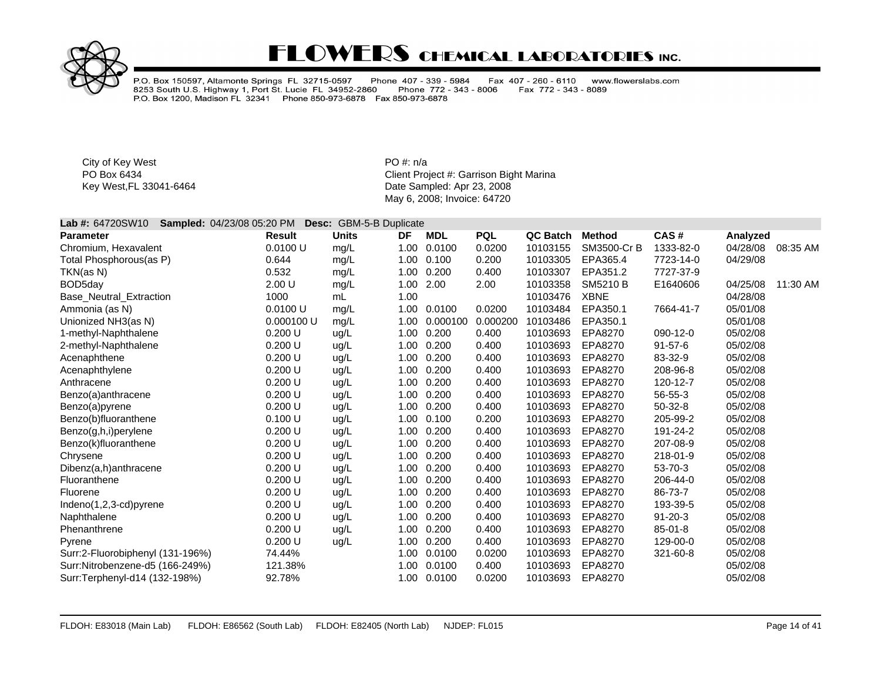

P.O. Box 150597, Altamonte Springs FL 32715-0597 Phone 407 - 339 - 5984<br>8253 South U.S. Highway 1, Port St. Lucie FL 34952-2860 Phone 772 - 343<br>P.O. Box 1200, Madison FL 32341 Phone 850-973-6878 Fax 850-973-6878 Fax 407 - 260 - 6110 www.flowerslabs.com Phone 772 - 343 - 8006 Fax 772 - 343 - 8089

City of Key West **PO** #: n/a

PO Box 6434 **PO Box 6434** Client Project #: Garrison Bight Marina Key West,FL 33041-6464 **Date Sampled: Apr 23, 2008** May 6, 2008; Invoice: 64720

#### **Lab #:** 64720SW10 **Sampled:** 04/23/08 05:20 PM **Desc:** GBM-5-B Duplicate

| <b>Result</b> | <b>Units</b> | DF   | <b>MDL</b> | <b>PQL</b> | QC Batch | Method          | CAS#          | Analyzed |          |
|---------------|--------------|------|------------|------------|----------|-----------------|---------------|----------|----------|
| 0.0100 U      | mg/L         | 1.00 | 0.0100     | 0.0200     | 10103155 | SM3500-Cr B     | 1333-82-0     | 04/28/08 | 08:35 AM |
| 0.644         | mg/L         | 1.00 | 0.100      | 0.200      | 10103305 | EPA365.4        | 7723-14-0     | 04/29/08 |          |
| 0.532         | mg/L         | 1.00 | 0.200      | 0.400      | 10103307 | EPA351.2        | 7727-37-9     |          |          |
| 2.00 U        | mg/L         | 1.00 | 2.00       | 2.00       | 10103358 | <b>SM5210 B</b> | E1640606      | 04/25/08 | 11:30 AM |
| 1000          | mL           | 1.00 |            |            | 10103476 | <b>XBNE</b>     |               | 04/28/08 |          |
| 0.0100 U      | mg/L         | 1.00 | 0.0100     | 0.0200     | 10103484 | EPA350.1        | 7664-41-7     | 05/01/08 |          |
| 0.000100 U    | mg/L         | 1.00 | 0.000100   | 0.000200   | 10103486 | EPA350.1        |               | 05/01/08 |          |
| 0.200 U       | ug/L         | 1.00 | 0.200      | 0.400      | 10103693 | EPA8270         | 090-12-0      | 05/02/08 |          |
| 0.200 U       | ug/L         | 1.00 | 0.200      | 0.400      | 10103693 | EPA8270         | $91 - 57 - 6$ | 05/02/08 |          |
| 0.200 U       | ug/L         | 1.00 | 0.200      | 0.400      | 10103693 | EPA8270         | 83-32-9       | 05/02/08 |          |
| 0.200 U       | ug/L         | 1.00 | 0.200      | 0.400      | 10103693 | EPA8270         | 208-96-8      | 05/02/08 |          |
| 0.200 U       | ug/L         | 1.00 | 0.200      | 0.400      | 10103693 | EPA8270         | 120-12-7      | 05/02/08 |          |
| 0.200 U       | ug/L         | 1.00 | 0.200      | 0.400      | 10103693 | EPA8270         | 56-55-3       | 05/02/08 |          |
| 0.200 U       | ug/L         | 1.00 | 0.200      | 0.400      | 10103693 | EPA8270         | 50-32-8       | 05/02/08 |          |
| 0.100 U       | ug/L         | 1.00 | 0.100      | 0.200      | 10103693 | EPA8270         | 205-99-2      | 05/02/08 |          |
| 0.200 U       | ug/L         | 1.00 | 0.200      | 0.400      | 10103693 | EPA8270         | 191-24-2      | 05/02/08 |          |
| 0.200 U       | ug/L         | 1.00 | 0.200      | 0.400      | 10103693 | EPA8270         | 207-08-9      | 05/02/08 |          |
| 0.200 U       | ug/L         | 1.00 | 0.200      | 0.400      | 10103693 | EPA8270         | 218-01-9      | 05/02/08 |          |
| 0.200 U       | ug/L         | 1.00 | 0.200      | 0.400      | 10103693 | EPA8270         | 53-70-3       | 05/02/08 |          |
| 0.200 U       | ug/L         | 1.00 |            | 0.400      | 10103693 | EPA8270         | 206-44-0      | 05/02/08 |          |
| 0.200 U       | ug/L         | 1.00 | 0.200      | 0.400      | 10103693 | EPA8270         | 86-73-7       | 05/02/08 |          |
| 0.200 U       | ug/L         | 1.00 | 0.200      | 0.400      | 10103693 | EPA8270         | 193-39-5      | 05/02/08 |          |
| 0.200 U       | ug/L         | 1.00 | 0.200      | 0.400      | 10103693 | EPA8270         | $91 - 20 - 3$ | 05/02/08 |          |
| 0.200 U       | ug/L         | 1.00 | 0.200      | 0.400      | 10103693 | EPA8270         | $85 - 01 - 8$ | 05/02/08 |          |
| 0.200 U       | ug/L         | 1.00 | 0.200      | 0.400      | 10103693 | EPA8270         | 129-00-0      | 05/02/08 |          |
| 74.44%        |              | 1.00 | 0.0100     | 0.0200     | 10103693 | EPA8270         | 321-60-8      | 05/02/08 |          |
| 121.38%       |              | 1.00 | 0.0100     | 0.400      | 10103693 | EPA8270         |               | 05/02/08 |          |
| 92.78%        |              | 1.00 | 0.0100     | 0.0200     | 10103693 | EPA8270         |               | 05/02/08 |          |
|               |              |      |            | 0.200      |          |                 |               |          |          |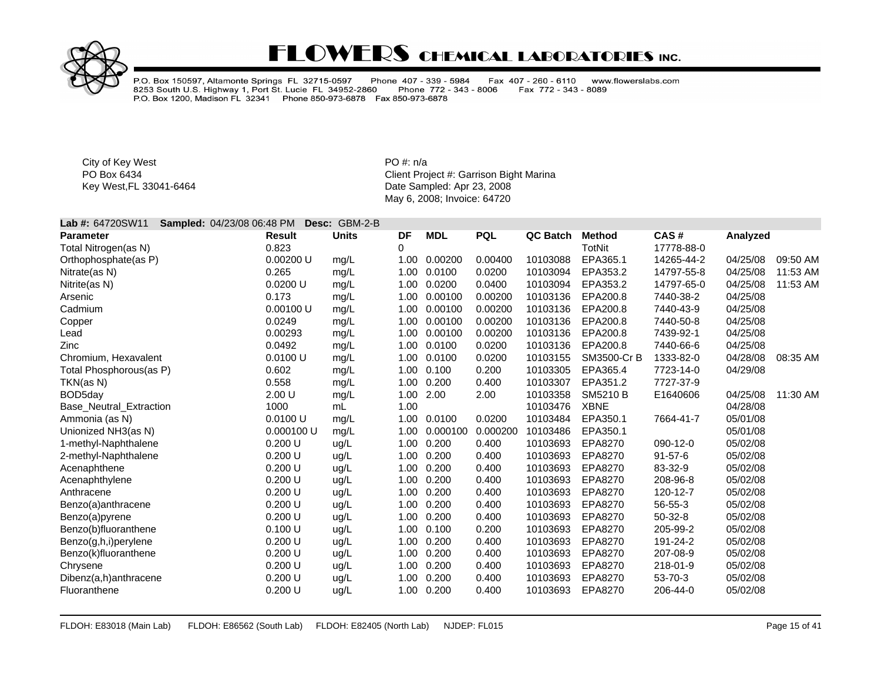

P.O. Box 150597, Altamonte Springs FL 32715-0597 Phone 407 - 339 - 5984<br>8253 South U.S. Highway 1, Port St. Lucie FL 34952-2860 Phone 772 - 343<br>P.O. Box 1200, Madison FL 32341 Phone 850-973-6878 Fax 850-973-6878 Fax 407 - 260 - 6110 www.flowerslabs.com Phone 772 - 343 - 8006 Fax 772 - 343 - 8089

City of Key West **PO** #: n/a

PO Box 6434 **PO Box 6434** Client Project #: Garrison Bight Marina Key West,FL 33041-6464 **Date Sampled: Apr 23, 2008** May 6, 2008; Invoice: 64720

#### **Lab #:** 64720SW11 **Sampled:** 04/23/08 06:48 PM **Desc:** GBM-2-B

| <b>Parameter</b>        | <b>Result</b> | <b>Units</b> | DF   | <b>MDL</b> | <b>PQL</b> | QC Batch | Method          | CAS#          | Analyzed |          |
|-------------------------|---------------|--------------|------|------------|------------|----------|-----------------|---------------|----------|----------|
| Total Nitrogen(as N)    | 0.823         |              | 0    |            |            |          | TotNit          | 17778-88-0    |          |          |
| Orthophosphate(as P)    | 0.00200 U     | mg/L         | 1.00 | 0.00200    | 0.00400    | 10103088 | EPA365.1        | 14265-44-2    | 04/25/08 | 09:50 AM |
| Nitrate(as N)           | 0.265         | mg/L         | 1.00 | 0.0100     | 0.0200     | 10103094 | EPA353.2        | 14797-55-8    | 04/25/08 | 11:53 AM |
| Nitrite(as N)           | 0.0200 U      | mg/L         | 1.00 | 0.0200     | 0.0400     | 10103094 | EPA353.2        | 14797-65-0    | 04/25/08 | 11:53 AM |
| Arsenic                 | 0.173         | mg/L         | 1.00 | 0.00100    | 0.00200    | 10103136 | EPA200.8        | 7440-38-2     | 04/25/08 |          |
| Cadmium                 | 0.00100 U     | mg/L         | 1.00 | 0.00100    | 0.00200    | 10103136 | EPA200.8        | 7440-43-9     | 04/25/08 |          |
| Copper                  | 0.0249        | mg/L         | 1.00 | 0.00100    | 0.00200    | 10103136 | EPA200.8        | 7440-50-8     | 04/25/08 |          |
| Lead                    | 0.00293       | mg/L         | 1.00 | 0.00100    | 0.00200    | 10103136 | EPA200.8        | 7439-92-1     | 04/25/08 |          |
| Zinc                    | 0.0492        | mg/L         | 1.00 | 0.0100     | 0.0200     | 10103136 | EPA200.8        | 7440-66-6     | 04/25/08 |          |
| Chromium, Hexavalent    | 0.0100 U      | mg/L         | 1.00 | 0.0100     | 0.0200     | 10103155 | SM3500-Cr B     | 1333-82-0     | 04/28/08 | 08:35 AM |
| Total Phosphorous(as P) | 0.602         | mg/L         | 1.00 | 0.100      | 0.200      | 10103305 | EPA365.4        | 7723-14-0     | 04/29/08 |          |
| TKN(as N)               | 0.558         | mg/L         | 1.00 | 0.200      | 0.400      | 10103307 | EPA351.2        | 7727-37-9     |          |          |
| BOD5day                 | 2.00 U        | mg/L         | 1.00 | 2.00       | 2.00       | 10103358 | <b>SM5210 B</b> | E1640606      | 04/25/08 | 11:30 AM |
| Base_Neutral_Extraction | 1000          | mL           | 1.00 |            |            | 10103476 | <b>XBNE</b>     |               | 04/28/08 |          |
| Ammonia (as N)          | 0.0100 U      | mg/L         | 1.00 | 0.0100     | 0.0200     | 10103484 | EPA350.1        | 7664-41-7     | 05/01/08 |          |
| Unionized NH3(as N)     | 0.000100 U    | mg/L         | 1.00 | 0.000100   | 0.000200   | 10103486 | EPA350.1        |               | 05/01/08 |          |
| 1-methyl-Naphthalene    | 0.200 U       | ug/L         | 1.00 | 0.200      | 0.400      | 10103693 | EPA8270         | 090-12-0      | 05/02/08 |          |
| 2-methyl-Naphthalene    | 0.200 U       | ug/L         | 1.00 | 0.200      | 0.400      | 10103693 | EPA8270         | $91 - 57 - 6$ | 05/02/08 |          |
| Acenaphthene            | 0.200 U       | ug/L         | 1.00 | 0.200      | 0.400      | 10103693 | EPA8270         | 83-32-9       | 05/02/08 |          |
| Acenaphthylene          | 0.200 U       | ug/L         | 1.00 | 0.200      | 0.400      | 10103693 | EPA8270         | 208-96-8      | 05/02/08 |          |
| Anthracene              | 0.200 U       | ug/L         | 1.00 | 0.200      | 0.400      | 10103693 | EPA8270         | 120-12-7      | 05/02/08 |          |
| Benzo(a)anthracene      | 0.200 U       | ug/L         | 1.00 | 0.200      | 0.400      | 10103693 | EPA8270         | 56-55-3       | 05/02/08 |          |
| Benzo(a)pyrene          | 0.200 U       | ug/L         | 1.00 | 0.200      | 0.400      | 10103693 | EPA8270         | $50-32-8$     | 05/02/08 |          |
| Benzo(b)fluoranthene    | 0.100 U       | ug/L         | 1.00 | 0.100      | 0.200      | 10103693 | EPA8270         | 205-99-2      | 05/02/08 |          |
| Benzo(g,h,i)perylene    | 0.200 U       | ug/L         | 1.00 | 0.200      | 0.400      | 10103693 | EPA8270         | 191-24-2      | 05/02/08 |          |
| Benzo(k)fluoranthene    | 0.200 U       | ug/L         | 1.00 | 0.200      | 0.400      | 10103693 | EPA8270         | 207-08-9      | 05/02/08 |          |
| Chrysene                | 0.200 U       | ug/L         | 1.00 | 0.200      | 0.400      | 10103693 | EPA8270         | 218-01-9      | 05/02/08 |          |
| Dibenz(a,h)anthracene   | 0.200 U       | ug/L         | 1.00 | 0.200      | 0.400      | 10103693 | EPA8270         | 53-70-3       | 05/02/08 |          |
| Fluoranthene            | 0.200 U       | ug/L         | 1.00 | 0.200      | 0.400      | 10103693 | EPA8270         | 206-44-0      | 05/02/08 |          |
|                         |               |              |      |            |            |          |                 |               |          |          |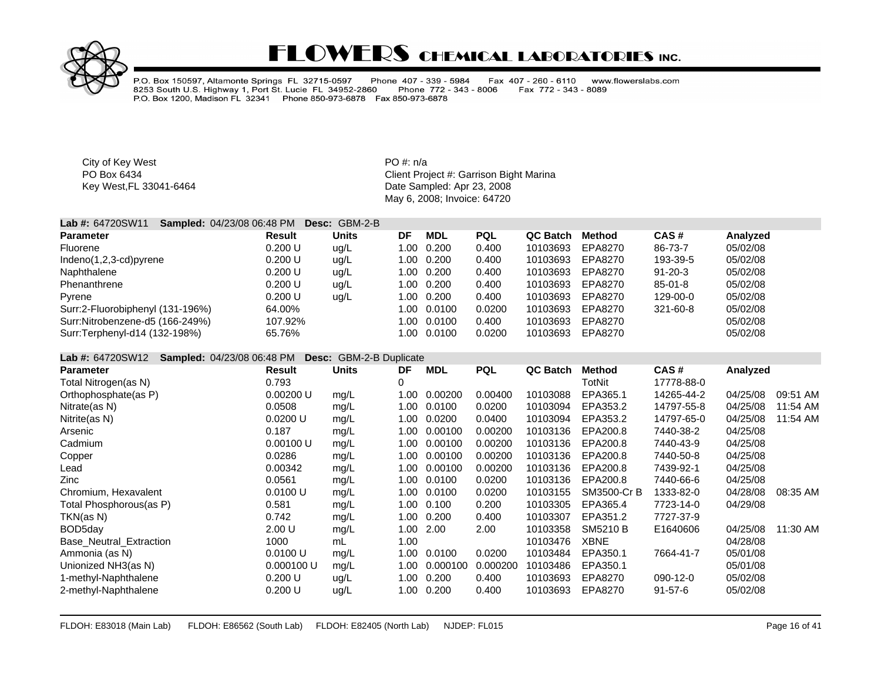

P.O. Box 150597, Altamonte Springs FL 32715-0597 Phone 407 - 339 - 5984<br>8253 South U.S. Highway 1, Port St. Lucie FL 34952-2860 Phone 772 - 343 Fax 407 - 260 - 6110 www.flowerslabs.com Fax 772 - 343 - 8089 Phone 772 - 343 - 8006 P.O. Box 1200, Madison FL 32341 Phone 850-973-6878 Fax 850-973-6878

City of Key West **PO** #: n/a

PO Box 6434 **PO Box 6434** Client Project #: Garrison Bight Marina Key West,FL 33041-6464 **Date Sampled: Apr 23, 2008** May 6, 2008; Invoice: 64720

#### **Lab #:** 64720SW11 **Sampled:** 04/23/08 06:48 PM **Desc:** GBM-2-B

| <b>Parameter</b>                 | Result  | Units | DF   | <b>MDL</b> | <b>PQL</b> | QC Batch | Method  | CAS#          | Analvzed |
|----------------------------------|---------|-------|------|------------|------------|----------|---------|---------------|----------|
| Fluorene                         | 0.200 U | ug/L  | 1.00 | 0.200      | 0.400      | 10103693 | EPA8270 | 86-73-7       | 05/02/08 |
| Indeno(1,2,3-cd)pyrene           | 0.200 U | uq/L  |      | 1.00 0.200 | 0.400      | 10103693 | EPA8270 | 193-39-5      | 05/02/08 |
| Naphthalene                      | 0.200 U | uq/L  |      | 1.00 0.200 | 0.400      | 10103693 | EPA8270 | $91 - 20 - 3$ | 05/02/08 |
| Phenanthrene                     | 0.200 U | ug/L  |      | 1.00 0.200 | 0.400      | 10103693 | EPA8270 | $85 - 01 - 8$ | 05/02/08 |
| Pyrene                           | 0.200 U | ug/L  | 1.00 | 0.200      | 0.400      | 10103693 | EPA8270 | 129-00-0      | 05/02/08 |
| Surr:2-Fluorobiphenyl (131-196%) | 64.00%  |       | 1.00 | 0.0100     | 0.0200     | 10103693 | EPA8270 | 321-60-8      | 05/02/08 |
| Surr:Nitrobenzene-d5 (166-249%)  | 107.92% |       | 1.00 | 0.0100     | 0.400      | 10103693 | EPA8270 |               | 05/02/08 |
| Surr:Terphenyl-d14 (132-198%)    | 65.76%  |       | 1.00 | 0.0100     | 0.0200     | 10103693 | EPA8270 |               | 05/02/08 |

#### **Lab #:** 64720SW12 **Sampled:** 04/23/08 06:48 PM **Desc:** GBM-2-B Duplicate

| <b>Parameter</b>               | Result     | <b>Units</b> | DF   | <b>MDL</b> | <b>PQL</b> | QC Batch | <b>Method</b> | CAS#       | Analyzed |          |
|--------------------------------|------------|--------------|------|------------|------------|----------|---------------|------------|----------|----------|
| Total Nitrogen(as N)           | 0.793      |              | 0    |            |            |          | TotNit        | 17778-88-0 |          |          |
| Orthophosphate(as P)           | 0.00200 U  | mg/L         | 1.00 | 0.00200    | 0.00400    | 10103088 | EPA365.1      | 14265-44-2 | 04/25/08 | 09:51 AM |
| Nitrate(as N)                  | 0.0508     | mg/L         | 1.00 | 0.0100     | 0.0200     | 10103094 | EPA353.2      | 14797-55-8 | 04/25/08 | 11:54 AM |
| Nitrite(as N)                  | 0.0200 U   | mg/L         | 1.00 | 0.0200     | 0.0400     | 10103094 | EPA353.2      | 14797-65-0 | 04/25/08 | 11:54 AM |
| Arsenic                        | 0.187      | mg/L         | 1.00 | 0.00100    | 0.00200    | 10103136 | EPA200.8      | 7440-38-2  | 04/25/08 |          |
| Cadmium                        | 0.00100 U  | mg/L         | 1.00 | 0.00100    | 0.00200    | 10103136 | EPA200.8      | 7440-43-9  | 04/25/08 |          |
| Copper                         | 0.0286     | mg/L         | 1.00 | 0.00100    | 0.00200    | 10103136 | EPA200.8      | 7440-50-8  | 04/25/08 |          |
| Lead                           | 0.00342    | mg/L         | 1.00 | 0.00100    | 0.00200    | 10103136 | EPA200.8      | 7439-92-1  | 04/25/08 |          |
| Zinc                           | 0.0561     | mg/L         | 1.00 | 0.0100     | 0.0200     | 10103136 | EPA200.8      | 7440-66-6  | 04/25/08 |          |
| Chromium, Hexavalent           | 0.0100 U   | mg/L         | 1.00 | 0.0100     | 0.0200     | 10103155 | SM3500-Cr B   | 1333-82-0  | 04/28/08 | 08:35 AM |
| Total Phosphorous(as P)        | 0.581      | mg/L         | 1.00 | 0.100      | 0.200      | 10103305 | EPA365.4      | 7723-14-0  | 04/29/08 |          |
| TKN(as N)                      | 0.742      | mg/L         | 1.00 | 0.200      | 0.400      | 10103307 | EPA351.2      | 7727-37-9  |          |          |
| BOD <sub>5day</sub>            | 2.00 U     | mg/L         | 1.00 | 2.00       | 2.00       | 10103358 | SM5210 B      | E1640606   | 04/25/08 | 11:30 AM |
| <b>Base Neutral Extraction</b> | 1000       | mL           | 1.00 |            |            | 10103476 | XBNE          |            | 04/28/08 |          |
| Ammonia (as N)                 | 0.0100 U   | mg/L         | 1.00 | 0.0100     | 0.0200     | 10103484 | EPA350.1      | 7664-41-7  | 05/01/08 |          |
| Unionized NH3(as N)            | 0.000100 U | mg/L         | 1.00 | 0.000100   | 0.000200   | 10103486 | EPA350.1      |            | 05/01/08 |          |
| 1-methyl-Naphthalene           | 0.200 U    | ug/L         | 1.00 | 0.200      | 0.400      | 10103693 | EPA8270       | 090-12-0   | 05/02/08 |          |
| 2-methyl-Naphthalene           | 0.200 U    | ug/L         | 1.00 | 0.200      | 0.400      | 10103693 | EPA8270       | 91-57-6    | 05/02/08 |          |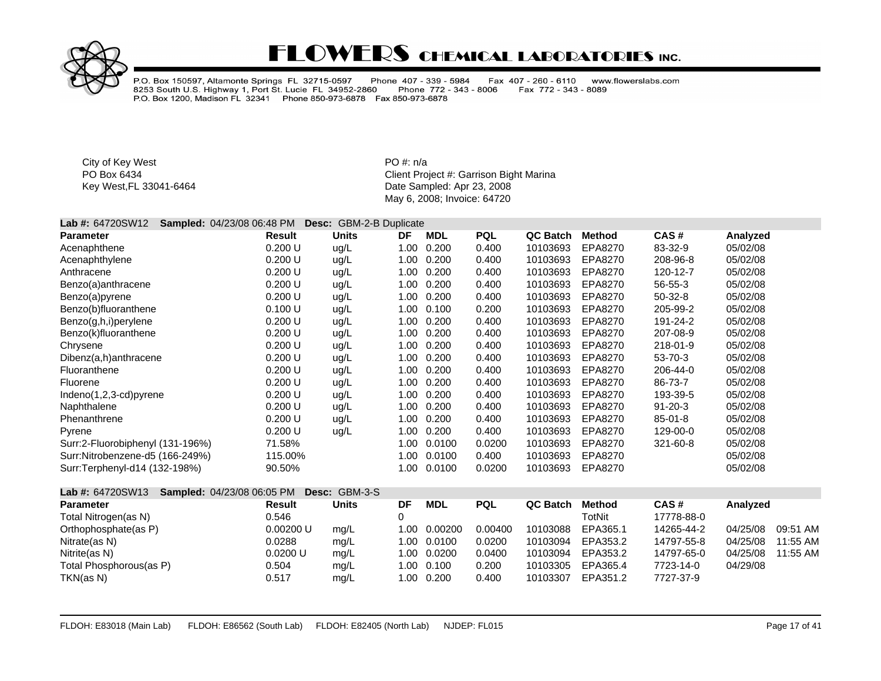

Fax 407 - 260 - 6110 P.O. Box 150597, Altamonte Springs FL 32715-0597 Phone 407 - 339 - 5984 www.flowerslabs.com 8253 South U.S. Highway 1, Port St. Lucie FL 34952-2860 Phone 772 - 343 - 8006 Fax 772 - 343 - 8089 P.O. Box 1200, Madison FL 32341 Phone 850-973-6878 Fax 850-973-6878

City of Key West PO #: n/a

PO Box 6434 **PO Box 6434** Client Project #: Garrison Bight Marina Key West, FL 33041-6464 **Date Sampled: Apr 23, 2008** May 6, 2008; Invoice: 64720

#### **Lab #:** 64720SW12 **Sampled:** 04/23/08 06:48 PM **Desc:** GBM-2-B Duplicate

| <b>Parameter</b>                 | Result  | Units | DF   | <b>MDL</b> | PQL    | <b>QC Batch</b> | <b>Method</b> | CAS#          | Analyzed |
|----------------------------------|---------|-------|------|------------|--------|-----------------|---------------|---------------|----------|
| Acenaphthene                     | 0.200 U | ug/L  | 1.00 | 0.200      | 0.400  | 10103693        | EPA8270       | 83-32-9       | 05/02/08 |
| Acenaphthylene                   | 0.200 U | ug/L  | 1.00 | 0.200      | 0.400  | 10103693        | EPA8270       | 208-96-8      | 05/02/08 |
| Anthracene                       | 0.200 U | ug/L  | 1.00 | 0.200      | 0.400  | 10103693        | EPA8270       | 120-12-7      | 05/02/08 |
| Benzo(a)anthracene               | 0.200 U | ug/L  | 1.00 | 0.200      | 0.400  | 10103693        | EPA8270       | 56-55-3       | 05/02/08 |
| Benzo(a)pyrene                   | 0.200 U | ug/L  | 1.00 | 0.200      | 0.400  | 10103693        | EPA8270       | $50-32-8$     | 05/02/08 |
| Benzo(b)fluoranthene             | 0.100 U | ug/L  | 1.00 | 0.100      | 0.200  | 10103693        | EPA8270       | 205-99-2      | 05/02/08 |
| Benzo(g,h,i)perylene             | 0.200 U | ug/L  | 1.00 | 0.200      | 0.400  | 10103693        | EPA8270       | 191-24-2      | 05/02/08 |
| Benzo(k)fluoranthene             | 0.200 U | ug/L  | 1.00 | 0.200      | 0.400  | 10103693        | EPA8270       | 207-08-9      | 05/02/08 |
| Chrysene                         | 0.200 U | ug/L  | 1.00 | 0.200      | 0.400  | 10103693        | EPA8270       | 218-01-9      | 05/02/08 |
| Dibenz(a,h)anthracene            | 0.200 U | ug/L  | 1.00 | 0.200      | 0.400  | 10103693        | EPA8270       | 53-70-3       | 05/02/08 |
| Fluoranthene                     | 0.200 U | ug/L  | 1.00 | 0.200      | 0.400  | 10103693        | EPA8270       | 206-44-0      | 05/02/08 |
| Fluorene                         | 0.200 U | ug/L  | 1.00 | 0.200      | 0.400  | 10103693        | EPA8270       | 86-73-7       | 05/02/08 |
| Indeno(1,2,3-cd)pyrene           | 0.200 U | ug/L  | 1.00 | 0.200      | 0.400  | 10103693        | EPA8270       | 193-39-5      | 05/02/08 |
| Naphthalene                      | 0.200 U | ug/L  | 1.00 | 0.200      | 0.400  | 10103693        | EPA8270       | $91 - 20 - 3$ | 05/02/08 |
| Phenanthrene                     | 0.200 U | ug/L  | 1.00 | 0.200      | 0.400  | 10103693        | EPA8270       | 85-01-8       | 05/02/08 |
| Pyrene                           | 0.200 U | ug/L  | 1.00 | 0.200      | 0.400  | 10103693        | EPA8270       | 129-00-0      | 05/02/08 |
| Surr:2-Fluorobiphenyl (131-196%) | 71.58%  |       | 1.00 | 0.0100     | 0.0200 | 10103693        | EPA8270       | 321-60-8      | 05/02/08 |
| Surr:Nitrobenzene-d5 (166-249%)  | 115.00% |       | 1.00 | 0.0100     | 0.400  | 10103693        | EPA8270       |               | 05/02/08 |
| Surr:Terphenyl-d14 (132-198%)    | 90.50%  |       | 1.00 | 0.0100     | 0.0200 | 10103693        | EPA8270       |               | 05/02/08 |

#### **Lab #:** 64720SW13 **Sampled:** 04/23/08 06:05 PM **Desc:** GBM-3-S **Parameter Result Units DF MDL PQL QC Batch Method CAS # Analyzed** Total Nitrogen(as N)  $0.546$  0.546 0 TotNit 17778-88-0 Orthophosphate(as P) 0.00200 U mg/L 1.00 0.00200 0.00400 10103088 EPA365.1 14265-44-2 04/25/08 09:51 AM Nitrate(as N)  $0.0288$  mg/L  $1.00$   $0.0100$   $0.0200$   $10103094$  EPA353.2  $14797-55-8$   $0.04/25/08$   $11:55$  AM Nitrite(as N) 0.0200 U mg/L 1.00 0.0200 0.0400 10103094 EPA353.2 14797-65-0 04/25/08 11:55 AM Total Phosphorous(as P) 0.504 mg/L 1.00 0.100 0.200 10103305 EPA365.4 7723-14-0 04/29/08 TKN(as N) 0.517 mg/L 1.00 0.200 0.400 10103307 EPA351.2 7727-37-9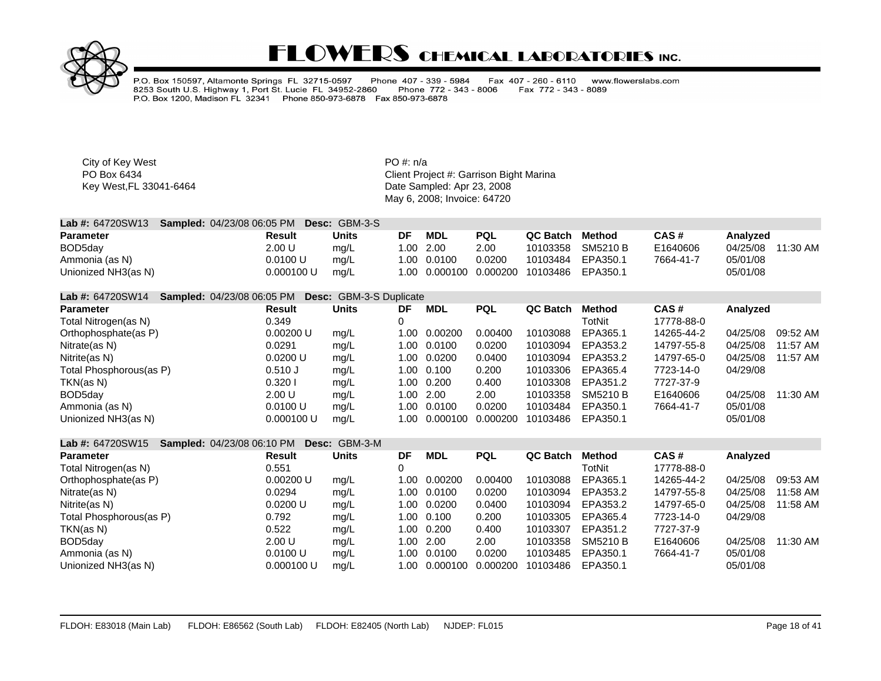

P.O. Box 150597, Altamonte Springs FL 32715-0597 Phone 407 - 339 - 5984 Fax 407 - 260 - 6110 www.flowerslabs.com 8253 South U.S. Highway 1, Port St. Lucie FL 34952-2860 Phone 772 - 343 - 8006 Fax 772 - 343 - 8089 P.O. Box 1200, Madison FL 32341 Phone 850-973-6878 Fax 850-973-6878

City of Key West **PO** #: n/a

| <b>Parameter</b>    | Result     | Units | DF  | MDL                      | <b>PQL</b> | QC Batch | Method   | CAS#      | Analvzed |          |
|---------------------|------------|-------|-----|--------------------------|------------|----------|----------|-----------|----------|----------|
| BOD5day             | 2.00 U     | mq/L  | .00 | 2.00                     | 2.00       | 10103358 | SM5210 B | E1640606  | 04/25/08 | 11:30 AM |
| Ammonia (as N)      | 0.0100 U   | mq/L  | .00 | 0.0100                   | 0.0200     | 10103484 | EPA350.1 | 7664-41-7 | 05/01/08 |          |
| Unionized NH3(as N) | 0.000100 U | mg/L  |     | 1.00  0.000100  0.000200 |            | 10103486 | EPA350.1 |           | 05/01/08 |          |

|  | Lab #: 64720SW14    Sampled: 04/23/08 06:05 PM    Desc: GBM-3-S Duplicate |  |  |
|--|---------------------------------------------------------------------------|--|--|
|--|---------------------------------------------------------------------------|--|--|

| <b>Parameter</b>        | Result     | <b>Units</b> | DF    | <b>MDL</b>  | <b>PQL</b> | QC Batch | Method   | CAS#       | Analyzed |            |
|-------------------------|------------|--------------|-------|-------------|------------|----------|----------|------------|----------|------------|
| Total Nitrogen(as N)    | 0.349      |              |       |             |            |          | TotNit   | 17778-88-0 |          |            |
| Orthophosphate(as P)    | 0.00200 U  | mq/L         | L.OO. | 0.00200     | 0.00400    | 10103088 | EPA365.1 | 14265-44-2 | 04/25/08 | 09:52 AM   |
| Nitrate(as N)           | 0.0291     | mg/L         | .00 ا | 0.0100      | 0.0200     | 10103094 | EPA353.2 | 14797-55-8 | 04/25/08 | 11:57 AM   |
| Nitrite(as N)           | 0.0200 U   | mq/L         | .00 ا | 0.0200      | 0.0400     | 10103094 | EPA353.2 | 14797-65-0 | 04/25/08 | 11:57 AM   |
| Total Phosphorous(as P) | $0.510$ J  | mq/L         |       | 1.00 0.100  | 0.200      | 10103306 | EPA365.4 | 7723-14-0  | 04/29/08 |            |
| TKN(as N)               | 0.3201     | mg/L         |       | 1.00  0.200 | 0.400      | 10103308 | EPA351.2 | 7727-37-9  |          |            |
| BOD5day                 | 2.00 U     | mq/L         | .00   | 2.00        | 2.00       | 10103358 | SM5210 B | E1640606   | 04/25/08 | $11:30$ AM |
| Ammonia (as N)          | 0.0100 U   | mq/L         | .00 ا | 0.0100      | 0.0200     | 10103484 | EPA350.1 | 7664-41-7  | 05/01/08 |            |
| Unionized NH3(as N)     | 0.000100 U | mq/L         | .00   | 0.000100    | 0.000200   | 10103486 | EPA350.1 |            | 05/01/08 |            |

| <b>Sampled: 04/23/08 06:10 PM</b><br><b>Lab #: <math>64720SW15</math></b> |            | <b>Desc: GBM-3-M</b> |      |            |            |                 |          |            |          |          |
|---------------------------------------------------------------------------|------------|----------------------|------|------------|------------|-----------------|----------|------------|----------|----------|
| <b>Parameter</b>                                                          | Result     | <b>Units</b>         | DF   | <b>MDL</b> | <b>PQL</b> | <b>QC Batch</b> | Method   | CAS#       | Analyzed |          |
| Total Nitrogen(as N)                                                      | 0.551      |                      |      |            |            |                 | TotNit   | 17778-88-0 |          |          |
| Orthophosphate(as P)                                                      | 0.00200 U  | mq/L                 | 1.00 | 0.00200    | 0.00400    | 10103088        | EPA365.1 | 14265-44-2 | 04/25/08 | 09:53 AM |
| Nitrate(as N)                                                             | 0.0294     | mg/L                 | 1.00 | 0.0100     | 0.0200     | 10103094        | EPA353.2 | 14797-55-8 | 04/25/08 | 11:58 AM |
| Nitrite(as N)                                                             | 0.0200 U   | mq/L                 | 1.00 | 0.0200     | 0.0400     | 10103094        | EPA353.2 | 14797-65-0 | 04/25/08 | 11:58 AM |
| Total Phosphorous(as P)                                                   | 0.792      | mq/L                 | 1.00 | 0.100      | 0.200      | 10103305        | EPA365.4 | 7723-14-0  | 04/29/08 |          |
| TKN(as N)                                                                 | 0.522      | mg/L                 |      | 1.00 0.200 | 0.400      | 10103307        | EPA351.2 | 7727-37-9  |          |          |
| BOD5day                                                                   | 2.00 U     | mq/L                 | 1.00 | 2.00       | 2.00       | 10103358        | SM5210 B | E1640606   | 04/25/08 | 11:30 AM |
| Ammonia (as N)                                                            | 0.0100 U   | mq/L                 | 1.00 | 0.0100     | 0.0200     | 10103485        | EPA350.1 | 7664-41-7  | 05/01/08 |          |
| Unionized NH3(as N)                                                       | 0.000100 U | mq/L                 | 1.00 | 0.000100   | 0.000200   | 10103486        | EPA350.1 |            | 05/01/08 |          |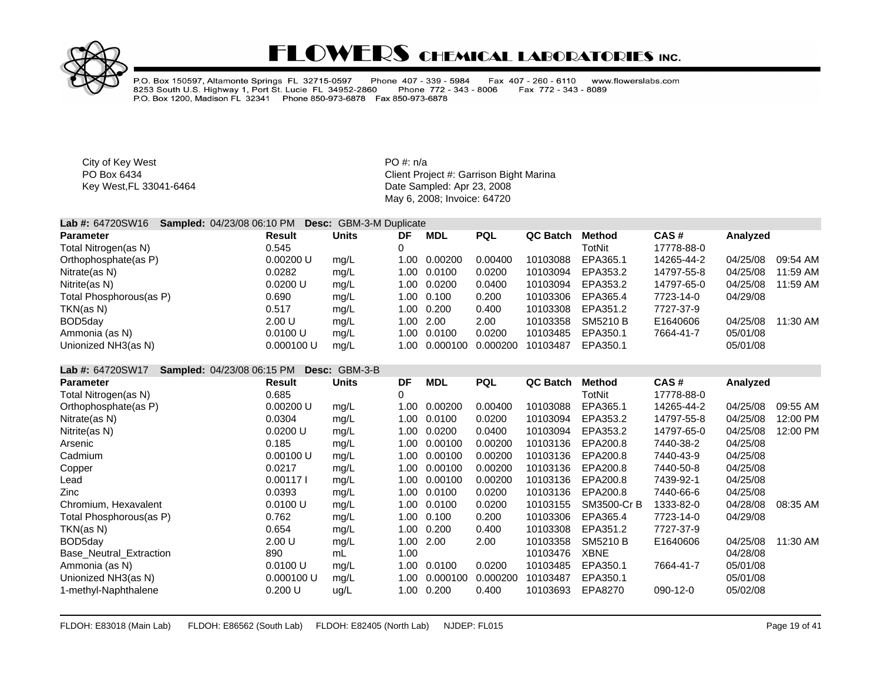

P.O. Box 150597, Altamonte Springs FL 32715-0597 Phone 407 - 339 - 5984<br>8253 South U.S. Highway 1, Port St. Lucie FL 34952-2860 Phone 772 - 343 Fax 407 - 260 - 6110 www.flowerslabs.com Phone 772 - 343 - 8006 Fax 772 - 343 - 8089 P.O. Box 1200, Madison FL 32341 Phone 850-973-6878 Fax 850-973-6878

City of Key West **PO** #: n/a

PO Box 6434<br>
Rey West, FL 33041-6464<br>
Key West, FL 33041-6464<br>
Client Project #: Garrison Bight Marina Date Sampled: Apr 23, 2008 May 6, 2008; Invoice: 64720

| <b>Lab #: 64720SW16</b>        | Sampled: 04/23/08 06:10 PM | <b>Desc:</b> GBM-3-M Duplicate |      |            |            |                 |                 |            |          |          |
|--------------------------------|----------------------------|--------------------------------|------|------------|------------|-----------------|-----------------|------------|----------|----------|
| <b>Parameter</b>               | <b>Result</b>              | <b>Units</b>                   | DF   | <b>MDL</b> | <b>PQL</b> | QC Batch        | Method          | CAS#       | Analyzed |          |
| Total Nitrogen(as N)           | 0.545                      |                                | 0    |            |            |                 | TotNit          | 17778-88-0 |          |          |
| Orthophosphate(as P)           | 0.00200 U                  | mg/L                           | 1.00 | 0.00200    | 0.00400    | 10103088        | EPA365.1        | 14265-44-2 | 04/25/08 | 09:54 AM |
| Nitrate(as N)                  | 0.0282                     | mg/L                           | 1.00 | 0.0100     | 0.0200     | 10103094        | EPA353.2        | 14797-55-8 | 04/25/08 | 11:59 AM |
| Nitrite(as N)                  | 0.0200 U                   | mg/L                           | 1.00 | 0.0200     | 0.0400     | 10103094        | EPA353.2        | 14797-65-0 | 04/25/08 | 11:59 AM |
| Total Phosphorous(as P)        | 0.690                      | mg/L                           | 1.00 | 0.100      | 0.200      | 10103306        | EPA365.4        | 7723-14-0  | 04/29/08 |          |
| TKN(as N)                      | 0.517                      | mg/L                           | 1.00 | 0.200      | 0.400      | 10103308        | EPA351.2        | 7727-37-9  |          |          |
| BOD5day                        | 2.00 U                     | mg/L                           | 1.00 | 2.00       | 2.00       | 10103358        | <b>SM5210 B</b> | E1640606   | 04/25/08 | 11:30 AM |
| Ammonia (as N)                 | 0.0100 U                   | mg/L                           | 1.00 | 0.0100     | 0.0200     | 10103485        | EPA350.1        | 7664-41-7  | 05/01/08 |          |
| Unionized NH3(as N)            | 0.000100 U                 | mg/L                           | 1.00 | 0.000100   | 0.000200   | 10103487        | EPA350.1        |            | 05/01/08 |          |
| Lab #: 64720SW17               | Sampled: 04/23/08 06:15 PM | Desc: GBM-3-B                  |      |            |            |                 |                 |            |          |          |
| <b>Parameter</b>               | <b>Result</b>              | <b>Units</b>                   | DF   | <b>MDL</b> | <b>PQL</b> | <b>QC Batch</b> | <b>Method</b>   | CAS#       | Analyzed |          |
| Total Nitrogen(as N)           | 0.685                      |                                | 0    |            |            |                 | TotNit          | 17778-88-0 |          |          |
| Orthophosphate(as P)           | 0.00200 U                  | mg/L                           | 1.00 | 0.00200    | 0.00400    | 10103088        | EPA365.1        | 14265-44-2 | 04/25/08 | 09:55 AM |
| Nitrate(as N)                  | 0.0304                     | mg/L                           | 1.00 | 0.0100     | 0.0200     | 10103094        | EPA353.2        | 14797-55-8 | 04/25/08 | 12:00 PM |
| Nitrite(as N)                  | 0.0200 U                   | mg/L                           | 1.00 | 0.0200     | 0.0400     | 10103094        | EPA353.2        | 14797-65-0 | 04/25/08 | 12:00 PM |
| Arsenic                        | 0.185                      | mg/L                           | 1.00 | 0.00100    | 0.00200    | 10103136        | EPA200.8        | 7440-38-2  | 04/25/08 |          |
| Cadmium                        | 0.00100 U                  | mg/L                           | 1.00 | 0.00100    | 0.00200    | 10103136        | EPA200.8        | 7440-43-9  | 04/25/08 |          |
| Copper                         | 0.0217                     | mg/L                           | 1.00 | 0.00100    | 0.00200    | 10103136        | EPA200.8        | 7440-50-8  | 04/25/08 |          |
| Lead                           | 0.001171                   | mg/L                           | 1.00 | 0.00100    | 0.00200    | 10103136        | EPA200.8        | 7439-92-1  | 04/25/08 |          |
| Zinc                           | 0.0393                     | mg/L                           | 1.00 | 0.0100     | 0.0200     | 10103136        | EPA200.8        | 7440-66-6  | 04/25/08 |          |
| Chromium, Hexavalent           | 0.0100 U                   | mg/L                           | 1.00 | 0.0100     | 0.0200     | 10103155        | SM3500-Cr B     | 1333-82-0  | 04/28/08 | 08:35 AM |
| Total Phosphorous(as P)        | 0.762                      | mg/L                           | 1.00 | 0.100      | 0.200      | 10103306        | EPA365.4        | 7723-14-0  | 04/29/08 |          |
| TKN(as N)                      | 0.654                      | mg/L                           | 1.00 | 0.200      | 0.400      | 10103308        | EPA351.2        | 7727-37-9  |          |          |
| BOD5day                        | 2.00 U                     | mg/L                           | 1.00 | 2.00       | 2.00       | 10103358        | SM5210 B        | E1640606   | 04/25/08 | 11:30 AM |
| <b>Base Neutral Extraction</b> | 890                        | mL                             | 1.00 |            |            | 10103476        | <b>XBNE</b>     |            | 04/28/08 |          |

Ammonia (as N)  $(3.8 \text{ N})$  0.0100 U mg/L 1.00 0.0100 0.0200 10103485 EPA350.1 7664-41-7 05/01/08 Unionized NH3(as N) 0.000100 U mg/L 1.00 0.000100 0.000200 10103487 EPA350.1 05/01/08 1-methyl-Naphthalene 0.200 U ug/L 1.00 0.200 0.400 10103693 EPA8270 090-12-0 05/02/08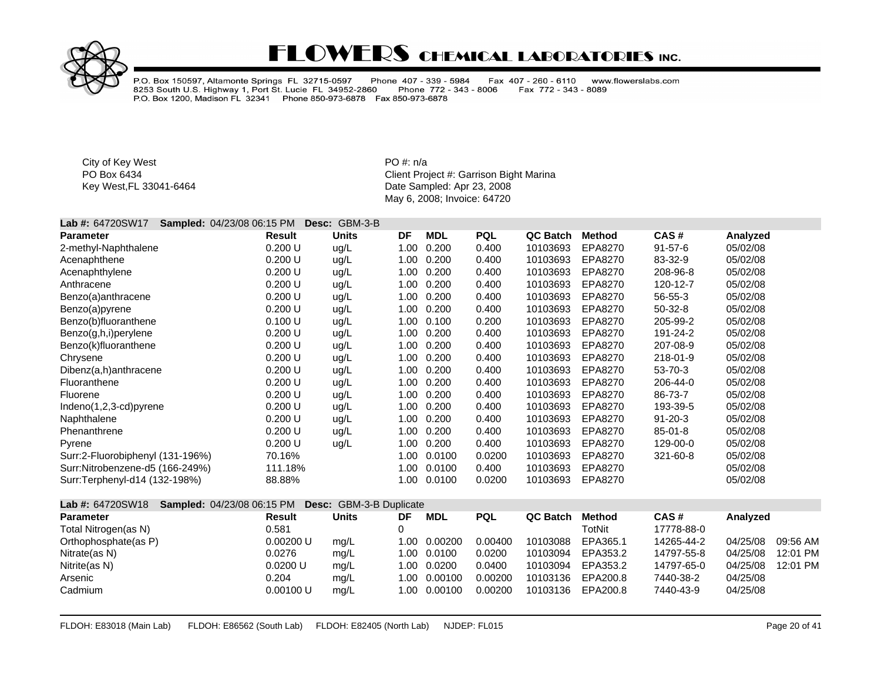

P.O. Box 150597, Altamonte Springs FL 32715-0597 Phone 407 - 339 - 5984 Fax 407 - 260 - 6110 www.flowerslabs.com 8253 South U.S. Highway 1, Port St. Lucie FL 34952-2860 Fax 772 - 343 - 8089 Phone 772 - 343 - 8006 P.O. Box 1200, Madison FL 32341 Phone 850-973-6878 Fax 850-973-6878

City of Key West **PO** #: n/a

PO Box 6434 **PO Box 6434** Client Project #: Garrison Bight Marina Key West,FL 33041-6464 **Date Sampled: Apr 23, 2008** May 6, 2008; Invoice: 64720

#### **Lab #:** 64720SW17 **Sampled:** 04/23/08 06:15 PM **Desc:** GBM-3-B

| <b>Parameter</b>                 | Result  | Units | DF   | <b>MDL</b> | <b>PQL</b> | QC Batch | Method  | CAS#          | Analyzed |
|----------------------------------|---------|-------|------|------------|------------|----------|---------|---------------|----------|
| 2-methyl-Naphthalene             | 0.200 U | ug/L  | 1.00 | 0.200      | 0.400      | 10103693 | EPA8270 | $91 - 57 - 6$ | 05/02/08 |
| Acenaphthene                     | 0.200 U | ug/L  | 1.00 | 0.200      | 0.400      | 10103693 | EPA8270 | 83-32-9       | 05/02/08 |
| Acenaphthylene                   | 0.200 U | ug/L  | 1.00 | 0.200      | 0.400      | 10103693 | EPA8270 | 208-96-8      | 05/02/08 |
| Anthracene                       | 0.200 U | ug/L  | 1.00 | 0.200      | 0.400      | 10103693 | EPA8270 | 120-12-7      | 05/02/08 |
| Benzo(a)anthracene               | 0.200 U | ug/L  | 1.00 | 0.200      | 0.400      | 10103693 | EPA8270 | 56-55-3       | 05/02/08 |
| Benzo(a)pyrene                   | 0.200 U | ug/L  | 1.00 | 0.200      | 0.400      | 10103693 | EPA8270 | $50-32-8$     | 05/02/08 |
| Benzo(b)fluoranthene             | 0.100 U | ug/L  | 1.00 | 0.100      | 0.200      | 10103693 | EPA8270 | 205-99-2      | 05/02/08 |
| Benzo(g,h,i)perylene             | 0.200 U | ug/L  | 1.00 | 0.200      | 0.400      | 10103693 | EPA8270 | 191-24-2      | 05/02/08 |
| Benzo(k)fluoranthene             | 0.200 U | ug/L  | 1.00 | 0.200      | 0.400      | 10103693 | EPA8270 | 207-08-9      | 05/02/08 |
| Chrysene                         | 0.200 U | ug/L  | 1.00 | 0.200      | 0.400      | 10103693 | EPA8270 | 218-01-9      | 05/02/08 |
| Dibenz(a,h)anthracene            | 0.200 U | ug/L  | 1.00 | 0.200      | 0.400      | 10103693 | EPA8270 | 53-70-3       | 05/02/08 |
| Fluoranthene                     | 0.200 U | ug/L  | 1.00 | 0.200      | 0.400      | 10103693 | EPA8270 | 206-44-0      | 05/02/08 |
| Fluorene                         | 0.200 U | ug/L  | 1.00 | 0.200      | 0.400      | 10103693 | EPA8270 | 86-73-7       | 05/02/08 |
| $Indeno(1,2,3-cd)pyrene$         | 0.200 U | ug/L  | 1.00 | 0.200      | 0.400      | 10103693 | EPA8270 | 193-39-5      | 05/02/08 |
| Naphthalene                      | 0.200 U | ug/L  | 1.00 | 0.200      | 0.400      | 10103693 | EPA8270 | $91 - 20 - 3$ | 05/02/08 |
| Phenanthrene                     | 0.200 U | ug/L  | 1.00 | 0.200      | 0.400      | 10103693 | EPA8270 | $85 - 01 - 8$ | 05/02/08 |
| Pyrene                           | 0.200 U | ug/L  | 1.00 | 0.200      | 0.400      | 10103693 | EPA8270 | 129-00-0      | 05/02/08 |
| Surr:2-Fluorobiphenyl (131-196%) | 70.16%  |       | 1.00 | 0.0100     | 0.0200     | 10103693 | EPA8270 | 321-60-8      | 05/02/08 |
| Surr:Nitrobenzene-d5 (166-249%)  | 111.18% |       | 1.00 | 0.0100     | 0.400      | 10103693 | EPA8270 |               | 05/02/08 |
| Surr:Terphenyl-d14 (132-198%)    | 88.88%  |       | 1.00 | 0.0100     | 0.0200     | 10103693 | EPA8270 |               | 05/02/08 |

| <b>Lab #: 64720SW18</b> | <b>Sampled: 04/23/08 06:15 PM Desc: GBM-3-B Duplicate</b> |       |      |              |            |          |          |            |          |          |
|-------------------------|-----------------------------------------------------------|-------|------|--------------|------------|----------|----------|------------|----------|----------|
| <b>Parameter</b>        | Result                                                    | Units | DF   | MDL          | <b>PQL</b> | QC Batch | Method   | CAS#       | Analyzed |          |
| Total Nitrogen(as N)    | 0.581                                                     |       |      |              |            |          | TotNit   | 17778-88-0 |          |          |
| Orthophosphate(as P)    | 0.00200 U                                                 | mq/L  |      | 1.00 0.00200 | 0.00400    | 10103088 | EPA365.1 | 14265-44-2 | 04/25/08 | 09:56 AM |
| Nitrate(as N)           | 0.0276                                                    | mq/L  |      | 1.00 0.0100  | 0.0200     | 10103094 | EPA353.2 | 14797-55-8 | 04/25/08 | 12:01 PM |
| Nitrite(as N)           | 0.0200 U                                                  | mq/L  |      | 1.00 0.0200  | 0.0400     | 10103094 | EPA353.2 | 14797-65-0 | 04/25/08 | 12:01 PM |
| Arsenic                 | 0.204                                                     | mq/L  | 1.00 | 0.00100      | 0.00200    | 10103136 | EPA200.8 | 7440-38-2  | 04/25/08 |          |
| Cadmium                 | 0.00100 U                                                 | mg/L  | 1.00 | 0.00100      | 0.00200    | 10103136 | EPA200.8 | 7440-43-9  | 04/25/08 |          |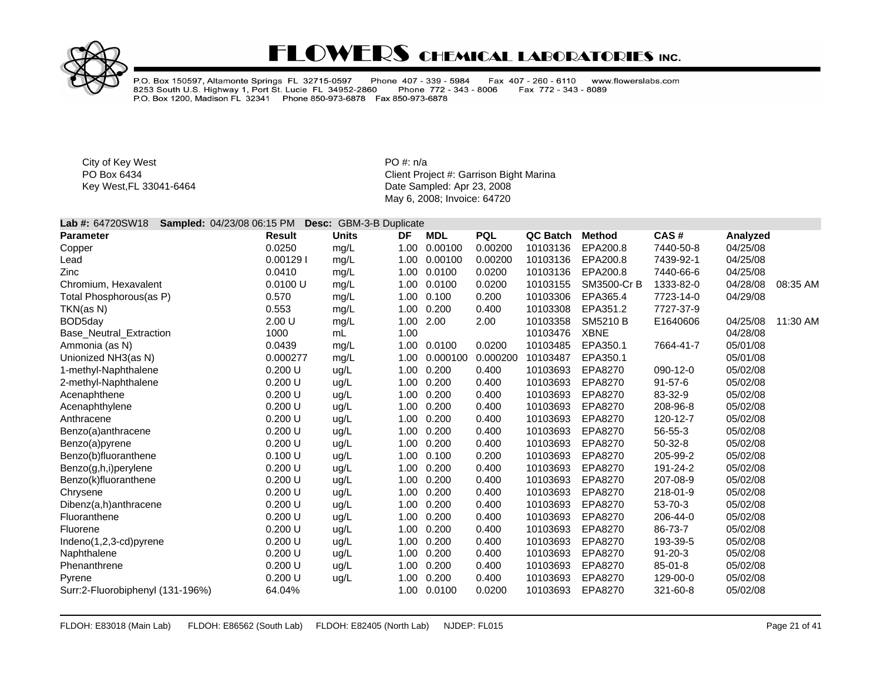

P.O. Box 150597, Altamonte Springs FL 32715-0597 Phone 407 - 339 - 5984<br>8253 South U.S. Highway 1, Port St. Lucie FL 34952-2860 Phone 772 - 343<br>P.O. Box 1200, Madison FL 32341 Phone 850-973-6878 Fax 850-973-6878 Fax 407 - 260 - 6110 www.flowerslabs.com Phone 772 - 343 - 8006 Fax 772 - 343 - 8089

City of Key West **PO** #: n/a

PO Box 6434 **PO Box 6434** Client Project #: Garrison Bight Marina Key West,FL 33041-6464 **Date Sampled: Apr 23, 2008** May 6, 2008; Invoice: 64720

#### **Lab #:** 64720SW18 **Sampled:** 04/23/08 06:15 PM **Desc:** GBM-3-B Duplicate

| <b>Parameter</b>                 | <b>Result</b> | Units | DF   | <b>MDL</b>  | <b>PQL</b> | <b>QC Batch</b> | <b>Method</b> | CAS#          | Analyzed |          |
|----------------------------------|---------------|-------|------|-------------|------------|-----------------|---------------|---------------|----------|----------|
| Copper                           | 0.0250        | mg/L  | 1.00 | 0.00100     | 0.00200    | 10103136        | EPA200.8      | 7440-50-8     | 04/25/08 |          |
| Lead                             | 0.001291      | mg/L  | 1.00 | 0.00100     | 0.00200    | 10103136        | EPA200.8      | 7439-92-1     | 04/25/08 |          |
| Zinc                             | 0.0410        | mg/L  | 1.00 | 0.0100      | 0.0200     | 10103136        | EPA200.8      | 7440-66-6     | 04/25/08 |          |
| Chromium, Hexavalent             | 0.0100 U      | mg/L  | 1.00 | 0.0100      | 0.0200     | 10103155        | SM3500-Cr B   | 1333-82-0     | 04/28/08 | 08:35 AM |
| Total Phosphorous(as P)          | 0.570         | mg/L  | 1.00 | 0.100       | 0.200      | 10103306        | EPA365.4      | 7723-14-0     | 04/29/08 |          |
| TKN(as N)                        | 0.553         | mg/L  | 1.00 | 0.200       | 0.400      | 10103308        | EPA351.2      | 7727-37-9     |          |          |
| BOD5day                          | 2.00 U        | mg/L  | 1.00 | 2.00        | 2.00       | 10103358        | SM5210 B      | E1640606      | 04/25/08 | 11:30 AM |
| Base_Neutral_Extraction          | 1000          | mL    | 1.00 |             |            | 10103476        | <b>XBNE</b>   |               | 04/28/08 |          |
| Ammonia (as N)                   | 0.0439        | mg/L  |      | 1.00 0.0100 | 0.0200     | 10103485        | EPA350.1      | 7664-41-7     | 05/01/08 |          |
| Unionized NH3(as N)              | 0.000277      | mg/L  | 1.00 | 0.000100    | 0.000200   | 10103487        | EPA350.1      |               | 05/01/08 |          |
| 1-methyl-Naphthalene             | 0.200 U       | ug/L  | 1.00 | 0.200       | 0.400      | 10103693        | EPA8270       | 090-12-0      | 05/02/08 |          |
| 2-methyl-Naphthalene             | 0.200 U       | ug/L  | 1.00 | 0.200       | 0.400      | 10103693        | EPA8270       | $91 - 57 - 6$ | 05/02/08 |          |
| Acenaphthene                     | $0.200$ U     | ug/L  | 1.00 | 0.200       | 0.400      | 10103693        | EPA8270       | 83-32-9       | 05/02/08 |          |
| Acenaphthylene                   | $0.200$ U     | ug/L  | 1.00 | 0.200       | 0.400      | 10103693        | EPA8270       | 208-96-8      | 05/02/08 |          |
| Anthracene                       | $0.200$ U     | ug/L  | 1.00 | 0.200       | 0.400      | 10103693        | EPA8270       | 120-12-7      | 05/02/08 |          |
| Benzo(a)anthracene               | 0.200 U       | ug/L  | 1.00 | 0.200       | 0.400      | 10103693        | EPA8270       | 56-55-3       | 05/02/08 |          |
| Benzo(a)pyrene                   | $0.200$ U     | ug/L  | 1.00 | 0.200       | 0.400      | 10103693        | EPA8270       | $50 - 32 - 8$ | 05/02/08 |          |
| Benzo(b)fluoranthene             | 0.100 U       | ug/L  | 1.00 | 0.100       | 0.200      | 10103693        | EPA8270       | 205-99-2      | 05/02/08 |          |
| Benzo(g,h,i)perylene             | $0.200$ U     | ug/L  | 1.00 | 0.200       | 0.400      | 10103693        | EPA8270       | 191-24-2      | 05/02/08 |          |
| Benzo(k)fluoranthene             | $0.200$ U     | ug/L  | 1.00 | 0.200       | 0.400      | 10103693        | EPA8270       | 207-08-9      | 05/02/08 |          |
| Chrysene                         | 0.200 U       | ug/L  | 1.00 | 0.200       | 0.400      | 10103693        | EPA8270       | 218-01-9      | 05/02/08 |          |
| Dibenz(a,h)anthracene            | 0.200 U       | ug/L  | 1.00 | 0.200       | 0.400      | 10103693        | EPA8270       | 53-70-3       | 05/02/08 |          |
| Fluoranthene                     | 0.200 U       | ug/L  | 1.00 | 0.200       | 0.400      | 10103693        | EPA8270       | 206-44-0      | 05/02/08 |          |
| Fluorene                         | 0.200 U       | ug/L  | 1.00 | 0.200       | 0.400      | 10103693        | EPA8270       | 86-73-7       | 05/02/08 |          |
| Indeno(1,2,3-cd)pyrene           | 0.200 U       | ug/L  | 1.00 | 0.200       | 0.400      | 10103693        | EPA8270       | 193-39-5      | 05/02/08 |          |
| Naphthalene                      | 0.200 U       | ug/L  | 1.00 | 0.200       | 0.400      | 10103693        | EPA8270       | $91 - 20 - 3$ | 05/02/08 |          |
| Phenanthrene                     | 0.200 U       | ug/L  | 1.00 | 0.200       | 0.400      | 10103693        | EPA8270       | $85 - 01 - 8$ | 05/02/08 |          |
| Pyrene                           | 0.200 U       | ug/L  | 1.00 | 0.200       | 0.400      | 10103693        | EPA8270       | 129-00-0      | 05/02/08 |          |
| Surr:2-Fluorobiphenyl (131-196%) | 64.04%        |       | 1.00 | 0.0100      | 0.0200     | 10103693        | EPA8270       | 321-60-8      | 05/02/08 |          |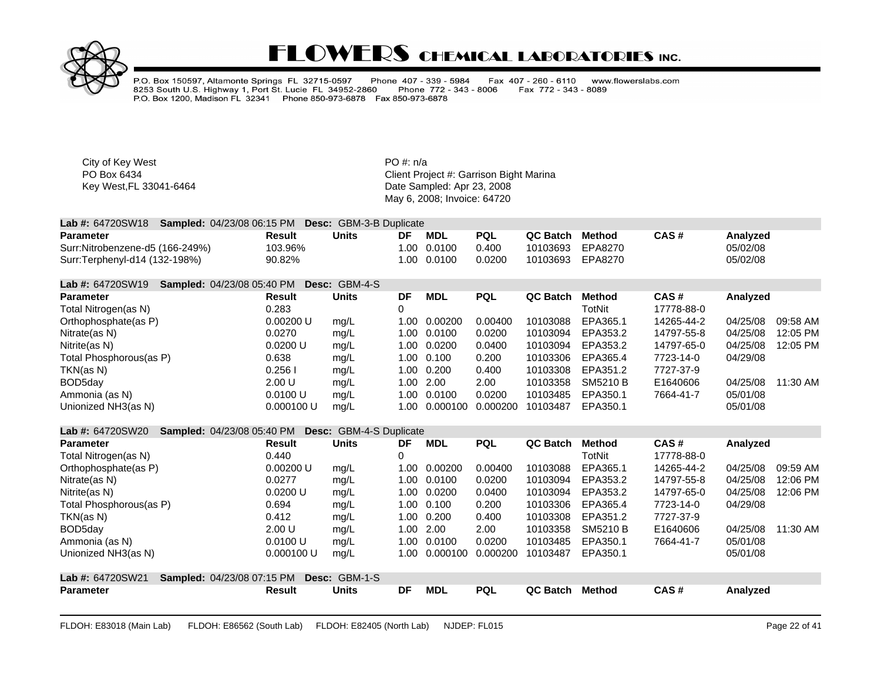

P.O. Box 150597, Altamonte Springs FL 32715-0597 Phone 407 - 339 - 5984<br>8253 South U.S. Highway 1, Port St. Lucie FL 34952-2860 Phone 772 - 343 -<br>P.O. Box 1200, Madison FL 32341 Phone 850-973-6878 Fax 850-973-6878 Fax 407 - 260 - 6110 www.flowerslabs.com Phone 772 - 343 - 8006 Fax 772 - 343 - 8089

City of Key West **PO** #: n/a

PO Box 6434<br>
Rey West, FL 33041-6464<br>
Key West, FL 33041-6464<br>
Client Project #: Garrison Bight Marina Date Sampled: Apr 23, 2008 May 6, 2008; Invoice: 64720

| <b>Lab #: <math>64720SW18</math></b><br><b>Sampled:</b> 04/23/08 06:15 PM <b>Desc:</b> GBM-3-B Duplicate |         |              |    |             |            |                  |         |      |          |
|----------------------------------------------------------------------------------------------------------|---------|--------------|----|-------------|------------|------------------|---------|------|----------|
| <b>Parameter</b>                                                                                         | Result  | <b>Units</b> | DF | MDL         | <b>PQL</b> | QC Batch Method  |         | CAS# | Analvzed |
| Surr:Nitrobenzene-d5 (166-249%)                                                                          | 103.96% |              |    | 1.00 0.0100 | 0.400      | 10103693 EPA8270 |         |      | 05/02/08 |
| Surr:Terphenyl-d14 (132-198%)                                                                            | 90.82%  |              |    | 1.00 0.0100 | 0.0200     | 10103693         | EPA8270 |      | 05/02/08 |

| <b>Lab #: 64720SW19</b> | <b>Sampled: 04/23/08 05:40 PM</b> | <b>Desc: GBM-4-S</b> |                 |            |            |          |               |            |                      |
|-------------------------|-----------------------------------|----------------------|-----------------|------------|------------|----------|---------------|------------|----------------------|
| <b>Parameter</b>        | Result                            | <b>Units</b>         | DF              | <b>MDL</b> | <b>PQL</b> | QC Batch | <b>Method</b> | CAS#       | Analyzed             |
| Total Nitrogen(as N)    | 0.283                             |                      | 0               |            |            |          | TotNit        | 17778-88-0 |                      |
| Orthophosphate(as P)    | 0.00200 U                         | mg/L                 | 00.1            | 0.00200    | 0.00400    | 10103088 | EPA365.1      | 14265-44-2 | 04/25/08<br>09:58 AM |
| Nitrate(as N)           | 0.0270                            | mg/L                 | .00             | 0.0100     | 0.0200     | 10103094 | EPA353.2      | 14797-55-8 | 04/25/08<br>12:05 PM |
| Nitrite(as N)           | 0.0200 U                          | mg/L                 | .00             | 0.0200     | 0.0400     | 10103094 | EPA353.2      | 14797-65-0 | 04/25/08<br>12:05 PM |
| Total Phosphorous(as P) | 0.638                             | mg/L                 | .00             | 0.100      | 0.200      | 10103306 | EPA365.4      | 7723-14-0  | 04/29/08             |
| TKN(as N)               | 0.2561                            | mg/L                 | .00             | 0.200      | 0.400      | 10103308 | EPA351.2      | 7727-37-9  |                      |
| BOD5day                 | 2.00 U                            | mg/L                 | .00             | - 2.00     | 2.00       | 10103358 | SM5210 B      | E1640606   | 04/25/08<br>11:30 AM |
| Ammonia (as N)          | 0.0100 U                          | mg/L                 | $^{\circ}.00$ . | 0.0100     | 0.0200     | 10103485 | EPA350.1      | 7664-41-7  | 05/01/08             |
| Unionized NH3(as N)     | 0.000100 U                        | mq/L                 | 00.1            | 0.000100   | 0.000200   | 10103487 | EPA350.1      |            | 05/01/08             |

#### **Lab #:** 64720SW20 **Sampled:** 04/23/08 05:40 PM **Desc:** GBM-4-S Duplicate

| <b>Parameter</b>                                      | Result     | <b>Units</b>         | DF    | <b>MDL</b> | <b>PQL</b> | QC Batch | Method   | CAS#       | Analyzed |            |
|-------------------------------------------------------|------------|----------------------|-------|------------|------------|----------|----------|------------|----------|------------|
| Total Nitrogen(as N)                                  | 0.440      |                      |       |            |            |          | TotNit   | 17778-88-0 |          |            |
| Orthophosphate(as P)                                  | 0.00200 U  | mg/L                 | 1.00- | 0.00200    | 0.00400    | 10103088 | EPA365.1 | 14265-44-2 | 04/25/08 | 09:59 AM   |
| Nitrate(as N)                                         | 0.0277     | mg/L                 | 1.00  | 0.0100     | 0.0200     | 10103094 | EPA353.2 | 14797-55-8 | 04/25/08 | 12:06 PM   |
| Nitrite(as N)                                         | 0.0200 U   | mg/L                 | 1.00  | 0.0200     | 0.0400     | 10103094 | EPA353.2 | 14797-65-0 | 04/25/08 | 12:06 PM   |
| Total Phosphorous(as P)                               | 0.694      | mg/L                 | 1.00  | 0.100      | 0.200      | 10103306 | EPA365.4 | 7723-14-0  | 04/29/08 |            |
| TKN(as N)                                             | 0.412      | mg/L                 | 1.00  | 0.200      | 0.400      | 10103308 | EPA351.2 | 7727-37-9  |          |            |
| BOD <sub>5</sub> day                                  | 2.00 U     | mq/L                 | 1.00  | 2.00       | 2.00       | 10103358 | SM5210 B | E1640606   | 04/25/08 | $11:30$ AM |
| Ammonia (as N)                                        | 0.0100 U   | mq/L                 | 1.00  | 0.0100     | 0.0200     | 10103485 | EPA350.1 | 7664-41-7  | 05/01/08 |            |
| Unionized NH3(as N)                                   | 0.000100 U | mq/L                 | 1.00- | 0.000100   | 0.000200   | 10103487 | EPA350.1 |            | 05/01/08 |            |
| <b>Sampled: 04/23/08 07:15 PM</b><br>Lab #: 64720SW21 |            | <b>Desc: GBM-1-S</b> |       |            |            |          |          |            |          |            |
| <b>Parameter</b>                                      | Result     | Units                | DF    | <b>MDL</b> | <b>PQL</b> | QC Batch | Method   | CAS#       | Analyzed |            |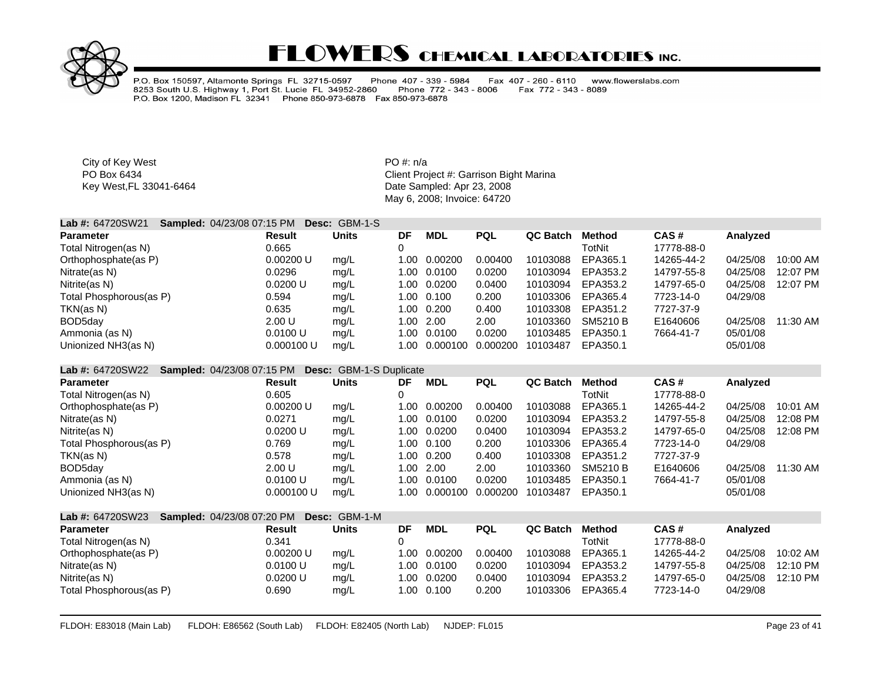

P.O. Box 150597, Altamonte Springs FL 32715-0597 Phone 407 - 339 - 5984 Fax 407 - 260 - 6110 www.flowerslabs.com 8253 South U.S. Highway 1, Port St. Lucie FL 34952-2860 Phone 772 - 343 - 8006 Fax 772 - 343 - 8089 P.O. Box 1200, Madison FL 32341 Phone 850-973-6878 Fax 850-973-6878

City of Key West **PO** #: n/a

| Lab #: 64720SW21        | <b>Sampled: 04/23/08 07:15 PM</b> | Desc: GBM-1-S |                         |            |            |                 |                 |            |          |          |
|-------------------------|-----------------------------------|---------------|-------------------------|------------|------------|-----------------|-----------------|------------|----------|----------|
| <b>Parameter</b>        | Result                            | Units         | DF                      | <b>MDL</b> | <b>PQL</b> | <b>QC Batch</b> | <b>Method</b>   | CAS#       | Analyzed |          |
| Total Nitrogen(as N)    | 0.665                             |               | 0                       |            |            |                 | TotNit          | 17778-88-0 |          |          |
| Orthophosphate(as P)    | 0.00200 U                         | mg/L          | 1.00                    | 0.00200    | 0.00400    | 10103088        | EPA365.1        | 14265-44-2 | 04/25/08 | 10:00 AM |
| Nitrate(as N)           | 0.0296                            | mg/L          | 1.00                    | 0.0100     | 0.0200     | 10103094        | EPA353.2        | 14797-55-8 | 04/25/08 | 12:07 PM |
| Nitrite(as N)           | 0.0200 U                          | mg/L          | 1.00                    | 0.0200     | 0.0400     | 10103094        | EPA353.2        | 14797-65-0 | 04/25/08 | 12:07 PM |
| Total Phosphorous(as P) | 0.594                             | mg/L          | 1.00                    | 0.100      | 0.200      | 10103306        | EPA365.4        | 7723-14-0  | 04/29/08 |          |
| TKN(as N)               | 0.635                             | mg/L          | 1.00                    | 0.200      | 0.400      | 10103308        | EPA351.2        | 7727-37-9  |          |          |
| BOD5day                 | 2.00 U                            | mg/L          | 1.00                    | 2.00       | 2.00       | 10103360        | <b>SM5210 B</b> | E1640606   | 04/25/08 | 11:30 AM |
| Ammonia (as N)          | 0.0100 U                          | mg/L          | 1.00                    | 0.0100     | 0.0200     | 10103485        | EPA350.1        | 7664-41-7  | 05/01/08 |          |
| Unionized NH3(as N)     | 0.000100 U                        | mg/L          | 1.00                    | 0.000100   | 0.000200   | 10103487        | EPA350.1        |            | 05/01/08 |          |
| <b>Lab #: 64720SW22</b> | Sampled: 04/23/08 07:15 PM        |               | Desc: GBM-1-S Duplicate |            |            |                 |                 |            |          |          |
| <b>Parameter</b>        | Result                            | <b>Units</b>  | DF                      | <b>MDL</b> | <b>PQL</b> | <b>QC Batch</b> | <b>Method</b>   | CAS#       | Analyzed |          |
| Total Nitrogen(as N)    | 0.605                             |               | 0                       |            |            |                 | TotNit          | 17778-88-0 |          |          |
| Orthophosphate(as P)    | 0.00200 U                         | mg/L          | 1.00                    | 0.00200    | 0.00400    | 10103088        | EPA365.1        | 14265-44-2 | 04/25/08 | 10:01 AM |
| Nitrate(as N)           | 0.0271                            | mg/L          | 1.00                    | 0.0100     | 0.0200     | 10103094        | EPA353.2        | 14797-55-8 | 04/25/08 | 12:08 PM |
| Nitrite(as N)           | 0.0200 U                          | mg/L          | 1.00                    | 0.0200     | 0.0400     | 10103094        | EPA353.2        | 14797-65-0 | 04/25/08 | 12:08 PM |
| Total Phosphorous(as P) | 0.769                             | mg/L          | 1.00                    | 0.100      | 0.200      | 10103306        | EPA365.4        | 7723-14-0  | 04/29/08 |          |
| TKN(as N)               | 0.578                             | mg/L          | 1.00                    | 0.200      | 0.400      | 10103308        | EPA351.2        | 7727-37-9  |          |          |
| BOD <sub>5day</sub>     | 2.00 U                            | mg/L          | 1.00                    | 2.00       | 2.00       | 10103360        | <b>SM5210 B</b> | E1640606   | 04/25/08 | 11:30 AM |
| Ammonia (as N)          | 0.0100 U                          | mg/L          | 1.00                    | 0.0100     | 0.0200     | 10103485        | EPA350.1        | 7664-41-7  | 05/01/08 |          |
| Unionized NH3(as N)     | 0.000100 U                        | mg/L          | 1.00                    | 0.000100   | 0.000200   | 10103487        | EPA350.1        |            | 05/01/08 |          |

| <b>Lab #: 64720SW23</b> | <b>Sampled: 04/23/08 07:20 PM</b> | <b>Desc: GBM-1-M</b> |     |             |            |          |               |            |                      |
|-------------------------|-----------------------------------|----------------------|-----|-------------|------------|----------|---------------|------------|----------------------|
| <b>Parameter</b>        | Result                            | <b>Units</b>         | DF  | <b>MDL</b>  | <b>PQL</b> | QC Batch | <b>Method</b> | CAS#       | Analyzed             |
| Total Nitrogen(as N)    | 0.341                             |                      |     |             |            |          | TotNit        | 17778-88-0 |                      |
| Orthophosphate(as P)    | 0.00200 U                         | mq/L                 | 00. | 0.00200     | 0.00400    | 10103088 | EPA365.1      | 14265-44-2 | 04/25/08<br>10:02 AM |
| Nitrate(as N)           | 0.0100 U                          | mq/L                 |     | 1.00 0.0100 | 0.0200     | 10103094 | EPA353.2      | 14797-55-8 | 04/25/08<br>12:10 PM |
| Nitrite(as N)           | 0.0200 U                          | mq/L                 | .00 | 0.0200      | 0.0400     | 10103094 | EPA353.2      | 14797-65-0 | 04/25/08<br>12:10 PM |
| Total Phosphorous(as P) | 0.690                             | mq/L                 |     | 1.00 0.100  | 0.200      | 10103306 | EPA365.4      | 7723-14-0  | 04/29/08             |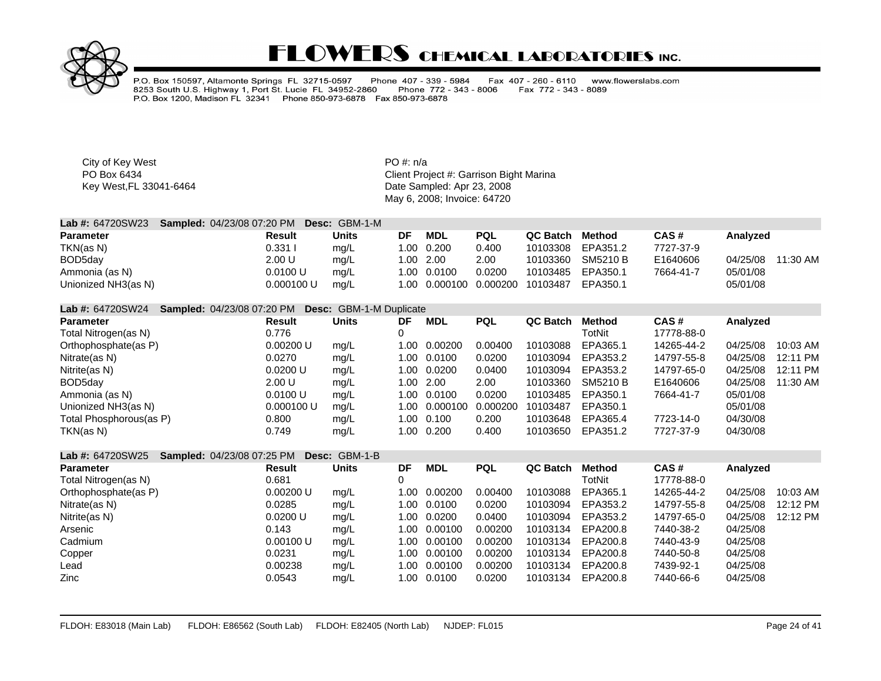

P.O. Box 150597, Altamonte Springs FL 32715-0597 Phone 407 - 339 - 5984<br>8253 South U.S. Highway 1, Port St. Lucie FL 34952-2860 Phone 772 - 343<br>P.O. Box 1200, Madison FL 32341 Phone 850-973-6878 Fax 850-973-6878 Fax 407 - 260 - 6110 www.flowerslabs.com Phone 772 - 343 - 8006 Fax 772 - 343 - 8089

City of Key West **PO** #: n/a

| <b>Lab #: 64720SW23</b> | <b>Sampled: 04/23/08 07:20 PM Desc: GBM-1-M</b> |       |      |             |                   |          |          |           |          |            |
|-------------------------|-------------------------------------------------|-------|------|-------------|-------------------|----------|----------|-----------|----------|------------|
| <b>Parameter</b>        | Result                                          | Units | DF   | <b>MDL</b>  | <b>PQL</b>        | QC Batch | Method   | CAS#      | Analyzed |            |
| TKN(as N)               | 0.3311                                          | mg/L  |      | 1.00 0.200  | 0.400             | 10103308 | EPA351.2 | 7727-37-9 |          |            |
| BOD5day                 | 2.00 U                                          | mg/L  |      | 1.00 2.00   | 2.00              | 10103360 | SM5210 B | E1640606  | 04/25/08 | $11:30$ AM |
| Ammonia (as N)          | 0.0100 U                                        | mg/L  |      | 1.00 0.0100 | 0.0200            | 10103485 | EPA350.1 | 7664-41-7 | 05/01/08 |            |
| Unionized NH3(as N)     | 0.000100 U                                      | mq/L  | 1.00 |             | 0.000100 0.000200 | 10103487 | EPA350.1 |           | 05/01/08 |            |

| <b>Lab #: 64720SW24</b> | <b>Sampled: 04/23/08 07:20 PM</b> |            | <b>Desc:</b> GBM-1-M Duplicate |      |                |            |          |                 |            |          |          |
|-------------------------|-----------------------------------|------------|--------------------------------|------|----------------|------------|----------|-----------------|------------|----------|----------|
| <b>Parameter</b>        |                                   | Result     | <b>Units</b>                   | DF   | <b>MDL</b>     | <b>PQL</b> | QC Batch | Method          | CAS#       | Analyzed |          |
| Total Nitrogen(as N)    |                                   | 0.776      |                                | 0    |                |            |          | TotNit          | 17778-88-0 |          |          |
| Orthophosphate(as P)    |                                   | 0.00200 U  | mg/L                           | 00.1 | 0.00200        | 0.00400    | 10103088 | EPA365.1        | 14265-44-2 | 04/25/08 | 10:03 AM |
| Nitrate(as N)           |                                   | 0.0270     | mg/L                           | .00  | 0.0100         | 0.0200     | 10103094 | EPA353.2        | 14797-55-8 | 04/25/08 | 12:11 PM |
| Nitrite(as N)           |                                   | 0.0200 U   | mg/L                           | .00  | 0.0200         | 0.0400     | 10103094 | EPA353.2        | 14797-65-0 | 04/25/08 | 12:11 PM |
| BOD5day                 |                                   | 2.00 U     | mg/L                           |      | $.00\quad2.00$ | 2.00       | 10103360 | <b>SM5210 B</b> | E1640606   | 04/25/08 | 11:30 AM |
| Ammonia (as N)          |                                   | 0.0100 U   | mg/L                           | .00  | 0.0100         | 0.0200     | 10103485 | EPA350.1        | 7664-41-7  | 05/01/08 |          |
| Unionized NH3(as N)     |                                   | 0.000100 U | mg/L                           | 00.1 | 0.000100       | 0.000200   | 10103487 | EPA350.1        |            | 05/01/08 |          |
| Total Phosphorous(as P) |                                   | 0.800      | mg/L                           | .00  | 0.100          | 0.200      | 10103648 | EPA365.4        | 7723-14-0  | 04/30/08 |          |
| TKN(as N)               |                                   | 0.749      | mq/L                           | .00  | 0.200          | 0.400      | 10103650 | EPA351.2        | 7727-37-9  | 04/30/08 |          |

| <b>Lab #: 64720SW25</b> | <b>Sampled: 04/23/08 07:25 PM Desc: GBM-1-B</b> |           |              |        |            |            |                 |          |            |          |          |
|-------------------------|-------------------------------------------------|-----------|--------------|--------|------------|------------|-----------------|----------|------------|----------|----------|
| <b>Parameter</b>        |                                                 | Result    | <b>Units</b> | DF     | <b>MDL</b> | <b>PQL</b> | <b>QC Batch</b> | Method   | CAS#       | Analyzed |          |
| Total Nitrogen(as N)    | 0.681                                           |           |              |        |            |            |                 | TotNit   | 17778-88-0 |          |          |
| Orthophosphate(as P)    |                                                 | 0.00200 U | mq/L         | 1.00   | 0.00200    | 0.00400    | 10103088        | EPA365.1 | 14265-44-2 | 04/25/08 | 10:03 AM |
| Nitrate(as N)           |                                                 | 0.0285    | mg/L         | 1.00   | 0.0100     | 0.0200     | 10103094        | EPA353.2 | 14797-55-8 | 04/25/08 | 12:12 PM |
| Nitrite(as N)           |                                                 | 0.0200 U  | mg/L         | 1.00   | 0.0200     | 0.0400     | 10103094        | EPA353.2 | 14797-65-0 | 04/25/08 | 12:12 PM |
| Arsenic                 | 0.143                                           |           | mq/L         | 1.00   | 0.00100    | 0.00200    | 10103134        | EPA200.8 | 7440-38-2  | 04/25/08 |          |
| Cadmium                 |                                                 | 0.00100 U | mg/L         | 1.00   | 0.00100    | 0.00200    | 10103134        | EPA200.8 | 7440-43-9  | 04/25/08 |          |
| Copper                  |                                                 | 0.0231    | mq/L         | 1.00-  | 0.00100    | 0.00200    | 10103134        | EPA200.8 | 7440-50-8  | 04/25/08 |          |
| Lead                    |                                                 | 0.00238   | mg/L         | 1.00 - | 0.00100    | 0.00200    | 10103134        | EPA200.8 | 7439-92-1  | 04/25/08 |          |
| <b>Zinc</b>             |                                                 | 0.0543    | mq/L         | 1.00   | 0.0100     | 0.0200     | 10103134        | EPA200.8 | 7440-66-6  | 04/25/08 |          |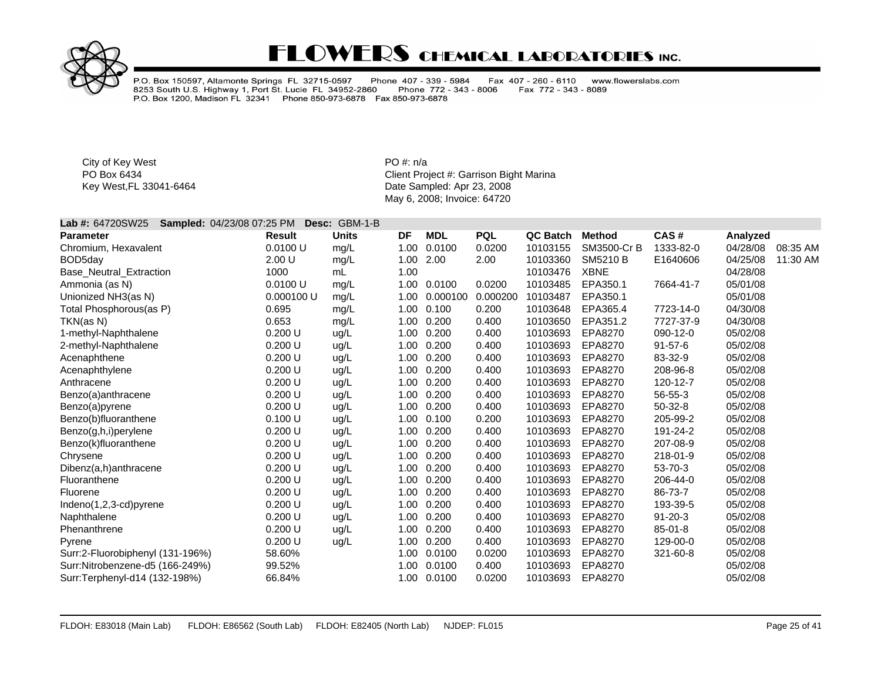

P.O. Box 150597, Altamonte Springs FL 32715-0597 Phone 407 - 339 - 5984<br>8253 South U.S. Highway 1, Port St. Lucie FL 34952-2860 Phone 772 - 343<br>P.O. Box 1200, Madison FL 32341 Phone 850-973-6878 Fax 850-973-6878 Fax 407 - 260 - 6110 www.flowerslabs.com Phone 772 - 343 - 8006 Fax 772 - 343 - 8089

City of Key West **PO** #: n/a

PO Box 6434 **PO Box 6434** Client Project #: Garrison Bight Marina Key West,FL 33041-6464 **Date Sampled: Apr 23, 2008** May 6, 2008; Invoice: 64720

#### **Lab #:** 64720SW25 **Sampled:** 04/23/08 07:25 PM **Desc:** GBM-1-B

| <b>Parameter</b>                 | <b>Result</b> | <b>Units</b> | DF   | <b>MDL</b>  | <b>PQL</b> | QC Batch | <b>Method</b> | CAS#          | Analyzed |          |
|----------------------------------|---------------|--------------|------|-------------|------------|----------|---------------|---------------|----------|----------|
| Chromium, Hexavalent             | 0.0100 U      | mg/L         | 1.00 | 0.0100      | 0.0200     | 10103155 | SM3500-Cr B   | 1333-82-0     | 04/28/08 | 08:35 AM |
| BOD5day                          | 2.00 U        | mg/L         | 1.00 | 2.00        | 2.00       | 10103360 | SM5210 B      | E1640606      | 04/25/08 | 11:30 AM |
| Base_Neutral_Extraction          | 1000          | mL           | 1.00 |             |            | 10103476 | <b>XBNE</b>   |               | 04/28/08 |          |
| Ammonia (as N)                   | 0.0100 U      | mg/L         |      | 1.00 0.0100 | 0.0200     | 10103485 | EPA350.1      | 7664-41-7     | 05/01/08 |          |
| Unionized NH3(as N)              | 0.000100 U    | mg/L         | 1.00 | 0.000100    | 0.000200   | 10103487 | EPA350.1      |               | 05/01/08 |          |
| Total Phosphorous(as P)          | 0.695         | mg/L         | 1.00 | 0.100       | 0.200      | 10103648 | EPA365.4      | 7723-14-0     | 04/30/08 |          |
| TKN(as N)                        | 0.653         | mg/L         | 1.00 | 0.200       | 0.400      | 10103650 | EPA351.2      | 7727-37-9     | 04/30/08 |          |
| 1-methyl-Naphthalene             | 0.200 U       | ug/L         | 1.00 | 0.200       | 0.400      | 10103693 | EPA8270       | 090-12-0      | 05/02/08 |          |
| 2-methyl-Naphthalene             | 0.200 U       | ug/L         | 1.00 | 0.200       | 0.400      | 10103693 | EPA8270       | $91 - 57 - 6$ | 05/02/08 |          |
| Acenaphthene                     | 0.200 U       | ug/L         | 1.00 | 0.200       | 0.400      | 10103693 | EPA8270       | 83-32-9       | 05/02/08 |          |
| Acenaphthylene                   | 0.200 U       | ug/L         | 1.00 | 0.200       | 0.400      | 10103693 | EPA8270       | 208-96-8      | 05/02/08 |          |
| Anthracene                       | 0.200 U       | ug/L         | 1.00 | 0.200       | 0.400      | 10103693 | EPA8270       | 120-12-7      | 05/02/08 |          |
| Benzo(a)anthracene               | 0.200 U       | ug/L         | 1.00 | 0.200       | 0.400      | 10103693 | EPA8270       | 56-55-3       | 05/02/08 |          |
| Benzo(a)pyrene                   | 0.200 U       | ug/L         | 1.00 | 0.200       | 0.400      | 10103693 | EPA8270       | $50 - 32 - 8$ | 05/02/08 |          |
| Benzo(b)fluoranthene             | 0.100 U       | ug/L         | 1.00 | 0.100       | 0.200      | 10103693 | EPA8270       | 205-99-2      | 05/02/08 |          |
| Benzo(g,h,i)perylene             | 0.200 U       | ug/L         | 1.00 | 0.200       | 0.400      | 10103693 | EPA8270       | 191-24-2      | 05/02/08 |          |
| Benzo(k)fluoranthene             | 0.200 U       | ug/L         | 1.00 | 0.200       | 0.400      | 10103693 | EPA8270       | 207-08-9      | 05/02/08 |          |
| Chrysene                         | 0.200 U       | ug/L         | 1.00 | 0.200       | 0.400      | 10103693 | EPA8270       | 218-01-9      | 05/02/08 |          |
| Dibenz(a,h)anthracene            | 0.200 U       | ug/L         | 1.00 | 0.200       | 0.400      | 10103693 | EPA8270       | 53-70-3       | 05/02/08 |          |
| Fluoranthene                     | 0.200 U       | ug/L         | 1.00 | 0.200       | 0.400      | 10103693 | EPA8270       | 206-44-0      | 05/02/08 |          |
| Fluorene                         | 0.200 U       | ug/L         | 1.00 | 0.200       | 0.400      | 10103693 | EPA8270       | 86-73-7       | 05/02/08 |          |
| Indeno(1,2,3-cd)pyrene           | 0.200 U       | ug/L         | 1.00 | 0.200       | 0.400      | 10103693 | EPA8270       | 193-39-5      | 05/02/08 |          |
| Naphthalene                      | 0.200 U       | ug/L         | 1.00 | 0.200       | 0.400      | 10103693 | EPA8270       | $91 - 20 - 3$ | 05/02/08 |          |
| Phenanthrene                     | 0.200 U       | ug/L         | 1.00 | 0.200       | 0.400      | 10103693 | EPA8270       | $85 - 01 - 8$ | 05/02/08 |          |
| Pyrene                           | 0.200 U       | ug/L         | 1.00 | 0.200       | 0.400      | 10103693 | EPA8270       | 129-00-0      | 05/02/08 |          |
| Surr:2-Fluorobiphenyl (131-196%) | 58.60%        |              | 1.00 | 0.0100      | 0.0200     | 10103693 | EPA8270       | 321-60-8      | 05/02/08 |          |
| Surr:Nitrobenzene-d5 (166-249%)  | 99.52%        |              | 1.00 | 0.0100      | 0.400      | 10103693 | EPA8270       |               | 05/02/08 |          |
| Surr:Terphenyl-d14 (132-198%)    | 66.84%        |              | 1.00 | 0.0100      | 0.0200     | 10103693 | EPA8270       |               | 05/02/08 |          |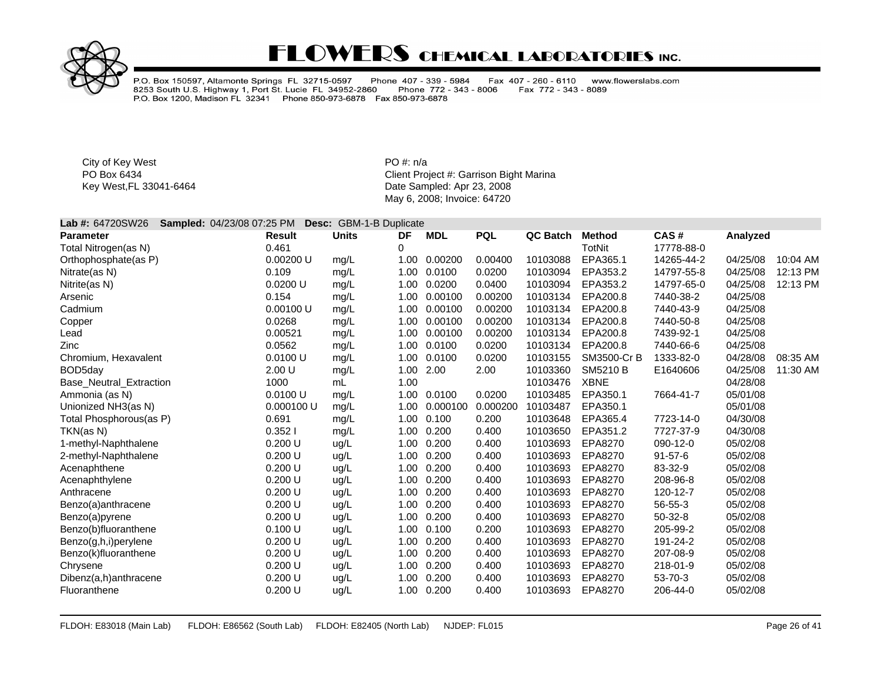

P.O. Box 150597, Altamonte Springs FL 32715-0597 Phone 407 - 339 - 5984<br>8253 South U.S. Highway 1, Port St. Lucie FL 34952-2860 Phone 772 - 343<br>P.O. Box 1200, Madison FL 32341 Phone 850-973-6878 Fax 850-973-6878 Fax 407 - 260 - 6110 www.flowerslabs.com Phone 772 - 343 - 8006 Fax 772 - 343 - 8089

City of Key West **PO** #: n/a

PO Box 6434 **PO Box 6434** Client Project #: Garrison Bight Marina Key West,FL 33041-6464 **Date Sampled: Apr 23, 2008** May 6, 2008; Invoice: 64720

#### **Lab #:** 64720SW26 **Sampled:** 04/23/08 07:25 PM **Desc:** GBM-1-B Duplicate

| <b>Parameter</b>               | <b>Result</b> | <b>Units</b> | DF   | <b>MDL</b> | <b>PQL</b> | QC Batch | Method          | CAS#          | Analyzed |          |
|--------------------------------|---------------|--------------|------|------------|------------|----------|-----------------|---------------|----------|----------|
| Total Nitrogen(as N)           | 0.461         |              | 0    |            |            |          | TotNit          | 17778-88-0    |          |          |
| Orthophosphate(as P)           | 0.00200 U     | mg/L         | 1.00 | 0.00200    | 0.00400    | 10103088 | EPA365.1        | 14265-44-2    | 04/25/08 | 10:04 AM |
| Nitrate(as N)                  | 0.109         | mg/L         | 1.00 | 0.0100     | 0.0200     | 10103094 | EPA353.2        | 14797-55-8    | 04/25/08 | 12:13 PM |
| Nitrite(as N)                  | 0.0200 U      | mg/L         | 1.00 | 0.0200     | 0.0400     | 10103094 | EPA353.2        | 14797-65-0    | 04/25/08 | 12:13 PM |
| Arsenic                        | 0.154         | mg/L         | 1.00 | 0.00100    | 0.00200    | 10103134 | EPA200.8        | 7440-38-2     | 04/25/08 |          |
| Cadmium                        | 0.00100 U     | mg/L         | 1.00 | 0.00100    | 0.00200    | 10103134 | EPA200.8        | 7440-43-9     | 04/25/08 |          |
| Copper                         | 0.0268        | mg/L         | 1.00 | 0.00100    | 0.00200    | 10103134 | EPA200.8        | 7440-50-8     | 04/25/08 |          |
| Lead                           | 0.00521       | mg/L         | 1.00 | 0.00100    | 0.00200    | 10103134 | EPA200.8        | 7439-92-1     | 04/25/08 |          |
| Zinc                           | 0.0562        | mg/L         | 1.00 | 0.0100     | 0.0200     | 10103134 | EPA200.8        | 7440-66-6     | 04/25/08 |          |
| Chromium, Hexavalent           | 0.0100 U      | mg/L         | 1.00 | 0.0100     | 0.0200     | 10103155 | SM3500-Cr B     | 1333-82-0     | 04/28/08 | 08:35 AM |
| BOD5day                        | 2.00 U        | mg/L         | 1.00 | 2.00       | 2.00       | 10103360 | <b>SM5210 B</b> | E1640606      | 04/25/08 | 11:30 AM |
| <b>Base Neutral Extraction</b> | 1000          | mL           | 1.00 |            |            | 10103476 | <b>XBNE</b>     |               | 04/28/08 |          |
| Ammonia (as N)                 | 0.0100 U      | mg/L         | 1.00 | 0.0100     | 0.0200     | 10103485 | EPA350.1        | 7664-41-7     | 05/01/08 |          |
| Unionized NH3(as N)            | 0.000100 U    | mg/L         | 1.00 | 0.000100   | 0.000200   | 10103487 | EPA350.1        |               | 05/01/08 |          |
| Total Phosphorous(as P)        | 0.691         | mg/L         | 1.00 | 0.100      | 0.200      | 10103648 | EPA365.4        | 7723-14-0     | 04/30/08 |          |
| TKN(as N)                      | 0.3521        | mg/L         | 1.00 | 0.200      | 0.400      | 10103650 | EPA351.2        | 7727-37-9     | 04/30/08 |          |
| 1-methyl-Naphthalene           | 0.200 U       | ug/L         | 1.00 | 0.200      | 0.400      | 10103693 | EPA8270         | 090-12-0      | 05/02/08 |          |
| 2-methyl-Naphthalene           | 0.200 U       | ug/L         | 1.00 | 0.200      | 0.400      | 10103693 | EPA8270         | $91 - 57 - 6$ | 05/02/08 |          |
| Acenaphthene                   | 0.200 U       | ug/L         | 1.00 | 0.200      | 0.400      | 10103693 | EPA8270         | 83-32-9       | 05/02/08 |          |
| Acenaphthylene                 | 0.200 U       | ug/L         | 1.00 | 0.200      | 0.400      | 10103693 | EPA8270         | 208-96-8      | 05/02/08 |          |
| Anthracene                     | 0.200 U       | ug/L         | 1.00 | 0.200      | 0.400      | 10103693 | EPA8270         | 120-12-7      | 05/02/08 |          |
| Benzo(a)anthracene             | 0.200 U       | ug/L         | 1.00 | 0.200      | 0.400      | 10103693 | EPA8270         | 56-55-3       | 05/02/08 |          |
| Benzo(a)pyrene                 | 0.200 U       | ug/L         | 1.00 | 0.200      | 0.400      | 10103693 | EPA8270         | $50-32-8$     | 05/02/08 |          |
| Benzo(b)fluoranthene           | 0.100 U       | ug/L         | 1.00 | 0.100      | 0.200      | 10103693 | EPA8270         | 205-99-2      | 05/02/08 |          |
| Benzo(g,h,i)perylene           | 0.200 U       | ug/L         | 1.00 | 0.200      | 0.400      | 10103693 | EPA8270         | 191-24-2      | 05/02/08 |          |
| Benzo(k)fluoranthene           | 0.200 U       | uq/L         | 1.00 | 0.200      | 0.400      | 10103693 | EPA8270         | 207-08-9      | 05/02/08 |          |
| Chrysene                       | 0.200 U       | ug/L         | 1.00 | 0.200      | 0.400      | 10103693 | EPA8270         | 218-01-9      | 05/02/08 |          |
| Dibenz(a,h)anthracene          | 0.200 U       | ug/L         | 1.00 | 0.200      | 0.400      | 10103693 | EPA8270         | 53-70-3       | 05/02/08 |          |
| Fluoranthene                   | 0.200 U       | ug/L         | 1.00 | 0.200      | 0.400      | 10103693 | EPA8270         | 206-44-0      | 05/02/08 |          |
|                                |               |              |      |            |            |          |                 |               |          |          |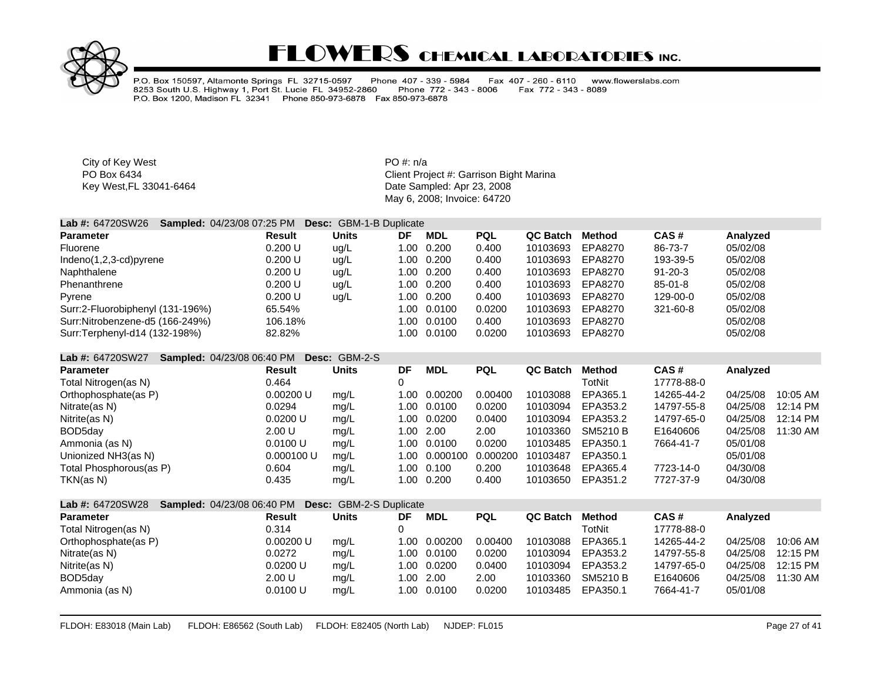

P.O. Box 150597, Altamonte Springs FL 32715-0597 Phone 407 - 339 - 5984<br>8253 South U.S. Highway 1, Port St. Lucie FL 34952-2860 Phone 772 - 343 -Fax 407 - 260 - 6110 www.flowerslabs.com Phone 772 - 343 - 8006 Fax 772 - 343 - 8089 P.O. Box 1200, Madison FL 32341 Phone 850-973-6878 Fax 850-973-6878

City of Key West **PO** #: n/a

PO Box 6434<br>
Rey West, FL 33041-6464<br>
Key West, FL 33041-6464<br>
Client Project #: Garrison Bight Marina Date Sampled: Apr 23, 2008 May 6, 2008; Invoice: 64720

| <b>Lab #: 64720SW26</b>          | <b>Sampled: 04/23/08 07:25 PM</b> | <b>Desc:</b> GBM-1-B Duplicate |      |             |            |          |         |               |          |  |
|----------------------------------|-----------------------------------|--------------------------------|------|-------------|------------|----------|---------|---------------|----------|--|
| <b>Parameter</b>                 | Result                            | Units                          | DF   | MDL         | <b>PQL</b> | QC Batch | Method  | CAS#          | Analyzed |  |
| Fluorene                         | 0.200 U                           | uq/L                           | 1.00 | 0.200       | 0.400      | 10103693 | EPA8270 | 86-73-7       | 05/02/08 |  |
| Indeno(1,2,3-cd)pyrene           | 0.200 U                           | uq/L                           | 1.00 | 0.200       | 0.400      | 10103693 | EPA8270 | 193-39-5      | 05/02/08 |  |
| Naphthalene                      | 0.200 U                           | uq/L                           |      | 1.00 0.200  | 0.400      | 10103693 | EPA8270 | $91 - 20 - 3$ | 05/02/08 |  |
| Phenanthrene                     | 0.200 U                           | uq/L                           |      | 1.00 0.200  | 0.400      | 10103693 | EPA8270 | $85 - 01 - 8$ | 05/02/08 |  |
| Pyrene                           | 0.200 U                           | uq/L                           | 1.00 | 0.200       | 0.400      | 10103693 | EPA8270 | 129-00-0      | 05/02/08 |  |
| Surr:2-Fluorobiphenyl (131-196%) | 65.54%                            |                                |      | 1.00 0.0100 | 0.0200     | 10103693 | EPA8270 | 321-60-8      | 05/02/08 |  |
| Surr:Nitrobenzene-d5 (166-249%)  | 106.18%                           |                                |      | 1.00 0.0100 | 0.400      | 10103693 | EPA8270 |               | 05/02/08 |  |
| Surr:Terphenyl-d14 (132-198%)    | 82.82%                            |                                |      | 1.00 0.0100 | 0.0200     | 10103693 | EPA8270 |               | 05/02/08 |  |

#### **Lab #:** 64720SW27 **Sampled:** 04/23/08 06:40 PM **Desc:** GBM-2-S

| <b>Parameter</b>        | Result     | <b>Units</b> | DF   | MDL         | <b>PQL</b> | QC Batch | Method   | CAS#       | Analyzed |          |
|-------------------------|------------|--------------|------|-------------|------------|----------|----------|------------|----------|----------|
| Total Nitrogen(as N)    | 0.464      |              |      |             |            |          | TotNit   | 17778-88-0 |          |          |
| Orthophosphate(as P)    | 0.00200 U  | mq/L         | 1.00 | 0.00200     | 0.00400    | 10103088 | EPA365.1 | 14265-44-2 | 04/25/08 | 10:05 AM |
| Nitrate(as N)           | 0.0294     | mg/L         | 1.00 | 0.0100      | 0.0200     | 10103094 | EPA353.2 | 14797-55-8 | 04/25/08 | 12:14 PM |
| Nitrite(as N)           | 0.0200 U   | mg/L         |      | 1.00 0.0200 | 0.0400     | 10103094 | EPA353.2 | 14797-65-0 | 04/25/08 | 12:14 PM |
| BOD5day                 | 2.00 U     | mq/L         | 1.00 | 2.00        | 2.00       | 10103360 | SM5210 B | E1640606   | 04/25/08 | 11:30 AM |
| Ammonia (as N)          | 0.0100 U   | mg/L         | 1.00 | 0.0100      | 0.0200     | 10103485 | EPA350.1 | 7664-41-7  | 05/01/08 |          |
| Unionized NH3(as N)     | 0.000100 U | mq/L         | 1.00 | 0.000100    | 0.000200   | 10103487 | EPA350.1 |            | 05/01/08 |          |
| Total Phosphorous(as P) | 0.604      | mq/L         | 1.00 | 0.100       | 0.200      | 10103648 | EPA365.4 | 7723-14-0  | 04/30/08 |          |
| TKN(as N)               | 0.435      | mg/L         | 1.00 | 0.200       | 0.400      | 10103650 | EPA351.2 | 7727-37-9  | 04/30/08 |          |

| <b>Lab #: 64720SW28</b> | <b>Sampled: 04/23/08 06:40 PM</b> |               | <b>Desc: GBM-2-S Duplicate</b> |           |             |            |          |          |            |          |          |
|-------------------------|-----------------------------------|---------------|--------------------------------|-----------|-------------|------------|----------|----------|------------|----------|----------|
| <b>Parameter</b>        |                                   | <b>Result</b> | <b>Units</b>                   | DF        | MDL         | <b>PQL</b> | QC Batch | Method   | CAS#       | Analyzed |          |
| Total Nitrogen(as N)    |                                   | 0.314         |                                |           |             |            |          | TotNit   | 17778-88-0 |          |          |
| Orthophosphate(as P)    |                                   | 0.00200 U     | mq/L                           | 1.00      | 0.00200     | 0.00400    | 10103088 | EPA365.1 | 14265-44-2 | 04/25/08 | 10:06 AM |
| Nitrate(as N)           |                                   | 0.0272        | mq/L                           | 1.00      | 0.0100      | 0.0200     | 10103094 | EPA353.2 | 14797-55-8 | 04/25/08 | 12:15 PM |
| Nitrite(as N)           |                                   | 0.0200 U      | mg/L                           |           | 1.00 0.0200 | 0.0400     | 10103094 | EPA353.2 | 14797-65-0 | 04/25/08 | 12:15 PM |
| BOD5day                 |                                   | 2.00 U        | mq/L                           | 1.00 2.00 |             | 2.00       | 10103360 | SM5210 B | E1640606   | 04/25/08 | 11:30 AM |
| Ammonia (as N)          |                                   | 0.0100 U      | mg/L                           |           | 1.00 0.0100 | 0.0200     | 10103485 | EPA350.1 | 7664-41-7  | 05/01/08 |          |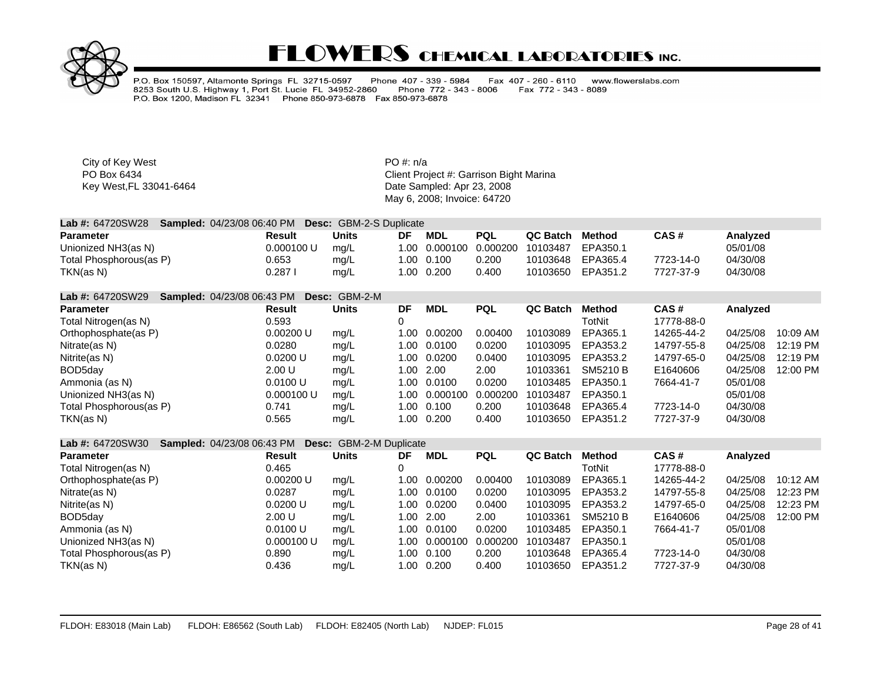

P.O. Box 150597, Altamonte Springs FL 32715-0597 Phone 407 - 339 - 5984 Fax 407 - 260 - 6110 www.flowerslabs.com 8253 South U.S. Highway 1, Port St. Lucie FL 34952-2860 Fax 772 - 343 - 8089 Phone 772 - 343 - 8006 P.O. Box 1200, Madison FL 32341 Phone 850-973-6878 Fax 850-973-6878

City of Key West **PO** #: n/a

|           | Lab #: 64720SW28 <b>Sampled:</b> 04/23/08 06:40 PM <b>Desc:</b> GBM-2-S Duplicate |         |        |  |
|-----------|-----------------------------------------------------------------------------------|---------|--------|--|
| Daramotor | Docult.                                                                           | l Inite | DE MDI |  |

| <b>Parameter</b>        | Result     | <b>Units</b> | DF  | <b>MDL</b>          | <b>PQL</b> | QC Batch | <b>Method</b> | CAS#      | Analvzed |
|-------------------------|------------|--------------|-----|---------------------|------------|----------|---------------|-----------|----------|
| Unionized NH3(as N)     | 0.000100 U | mg/L         | .00 | $0.000100$ 0.000200 |            | 10103487 | EPA350.1      |           | 05/01/08 |
| Total Phosphorous(as P) | ა.653      | mg/L         | .00 | 0.100               | 0.200      | 10103648 | EPA365.4      | 7723-14-0 | 04/30/08 |
| TKN(as N)               | 0.287      | mg/L         | .00 | 0.200               | ).400      | 10103650 | EPA351.2      | 7727-37-9 | 04/30/08 |

| <b>Lab #: 64720SW29</b> | <b>Sampled: 04/23/08 06:43 PM</b> |            | Desc: GBM-2-M |      |             |            |          |          |            |          |            |
|-------------------------|-----------------------------------|------------|---------------|------|-------------|------------|----------|----------|------------|----------|------------|
| <b>Parameter</b>        |                                   | Result     | <b>Units</b>  | DF   | <b>MDL</b>  | <b>PQL</b> | QC Batch | Method   | CAS#       | Analyzed |            |
| Total Nitrogen(as N)    | 0.593                             |            |               |      |             |            |          | TotNit   | 17778-88-0 |          |            |
| Orthophosphate(as P)    |                                   | 0.00200 U  | mq/L          | 1.00 | 0.00200     | 0.00400    | 10103089 | EPA365.1 | 14265-44-2 | 04/25/08 | $10:09$ AM |
| Nitrate(as N)           |                                   | 0.0280     | mg/L          | 1.00 | 0.0100      | 0.0200     | 10103095 | EPA353.2 | 14797-55-8 | 04/25/08 | 12:19 PM   |
| Nitrite(as N)           |                                   | 0.0200 U   | mq/L          |      | 1.00 0.0200 | 0.0400     | 10103095 | EPA353.2 | 14797-65-0 | 04/25/08 | 12:19 PM   |
| BOD5day                 |                                   | 2.00 U     | mq/L          | 1.00 | 2.00        | 2.00       | 10103361 | SM5210 B | E1640606   | 04/25/08 | 12:00 PM   |
| Ammonia (as N)          |                                   | 0.0100 U   | mq/L          | 1.00 | 0.0100      | 0.0200     | 10103485 | EPA350.1 | 7664-41-7  | 05/01/08 |            |
| Unionized NH3(as N)     |                                   | 0.000100 U | mq/L          | 1.00 | 0.000100    | 0.000200   | 10103487 | EPA350.1 |            | 05/01/08 |            |
| Total Phosphorous(as P) | 0.741                             |            | mq/L          | 1.00 | 0.100       | 0.200      | 10103648 | EPA365.4 | 7723-14-0  | 04/30/08 |            |
| TKN(as N)               | 0.565                             |            | mg/L          | 1.00 | 0.200       | 0.400      | 10103650 | EPA351.2 | 7727-37-9  | 04/30/08 |            |

| <b>Lab #: 64720SW30</b> | <b>Sampled: 04/23/08 06:43 PM</b> |               | <b>Desc:</b> GBM-2-M Duplicate |        |              |            |          |               |            |          |          |
|-------------------------|-----------------------------------|---------------|--------------------------------|--------|--------------|------------|----------|---------------|------------|----------|----------|
| <b>Parameter</b>        |                                   | <b>Result</b> | <b>Units</b>                   | DF     | <b>MDL</b>   | <b>PQL</b> | QC Batch | <b>Method</b> | CAS#       | Analyzed |          |
| Total Nitrogen(as N)    |                                   | 0.465         |                                |        |              |            |          | TotNit        | 17778-88-0 |          |          |
| Orthophosphate(as P)    |                                   | 0.00200 U     | mg/L                           | 1.00   | 0.00200      | 0.00400    | 10103089 | EPA365.1      | 14265-44-2 | 04/25/08 | 10:12 AM |
| Nitrate(as N)           |                                   | 0.0287        | mg/L                           |        | 1.00 0.0100  | 0.0200     | 10103095 | EPA353.2      | 14797-55-8 | 04/25/08 | 12:23 PM |
| Nitrite(as N)           |                                   | 0.0200 U      | mg/L                           |        | 1.00  0.0200 | 0.0400     | 10103095 | EPA353.2      | 14797-65-0 | 04/25/08 | 12:23 PM |
| BOD <sub>5</sub> day    |                                   | 2.00 U        | mg/L                           | 1.00   | 2.00         | 2.00       | 10103361 | SM5210 B      | E1640606   | 04/25/08 | 12:00 PM |
| Ammonia (as N)          |                                   | 0.0100 U      | mg/L                           |        | 1.00 0.0100  | 0.0200     | 10103485 | EPA350.1      | 7664-41-7  | 05/01/08 |          |
| Unionized NH3(as N)     |                                   | 0.000100 U    | mg/L                           | 1.00 - | 0.000100     | 0.000200   | 10103487 | EPA350.1      |            | 05/01/08 |          |
| Total Phosphorous(as P) |                                   | 0.890         | mg/L                           |        | 1.00 0.100   | 0.200      | 10103648 | EPA365.4      | 7723-14-0  | 04/30/08 |          |
| TKN(as N)               |                                   | 0.436         | mg/L                           | 1.00   | 0.200        | 0.400      | 10103650 | EPA351.2      | 7727-37-9  | 04/30/08 |          |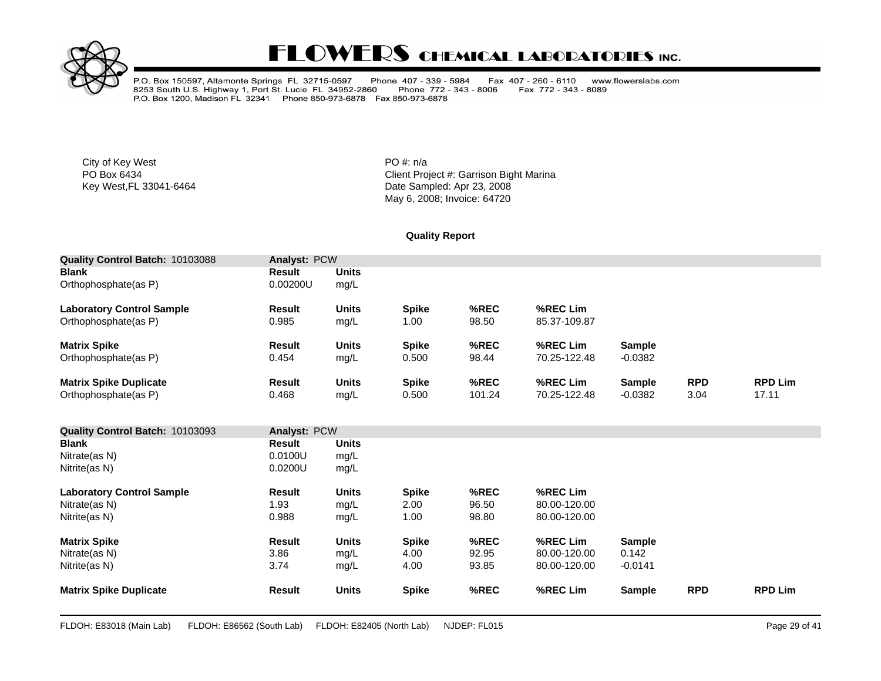

P.O. Box 150597, Altamonte Springs FL 32715-0597 Phone 407 - 339 - 5984<br>8253 South U.S. Highway 1, Port St. Lucie FL 34952-2860 Phone 772 - 343<br>P.O. Box 1200, Madison FL 32341 Phone 850-973-6878 Fax 850-973-6878 Fax 407 - 260 - 6110 www.flowerslabs.com Phone 772 - 343 - 8006 Fax 772 - 343 - 8089

City of Key West **PO** #: n/a

PO Box 6434<br>
Rey West, FL 33041-6464<br>
Key West, FL 33041-6464<br>
Client Project #: Garrison Bight Marina Date Sampled: Apr 23, 2008 May 6, 2008; Invoice: 64720

#### **Quality Report**

| Quality Control Batch: 10103088  | Analyst: PCW  |              |              |        |              |               |            |                |
|----------------------------------|---------------|--------------|--------------|--------|--------------|---------------|------------|----------------|
| <b>Blank</b>                     | <b>Result</b> | <b>Units</b> |              |        |              |               |            |                |
| Orthophosphate(as P)             | $0.00200$ U   | mg/L         |              |        |              |               |            |                |
| <b>Laboratory Control Sample</b> | <b>Result</b> | <b>Units</b> | <b>Spike</b> | %REC   | %REC Lim     |               |            |                |
| Orthophosphate(as P)             | 0.985         | mg/L         | 1.00         | 98.50  | 85.37-109.87 |               |            |                |
| <b>Matrix Spike</b>              | <b>Result</b> | <b>Units</b> | <b>Spike</b> | %REC   | %REC Lim     | <b>Sample</b> |            |                |
| Orthophosphate(as P)             | 0.454         | mg/L         | 0.500        | 98.44  | 70.25-122.48 | $-0.0382$     |            |                |
| <b>Matrix Spike Duplicate</b>    | <b>Result</b> | <b>Units</b> | <b>Spike</b> | %REC   | %REC Lim     | Sample        | <b>RPD</b> | <b>RPD Lim</b> |
| Orthophosphate(as P)             | 0.468         | mg/L         | 0.500        | 101.24 | 70.25-122.48 | $-0.0382$     | 3.04       | 17.11          |
| Quality Control Batch: 10103093  | Analyst: PCW  |              |              |        |              |               |            |                |
| <b>Blank</b>                     | <b>Result</b> | <b>Units</b> |              |        |              |               |            |                |
| Nitrate(as N)                    | 0.0100U       | mg/L         |              |        |              |               |            |                |
| Nitrite(as N)                    | $0.0200$ U    | mg/L         |              |        |              |               |            |                |
| <b>Laboratory Control Sample</b> | <b>Result</b> | <b>Units</b> | <b>Spike</b> | %REC   | %REC Lim     |               |            |                |
| Nitrate(as N)                    | 1.93          | mg/L         | 2.00         | 96.50  | 80.00-120.00 |               |            |                |
| Nitrite(as N)                    | 0.988         | mg/L         | 1.00         | 98.80  | 80.00-120.00 |               |            |                |
| <b>Matrix Spike</b>              | <b>Result</b> | <b>Units</b> | <b>Spike</b> | %REC   | %REC Lim     | Sample        |            |                |
| Nitrate(as N)                    | 3.86          | mg/L         | 4.00         | 92.95  | 80.00-120.00 | 0.142         |            |                |
| Nitrite(as N)                    | 3.74          | mg/L         | 4.00         | 93.85  | 80.00-120.00 | $-0.0141$     |            |                |
| <b>Matrix Spike Duplicate</b>    | <b>Result</b> | <b>Units</b> | <b>Spike</b> | %REC   | %REC Lim     | <b>Sample</b> | <b>RPD</b> | <b>RPD Lim</b> |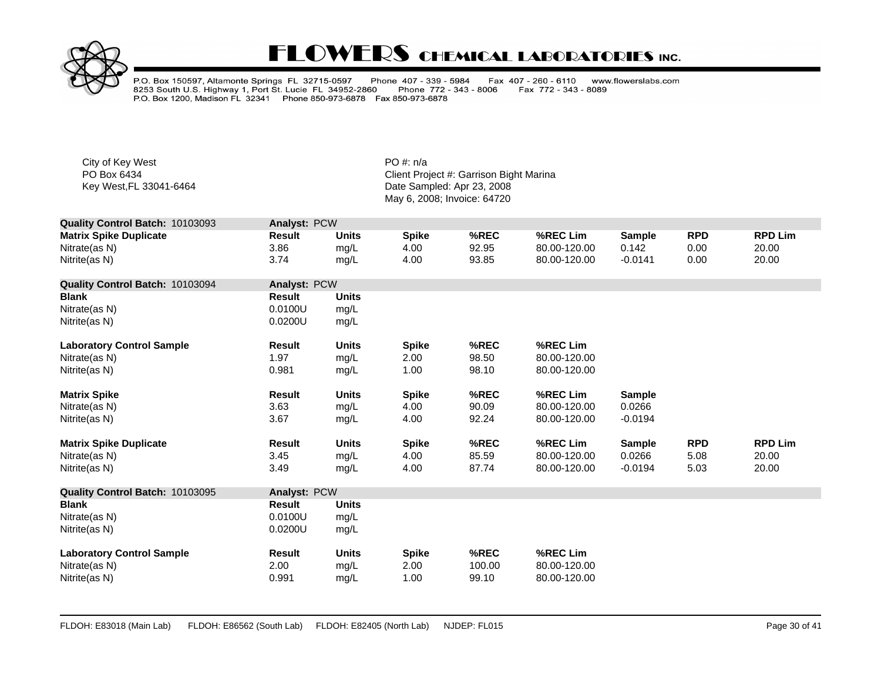

P.O. Box 150597, Altamonte Springs FL 32715-0597 Phone 407 - 339 - 5984<br>8253 South U.S. Highway 1, Port St. Lucie FL 34952-2860 Phone 772 - 343<br>P.O. Box 1200, Madison FL 32341 Phone 850-973-6878 Fax 850-973-6878 Fax 407 - 260 - 6110 www.flowerslabs.com Phone 772 - 343 - 8006 Fax 772 - 343 - 8089

City of Key West **PO** #: n/a

| <b>Quality Control Batch: 10103093</b> | Analyst: PCW  |              |              |        |              |               |            |                |
|----------------------------------------|---------------|--------------|--------------|--------|--------------|---------------|------------|----------------|
| <b>Matrix Spike Duplicate</b>          | Result        | <b>Units</b> | <b>Spike</b> | %REC   | %REC Lim     | <b>Sample</b> | <b>RPD</b> | <b>RPD Lim</b> |
| Nitrate(as N)                          | 3.86          | mg/L         | 4.00         | 92.95  | 80.00-120.00 | 0.142         | 0.00       | 20.00          |
| Nitrite(as N)                          | 3.74          | mg/L         | 4.00         | 93.85  | 80.00-120.00 | $-0.0141$     | 0.00       | 20.00          |
| Quality Control Batch: 10103094        | Analyst: PCW  |              |              |        |              |               |            |                |
| <b>Blank</b>                           | <b>Result</b> | <b>Units</b> |              |        |              |               |            |                |
| Nitrate(as N)                          | 0.0100U       | mg/L         |              |        |              |               |            |                |
| Nitrite(as N)                          | 0.0200U       | mg/L         |              |        |              |               |            |                |
| <b>Laboratory Control Sample</b>       | <b>Result</b> | <b>Units</b> | <b>Spike</b> | %REC   | %REC Lim     |               |            |                |
| Nitrate(as N)                          | 1.97          | mg/L         | 2.00         | 98.50  | 80.00-120.00 |               |            |                |
| Nitrite(as N)                          | 0.981         | mg/L         | 1.00         | 98.10  | 80.00-120.00 |               |            |                |
| <b>Matrix Spike</b>                    | Result        | <b>Units</b> | <b>Spike</b> | %REC   | %REC Lim     | <b>Sample</b> |            |                |
| Nitrate(as N)                          | 3.63          | mg/L         | 4.00         | 90.09  | 80.00-120.00 | 0.0266        |            |                |
| Nitrite(as N)                          | 3.67          | mg/L         | 4.00         | 92.24  | 80.00-120.00 | $-0.0194$     |            |                |
| <b>Matrix Spike Duplicate</b>          | <b>Result</b> | <b>Units</b> | <b>Spike</b> | %REC   | %REC Lim     | <b>Sample</b> | <b>RPD</b> | <b>RPD Lim</b> |
| Nitrate(as N)                          | 3.45          | mg/L         | 4.00         | 85.59  | 80.00-120.00 | 0.0266        | 5.08       | 20.00          |
| Nitrite(as N)                          | 3.49          | mg/L         | 4.00         | 87.74  | 80.00-120.00 | $-0.0194$     | 5.03       | 20.00          |
| Quality Control Batch: 10103095        | Analyst: PCW  |              |              |        |              |               |            |                |
| <b>Blank</b>                           | Result        | <b>Units</b> |              |        |              |               |            |                |
| Nitrate(as N)                          | 0.0100U       | mg/L         |              |        |              |               |            |                |
| Nitrite(as N)                          | 0.0200U       | mg/L         |              |        |              |               |            |                |
| <b>Laboratory Control Sample</b>       | <b>Result</b> | <b>Units</b> | <b>Spike</b> | %REC   | %REC Lim     |               |            |                |
| Nitrate(as N)                          | 2.00          | mg/L         | 2.00         | 100.00 | 80.00-120.00 |               |            |                |
| Nitrite(as N)                          | 0.991         | mg/L         | 1.00         | 99.10  | 80.00-120.00 |               |            |                |
|                                        |               |              |              |        |              |               |            |                |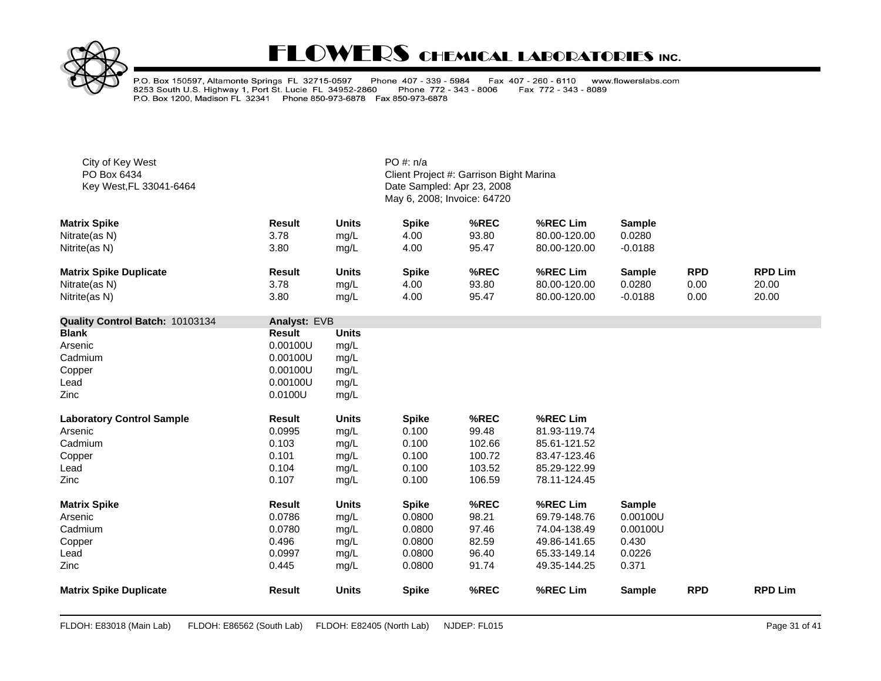

P.O. Box 150597, Altamonte Springs FL 32715-0597 Phone 407 - 339 - 5984<br>8253 South U.S. Highway 1, Port St. Lucie FL 34952-2860 Phone 772 - 343<br>P.O. Box 1200, Madison FL 32341 Phone 850-973-6878 Fax 850-973-6878 Fax 407 - 260 - 6110 www.flowerslabs.com Phone 772 - 343 - 8006 Fax 772 - 343 - 8089

City of Key West **PO** #: n/a

| <b>Matrix Spike</b>           | <b>Result</b> | <b>Units</b> | <b>Spike</b> | %REC  | %REC Lim     | <b>Sample</b> |            |                |
|-------------------------------|---------------|--------------|--------------|-------|--------------|---------------|------------|----------------|
| Nitrate(as N)                 | 3.78          | mq/L         | 4.00         | 93.80 | 80.00-120.00 | 0.0280        |            |                |
| Nitrite(as N)                 | 3.80          | mq/L         | 4.00         | 95.47 | 80.00-120.00 | $-0.0188$     |            |                |
|                               |               |              |              |       |              |               |            |                |
| <b>Matrix Spike Duplicate</b> | <b>Result</b> | <b>Units</b> | <b>Spike</b> | %REC  | %REC Lim     | <b>Sample</b> | <b>RPD</b> | <b>RPD Lim</b> |
| Nitrate(as N)                 | 3.78          | mg/L         | 4.00         | 93.80 | 80.00-120.00 | 0.0280        | 0.00       | 20.00          |

| Quality Control Batch: 10103134  | <b>Analyst: EVB</b> |              |              |        |              |               |            |                |
|----------------------------------|---------------------|--------------|--------------|--------|--------------|---------------|------------|----------------|
| <b>Blank</b>                     | Result              | <b>Units</b> |              |        |              |               |            |                |
| Arsenic                          | 0.00100U            | mg/L         |              |        |              |               |            |                |
| Cadmium                          | 0.00100U            | mg/L         |              |        |              |               |            |                |
| Copper                           | 0.00100U            | mg/L         |              |        |              |               |            |                |
| Lead                             | 0.00100U            | mg/L         |              |        |              |               |            |                |
| Zinc                             | 0.0100U             | mg/L         |              |        |              |               |            |                |
| <b>Laboratory Control Sample</b> | Result              | <b>Units</b> | <b>Spike</b> | %REC   | %REC Lim     |               |            |                |
| Arsenic                          | 0.0995              | mg/L         | 0.100        | 99.48  | 81.93-119.74 |               |            |                |
| Cadmium                          | 0.103               | mg/L         | 0.100        | 102.66 | 85.61-121.52 |               |            |                |
| Copper                           | 0.101               | mg/L         | 0.100        | 100.72 | 83.47-123.46 |               |            |                |
| Lead                             | 0.104               | mg/L         | 0.100        | 103.52 | 85.29-122.99 |               |            |                |
| Zinc                             | 0.107               | mg/L         | 0.100        | 106.59 | 78.11-124.45 |               |            |                |
| <b>Matrix Spike</b>              | <b>Result</b>       | <b>Units</b> | <b>Spike</b> | %REC   | %REC Lim     | <b>Sample</b> |            |                |
| Arsenic                          | 0.0786              | mg/L         | 0.0800       | 98.21  | 69.79-148.76 | 0.00100U      |            |                |
| Cadmium                          | 0.0780              | mg/L         | 0.0800       | 97.46  | 74.04-138.49 | 0.00100U      |            |                |
| Copper                           | 0.496               | mg/L         | 0.0800       | 82.59  | 49.86-141.65 | 0.430         |            |                |
| Lead                             | 0.0997              | mg/L         | 0.0800       | 96.40  | 65.33-149.14 | 0.0226        |            |                |
| Zinc                             | 0.445               | mg/L         | 0.0800       | 91.74  | 49.35-144.25 | 0.371         |            |                |
| <b>Matrix Spike Duplicate</b>    | <b>Result</b>       | <b>Units</b> | <b>Spike</b> | %REC   | %REC Lim     | <b>Sample</b> | <b>RPD</b> | <b>RPD Lim</b> |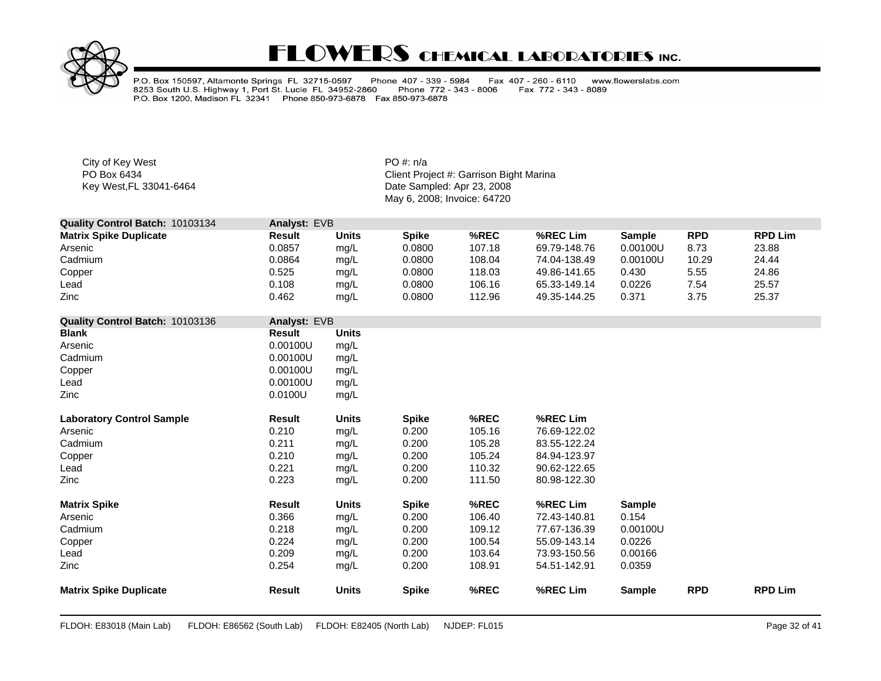

P.O. Box 150597, Altamonte Springs FL 32715-0597 Phone 407 - 339 - 5984<br>8253 South U.S. Highway 1, Port St. Lucie FL 34952-2860 Phone 772 - 343<br>P.O. Box 1200, Madison FL 32341 Phone 850-973-6878 Fax 850-973-6878 Fax 407 - 260 - 6110 www.flowerslabs.com Phone 772 - 343 - 8006 Fax 772 - 343 - 8089

City of Key West **PO** #: n/a

| Quality Control Batch: 10103134  | Analyst: EVB |              |              |        |              |               |            |                |
|----------------------------------|--------------|--------------|--------------|--------|--------------|---------------|------------|----------------|
| <b>Matrix Spike Duplicate</b>    | Result       | Units        | <b>Spike</b> | %REC   | %REC Lim     | <b>Sample</b> | <b>RPD</b> | <b>RPD Lim</b> |
| Arsenic                          | 0.0857       | mg/L         | 0.0800       | 107.18 | 69.79-148.76 | 0.00100U      | 8.73       | 23.88          |
| Cadmium                          | 0.0864       | mg/L         | 0.0800       | 108.04 | 74.04-138.49 | 0.00100U      | 10.29      | 24.44          |
| Copper                           | 0.525        | mg/L         | 0.0800       | 118.03 | 49.86-141.65 | 0.430         | 5.55       | 24.86          |
| Lead                             | 0.108        | mg/L         | 0.0800       | 106.16 | 65.33-149.14 | 0.0226        | 7.54       | 25.57          |
| Zinc                             | 0.462        | mg/L         | 0.0800       | 112.96 | 49.35-144.25 | 0.371         | 3.75       | 25.37          |
| Quality Control Batch: 10103136  | Analyst: EVB |              |              |        |              |               |            |                |
| <b>Blank</b>                     | Result       | <b>Units</b> |              |        |              |               |            |                |
| Arsenic                          | 0.00100U     | mg/L         |              |        |              |               |            |                |
| Cadmium                          | 0.00100U     | mg/L         |              |        |              |               |            |                |
| Copper                           | 0.00100U     | mg/L         |              |        |              |               |            |                |
| Lead                             | 0.00100U     | mg/L         |              |        |              |               |            |                |
| Zinc                             | 0.0100U      | mg/L         |              |        |              |               |            |                |
| <b>Laboratory Control Sample</b> | Result       | <b>Units</b> | <b>Spike</b> | %REC   | %REC Lim     |               |            |                |
| Arsenic                          | 0.210        | mg/L         | 0.200        | 105.16 | 76.69-122.02 |               |            |                |
| Cadmium                          | 0.211        | mg/L         | 0.200        | 105.28 | 83.55-122.24 |               |            |                |
| Copper                           | 0.210        | mg/L         | 0.200        | 105.24 | 84.94-123.97 |               |            |                |
| Lead                             | 0.221        | mg/L         | 0.200        | 110.32 | 90.62-122.65 |               |            |                |
| Zinc                             | 0.223        | mg/L         | 0.200        | 111.50 | 80.98-122.30 |               |            |                |
| <b>Matrix Spike</b>              | Result       | <b>Units</b> | <b>Spike</b> | %REC   | %REC Lim     | <b>Sample</b> |            |                |
| Arsenic                          | 0.366        | mg/L         | 0.200        | 106.40 | 72.43-140.81 | 0.154         |            |                |
| Cadmium                          | 0.218        | mg/L         | 0.200        | 109.12 | 77.67-136.39 | 0.00100U      |            |                |
| Copper                           | 0.224        | mg/L         | 0.200        | 100.54 | 55.09-143.14 | 0.0226        |            |                |
| Lead                             | 0.209        | mg/L         | 0.200        | 103.64 | 73.93-150.56 | 0.00166       |            |                |
| Zinc                             | 0.254        | mg/L         | 0.200        | 108.91 | 54.51-142.91 | 0.0359        |            |                |
| <b>Matrix Spike Duplicate</b>    | Result       | <b>Units</b> | <b>Spike</b> | %REC   | %REC Lim     | <b>Sample</b> | <b>RPD</b> | <b>RPD Lim</b> |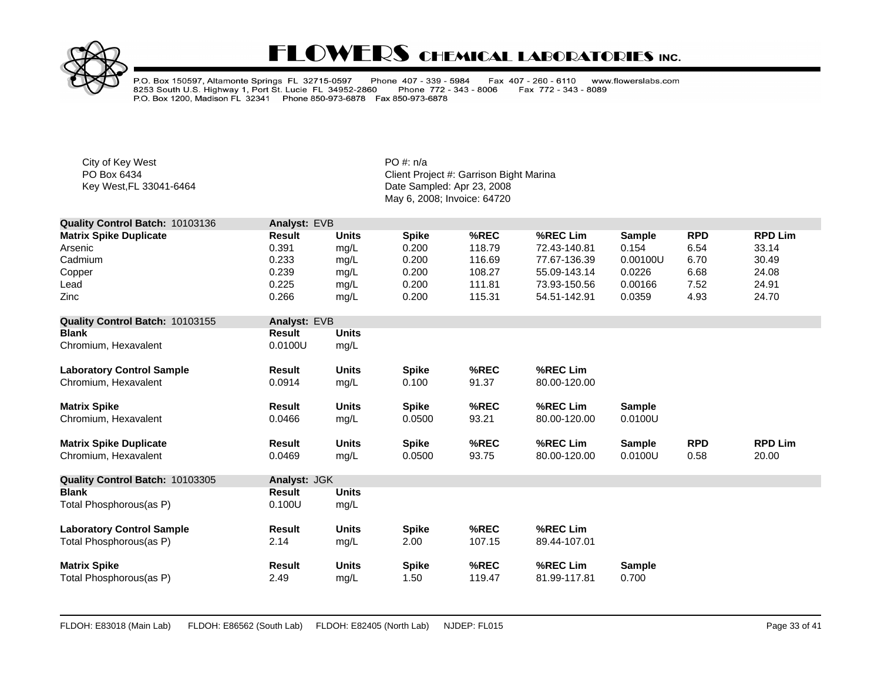

P.O. Box 150597, Altamonte Springs FL 32715-0597 Phone 407 - 339 - 5984<br>8253 South U.S. Highway 1, Port St. Lucie FL 34952-2860 Phone 772 - 343<br>P.O. Box 1200, Madison FL 32341 Phone 850-973-6878 Fax 850-973-6878 Fax 407 - 260 - 6110 www.flowerslabs.com Phone 772 - 343 - 8006 Fax 772 - 343 - 8089

City of Key West **PO** #: n/a

| Quality Control Batch: 10103136  | Analyst: EVB  |              |              |        |              |               |            |                |
|----------------------------------|---------------|--------------|--------------|--------|--------------|---------------|------------|----------------|
| <b>Matrix Spike Duplicate</b>    | Result        | <b>Units</b> | <b>Spike</b> | %REC   | %REC Lim     | <b>Sample</b> | <b>RPD</b> | <b>RPD Lim</b> |
| Arsenic                          | 0.391         | mg/L         | 0.200        | 118.79 | 72.43-140.81 | 0.154         | 6.54       | 33.14          |
| Cadmium                          | 0.233         | mg/L         | 0.200        | 116.69 | 77.67-136.39 | 0.00100U      | 6.70       | 30.49          |
| Copper                           | 0.239         | mg/L         | 0.200        | 108.27 | 55.09-143.14 | 0.0226        | 6.68       | 24.08          |
| Lead                             | 0.225         | mg/L         | 0.200        | 111.81 | 73.93-150.56 | 0.00166       | 7.52       | 24.91          |
| Zinc                             | 0.266         | mg/L         | 0.200        | 115.31 | 54.51-142.91 | 0.0359        | 4.93       | 24.70          |
| Quality Control Batch: 10103155  | Analyst: EVB  |              |              |        |              |               |            |                |
| <b>Blank</b>                     | <b>Result</b> | <b>Units</b> |              |        |              |               |            |                |
| Chromium, Hexavalent             | 0.0100U       | mg/L         |              |        |              |               |            |                |
| <b>Laboratory Control Sample</b> | Result        | <b>Units</b> | <b>Spike</b> | %REC   | %REC Lim     |               |            |                |
| Chromium, Hexavalent             | 0.0914        | mg/L         | 0.100        | 91.37  | 80.00-120.00 |               |            |                |
| <b>Matrix Spike</b>              | Result        | <b>Units</b> | <b>Spike</b> | %REC   | %REC Lim     | <b>Sample</b> |            |                |
| Chromium, Hexavalent             | 0.0466        | mg/L         | 0.0500       | 93.21  | 80.00-120.00 | 0.0100U       |            |                |
| <b>Matrix Spike Duplicate</b>    | Result        | <b>Units</b> | <b>Spike</b> | %REC   | %REC Lim     | <b>Sample</b> | <b>RPD</b> | <b>RPD Lim</b> |
| Chromium, Hexavalent             | 0.0469        | mg/L         | 0.0500       | 93.75  | 80.00-120.00 | 0.0100U       | 0.58       | 20.00          |
| Quality Control Batch: 10103305  | Analyst: JGK  |              |              |        |              |               |            |                |
| <b>Blank</b>                     | Result        | <b>Units</b> |              |        |              |               |            |                |
| Total Phosphorous(as P)          | 0.100U        | mg/L         |              |        |              |               |            |                |
| <b>Laboratory Control Sample</b> | Result        | <b>Units</b> | <b>Spike</b> | %REC   | %REC Lim     |               |            |                |
| Total Phosphorous(as P)          | 2.14          | mg/L         | 2.00         | 107.15 | 89.44-107.01 |               |            |                |
| <b>Matrix Spike</b>              | <b>Result</b> | <b>Units</b> | <b>Spike</b> | %REC   | %REC Lim     | <b>Sample</b> |            |                |
| Total Phosphorous(as P)          | 2.49          | mg/L         | 1.50         | 119.47 | 81.99-117.81 | 0.700         |            |                |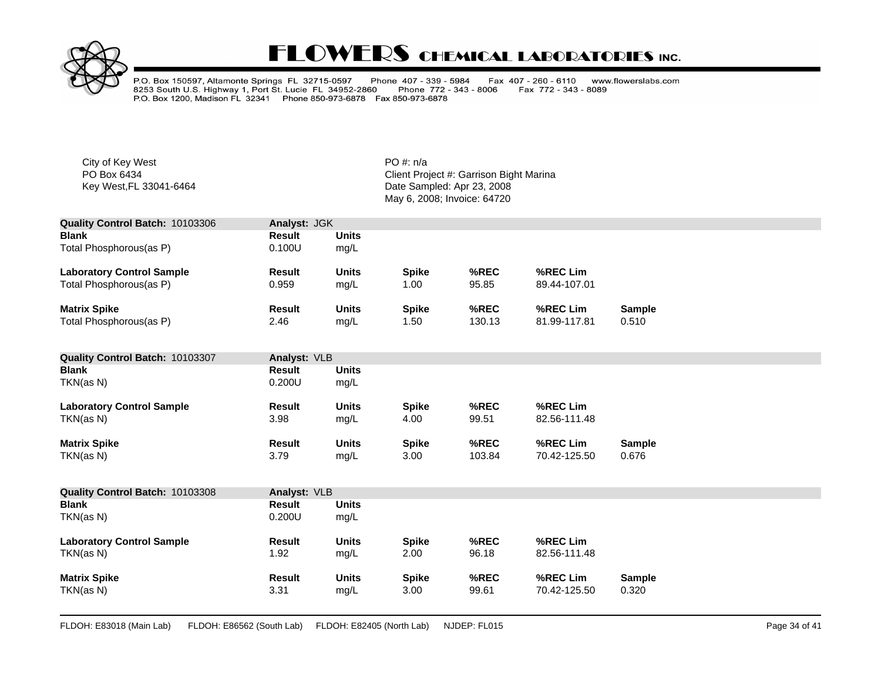

P.O. Box 150597, Altamonte Springs FL 32715-0597 Phone 407 - 339 - 5984<br>8253 South U.S. Highway 1, Port St. Lucie FL 34952-2860 Phone 772 - 343<br>P.O. Box 1200, Madison FL 32341 Phone 850-973-6878 Fax 850-973-6878 Fax 407 - 260 - 6110 www.flowerslabs.com Phone 772 - 343 - 8006 Fax 772 - 343 - 8089

City of Key West **PO** #: n/a

| <b>Quality Control Batch: 10103306</b> | Analyst: JGK  |              |              |        |              |               |
|----------------------------------------|---------------|--------------|--------------|--------|--------------|---------------|
| <b>Blank</b>                           | Result        | <b>Units</b> |              |        |              |               |
| Total Phosphorous(as P)                | 0.100U        | mg/L         |              |        |              |               |
| <b>Laboratory Control Sample</b>       | <b>Result</b> | <b>Units</b> | <b>Spike</b> | %REC   | %REC Lim     |               |
| Total Phosphorous(as P)                | 0.959         | mg/L         | 1.00         | 95.85  | 89.44-107.01 |               |
| <b>Matrix Spike</b>                    | Result        | <b>Units</b> | <b>Spike</b> | %REC   | %REC Lim     | <b>Sample</b> |
| Total Phosphorous(as P)                | 2.46          | mg/L         | 1.50         | 130.13 | 81.99-117.81 | 0.510         |

| <b>Quality Control Batch: 10103307</b> | Analyst: VLB  |              |              |        |              |               |  |
|----------------------------------------|---------------|--------------|--------------|--------|--------------|---------------|--|
| <b>Blank</b>                           | <b>Result</b> | <b>Units</b> |              |        |              |               |  |
| TKN(as N)                              | 0.200U        | mg/L         |              |        |              |               |  |
| <b>Laboratory Control Sample</b>       | <b>Result</b> | <b>Units</b> | <b>Spike</b> | %REC   | %REC Lim     |               |  |
| TKN(as N)                              | 3.98          | mg/L         | 4.00         | 99.51  | 82.56-111.48 |               |  |
| <b>Matrix Spike</b>                    | <b>Result</b> | <b>Units</b> | <b>Spike</b> | %REC   | %REC Lim     | <b>Sample</b> |  |
| TKN(as N)                              | 3.79          | ma/L         | 3.00         | 103.84 | 70.42-125.50 | 0.676         |  |

| <b>Quality Control Batch: 10103308</b> | Analyst: VLB  |              |              |       |              |               |
|----------------------------------------|---------------|--------------|--------------|-------|--------------|---------------|
| <b>Blank</b>                           | <b>Result</b> | <b>Units</b> |              |       |              |               |
| TKN(as N)                              | 0.200U        | mg/L         |              |       |              |               |
| <b>Laboratory Control Sample</b>       | <b>Result</b> | <b>Units</b> | <b>Spike</b> | %REC  | %REC Lim     |               |
| TKN(as N)                              | l.92          | mg/L         | 2.00         | 96.18 | 82.56-111.48 |               |
| <b>Matrix Spike</b>                    | <b>Result</b> | <b>Units</b> | <b>Spike</b> | %REC  | %REC Lim     | <b>Sample</b> |
| TKN(as N)                              | 3.31          | mg/L         | 3.00         | 99.61 | 70.42-125.50 | 0.320         |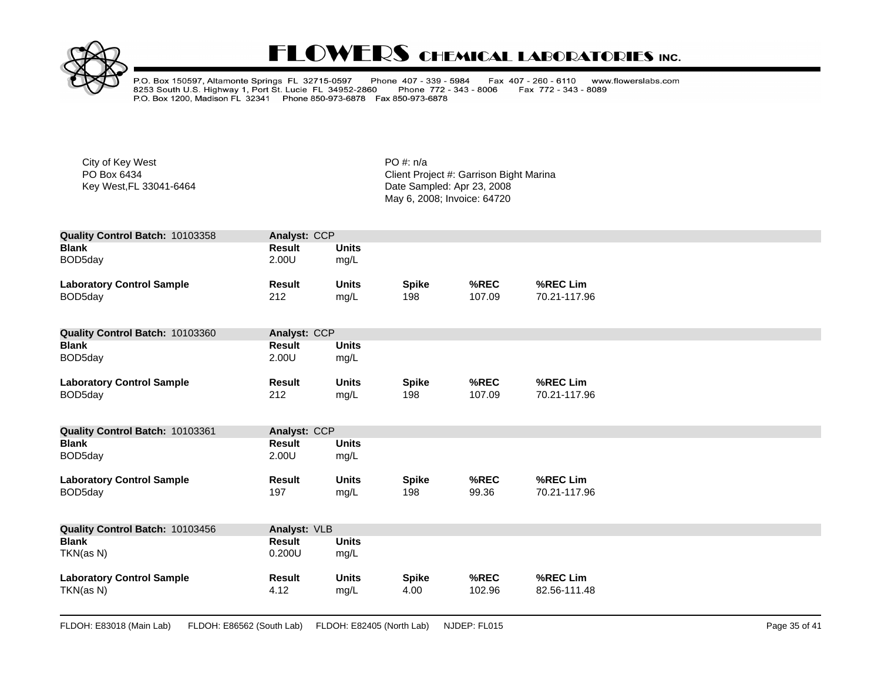

P.O. Box 150597, Altamonte Springs FL 32715-0597 Phone 407 - 339 - 5984<br>8253 South U.S. Highway 1, Port St. Lucie FL 34952-2860 Phone 772 - 343<br>P.O. Box 1200, Madison FL 32341 Phone 850-973-6878 Fax 850-973-6878 Fax 407 - 260 - 6110 www.flowerslabs.com Phone 772 - 343 - 8006 Fax 772 - 343 - 8089

City of Key West **PO** #: n/a

| Quality Control Batch: 10103358  | Analyst: CCP  |              |              |        |              |
|----------------------------------|---------------|--------------|--------------|--------|--------------|
| <b>Blank</b>                     | <b>Result</b> | <b>Units</b> |              |        |              |
| BOD5day                          | 2.00U         | mg/L         |              |        |              |
|                                  |               |              |              |        |              |
| <b>Laboratory Control Sample</b> | Result        | <b>Units</b> | <b>Spike</b> | %REC   | %REC Lim     |
| BOD5day                          | 212           | mg/L         | 198          | 107.09 | 70.21-117.96 |
| Quality Control Batch: 10103360  | Analyst: CCP  |              |              |        |              |
| <b>Blank</b>                     | Result        | <b>Units</b> |              |        |              |
| BOD5day                          | 2.00U         |              |              |        |              |
|                                  |               | mg/L         |              |        |              |
| <b>Laboratory Control Sample</b> | Result        | <b>Units</b> | <b>Spike</b> | %REC   | %REC Lim     |
| BOD5day                          | 212           | mg/L         | 198          | 107.09 | 70.21-117.96 |
|                                  |               |              |              |        |              |
| Quality Control Batch: 10103361  | Analyst: CCP  |              |              |        |              |
| <b>Blank</b>                     | Result        | <b>Units</b> |              |        |              |
| BOD <sub>5day</sub>              | 2.00U         | mg/L         |              |        |              |
|                                  |               |              |              |        |              |
| <b>Laboratory Control Sample</b> | Result        | <b>Units</b> | <b>Spike</b> | %REC   | %REC Lim     |
| BOD5day                          | 197           | mg/L         | 198          | 99.36  | 70.21-117.96 |
|                                  |               |              |              |        |              |
| Quality Control Batch: 10103456  | Analyst: VLB  |              |              |        |              |
| <b>Blank</b>                     | Result        | <b>Units</b> |              |        |              |
| TKN(as N)                        | 0.200U        | mg/L         |              |        |              |
|                                  |               |              |              |        |              |
| <b>Laboratory Control Sample</b> | <b>Result</b> | <b>Units</b> | <b>Spike</b> | %REC   | %REC Lim     |
| TKN(as N)                        | 4.12          | mg/L         | 4.00         | 102.96 | 82.56-111.48 |
|                                  |               |              |              |        |              |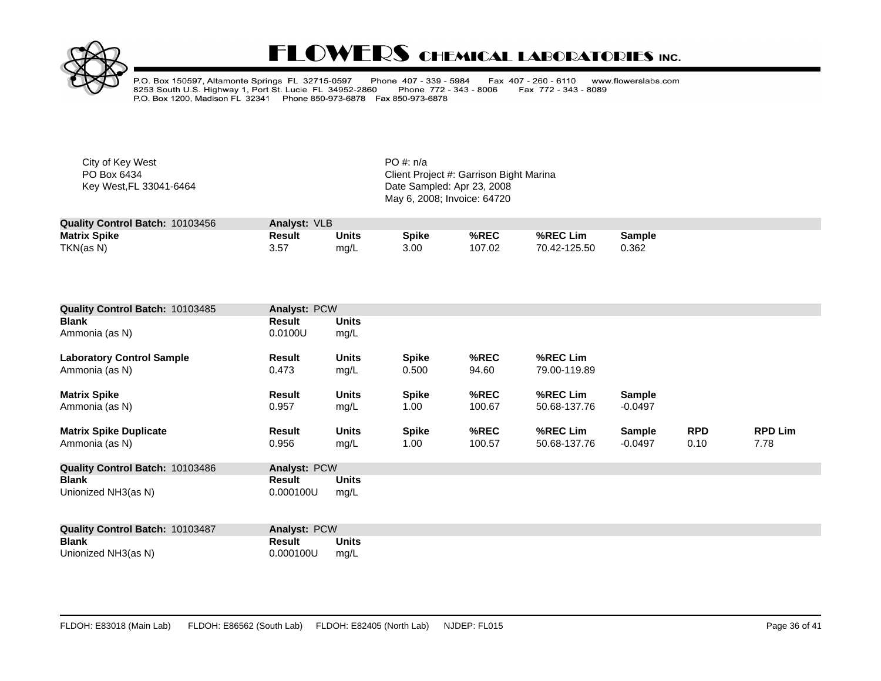

P.O. Box 150597, Altamonte Springs FL 32715-0597 Phone 407 - 339 - 5984<br>8253 South U.S. Highway 1, Port St. Lucie FL 34952-2860 Phone 772 - 343<br>P.O. Box 1200, Madison FL 32341 Phone 850-973-6878 Fax 850-973-6878 Fax 407 - 260 - 6110 www.flowerslabs.com Phone 772 - 343 - 8006 Fax 772 - 343 - 8089

City of Key West **PO** #: n/a

PO Box 6434<br>
Rey West, FL 33041-6464<br>
Key West, FL 33041-6464<br>
Client Project #: Garrison Bight Marina Date Sampled: Apr 23, 2008 May 6, 2008; Invoice: 64720

| <b>Quality Control Batch: 10103456</b> | Analyst: VLB  |       |       |        |              |               |
|----------------------------------------|---------------|-------|-------|--------|--------------|---------------|
| <b>Matrix Spike</b>                    | <b>Result</b> | Units | Spike | %REC   | %REC Lim     | <b>Sample</b> |
| TKN(as N)                              | 3.57          | ma/L  | 3.00  | 107.02 | 70.42-125.50 | 0.362         |

| Quality Control Batch: 10103485        | <b>Analyst: PCW</b> |              |              |        |              |               |            |                |
|----------------------------------------|---------------------|--------------|--------------|--------|--------------|---------------|------------|----------------|
| Blank                                  | Result              | <b>Units</b> |              |        |              |               |            |                |
| Ammonia (as N)                         | 0.0100U             | mg/L         |              |        |              |               |            |                |
| <b>Laboratory Control Sample</b>       | Result              | <b>Units</b> | <b>Spike</b> | %REC   | %REC Lim     |               |            |                |
| Ammonia (as N)                         | 0.473               | mg/L         | 0.500        | 94.60  | 79.00-119.89 |               |            |                |
| <b>Matrix Spike</b>                    | Result              | <b>Units</b> | <b>Spike</b> | %REC   | %REC Lim     | <b>Sample</b> |            |                |
| Ammonia (as N)                         | 0.957               | mg/L         | 1.00         | 100.67 | 50.68-137.76 | $-0.0497$     |            |                |
| <b>Matrix Spike Duplicate</b>          | Result              | <b>Units</b> | <b>Spike</b> | %REC   | %REC Lim     | <b>Sample</b> | <b>RPD</b> | <b>RPD Lim</b> |
| Ammonia (as N)                         | 0.956               | mg/L         | 1.00         | 100.57 | 50.68-137.76 | $-0.0497$     | 0.10       | 7.78           |
| Quality Control Batch: 10103486        | Analyst: PCW        |              |              |        |              |               |            |                |
| <b>Blank</b>                           | Result              | <b>Units</b> |              |        |              |               |            |                |
| Unionized NH3(as N)                    | 0.000100U           | mg/L         |              |        |              |               |            |                |
| <b>Quality Control Batch: 10103487</b> | Analyst: PCW        |              |              |        |              |               |            |                |
| <b>Blank</b>                           | Result              | <b>Units</b> |              |        |              |               |            |                |

Unionized NH3(as N) 0.000100U mg/L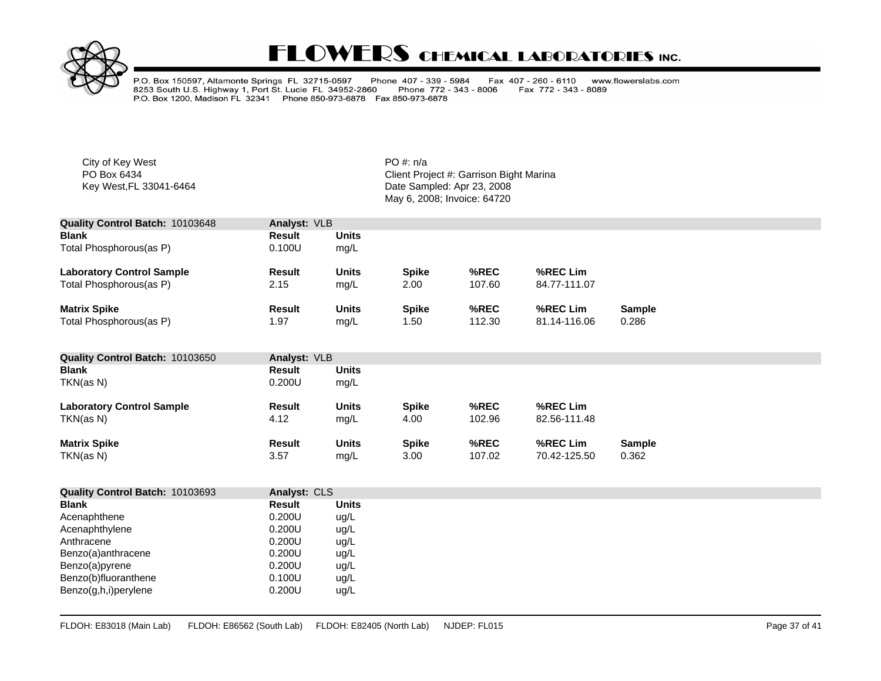

P.O. Box 150597, Altamonte Springs FL 32715-0597 Phone 407 - 339 - 5984<br>8253 South U.S. Highway 1, Port St. Lucie FL 34952-2860 Phone 772 - 343<br>P.O. Box 1200, Madison FL 32341 Phone 850-973-6878 Fax 850-973-6878 Fax 407 - 260 - 6110 www.flowerslabs.com Phone 772 - 343 - 8006 Fax 772 - 343 - 8089

City of Key West **PO** #: n/a

| Quality Control Batch: 10103648  | Analyst: VLB  |              |              |        |              |               |
|----------------------------------|---------------|--------------|--------------|--------|--------------|---------------|
| <b>Blank</b>                     | <b>Result</b> | <b>Units</b> |              |        |              |               |
| Total Phosphorous(as P)          | 0.100U        | mg/L         |              |        |              |               |
| <b>Laboratory Control Sample</b> | <b>Result</b> | <b>Units</b> | <b>Spike</b> | %REC   | %REC Lim     |               |
| Total Phosphorous(as P)          | 2.15          | mg/L         | 2.00         | 107.60 | 84.77-111.07 |               |
| <b>Matrix Spike</b>              | <b>Result</b> | <b>Units</b> | <b>Spike</b> | %REC   | %REC Lim     | <b>Sample</b> |
| Total Phosphorous(as P)          | 1.97          | mg/L         | 1.50         | 112.30 | 81.14-116.06 | 0.286         |

| <b>Quality Control Batch: 10103650</b> | <b>Analyst: VLB</b> |              |              |        |              |               |  |
|----------------------------------------|---------------------|--------------|--------------|--------|--------------|---------------|--|
| <b>Blank</b>                           | <b>Result</b>       | <b>Units</b> |              |        |              |               |  |
| TKN(as N)                              | 0.200U              | mg/L         |              |        |              |               |  |
| <b>Laboratory Control Sample</b>       | <b>Result</b>       | <b>Units</b> | <b>Spike</b> | %REC   | %REC Lim     |               |  |
| TKN(as N)                              | 4.12                | mq/L         | 4.00         | 102.96 | 82.56-111.48 |               |  |
| <b>Matrix Spike</b>                    | <b>Result</b>       | <b>Units</b> | <b>Spike</b> | %REC   | %REC Lim     | <b>Sample</b> |  |
| TKN(as N)                              | 3.57                | mq/L         | 3.00         | 107.02 | 70.42-125.50 | 0.362         |  |

| Quality Control Batch: 10103693 | Analyst: CLS |              |
|---------------------------------|--------------|--------------|
| <b>Blank</b>                    | Result       | <b>Units</b> |
| Acenaphthene                    | 0.200U       | uq/L         |
| Acenaphthylene                  | 0.200U       | ug/L         |
| Anthracene                      | 0.200U       | uq/L         |
| Benzo(a)anthracene              | 0.200U       | uq/L         |
| Benzo(a)pyrene                  | 0.200U       | ug/L         |
| Benzo(b)fluoranthene            | 0.100U       | uq/L         |
| Benzo(g,h,i)perylene            | 0.200U       | ug/L         |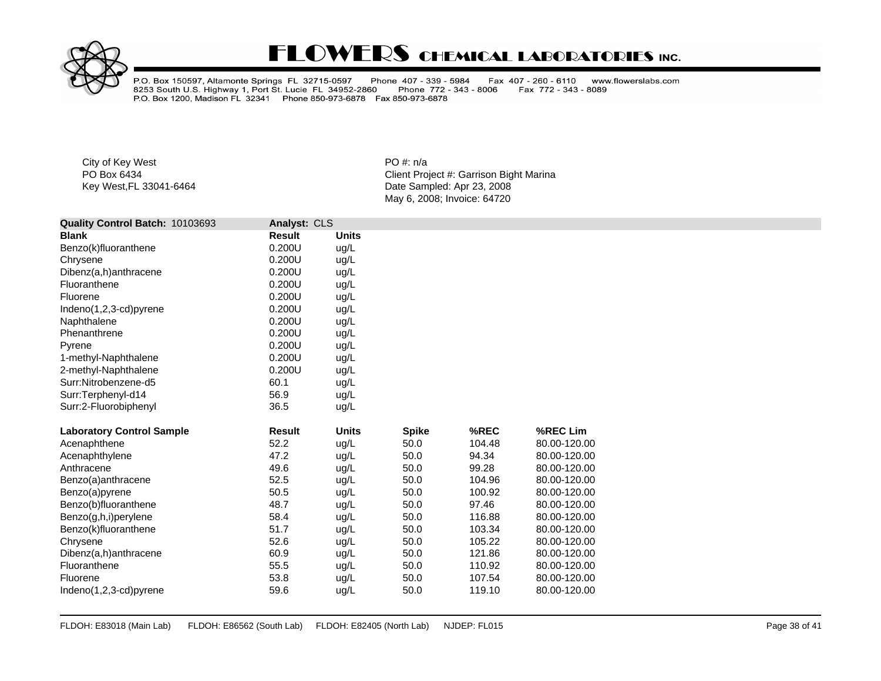

P.O. Box 150597, Altamonte Springs FL 32715-0597 Phone 407 - 339 - 5984<br>8253 South U.S. Highway 1, Port St. Lucie FL 34952-2860 Phone 772 - 343<br>P.O. Box 1200, Madison FL 32341 Phone 850-973-6878 Fax 850-973-6878 Fax 407 - 260 - 6110 www.flowerslabs.com Phone 772 - 343 - 8006 Fax 772 - 343 - 8089

City of Key West **PO** #: n/a

| <b>Quality Control Batch: 10103693</b> | Analyst: CLS  |              |              |        |              |
|----------------------------------------|---------------|--------------|--------------|--------|--------------|
| <b>Blank</b>                           | <b>Result</b> | <b>Units</b> |              |        |              |
| Benzo(k)fluoranthene                   | 0.200U        | ug/L         |              |        |              |
| Chrysene                               | 0.200U        | ug/L         |              |        |              |
| Dibenz(a,h)anthracene                  | 0.200U        | ug/L         |              |        |              |
| Fluoranthene                           | 0.200U        | ug/L         |              |        |              |
| Fluorene                               | 0.200U        | ug/L         |              |        |              |
| Indeno(1,2,3-cd)pyrene                 | 0.200U        | ug/L         |              |        |              |
| Naphthalene                            | 0.200U        | ug/L         |              |        |              |
| Phenanthrene                           | 0.200U        | ug/L         |              |        |              |
| Pyrene                                 | 0.200U        | ug/L         |              |        |              |
| 1-methyl-Naphthalene                   | 0.200U        | ug/L         |              |        |              |
| 2-methyl-Naphthalene                   | 0.200U        | ug/L         |              |        |              |
| Surr:Nitrobenzene-d5                   | 60.1          | ug/L         |              |        |              |
| Surr:Terphenyl-d14                     | 56.9          | ug/L         |              |        |              |
| Surr:2-Fluorobiphenyl                  | 36.5          | ug/L         |              |        |              |
| <b>Laboratory Control Sample</b>       | <b>Result</b> | <b>Units</b> | <b>Spike</b> | %REC   | %REC Lim     |
| Acenaphthene                           | 52.2          | ug/L         | 50.0         | 104.48 | 80.00-120.00 |
| Acenaphthylene                         | 47.2          | ug/L         | 50.0         | 94.34  | 80.00-120.00 |
| Anthracene                             | 49.6          | ug/L         | 50.0         | 99.28  | 80.00-120.00 |
| Benzo(a)anthracene                     | 52.5          | ug/L         | 50.0         | 104.96 | 80.00-120.00 |
| Benzo(a)pyrene                         | 50.5          | ug/L         | 50.0         | 100.92 | 80.00-120.00 |
| Benzo(b)fluoranthene                   | 48.7          | ug/L         | 50.0         | 97.46  | 80.00-120.00 |
| Benzo(g,h,i)perylene                   | 58.4          | ug/L         | 50.0         | 116.88 | 80.00-120.00 |
| Benzo(k)fluoranthene                   | 51.7          | ug/L         | 50.0         | 103.34 | 80.00-120.00 |
| Chrysene                               | 52.6          | ug/L         | 50.0         | 105.22 | 80.00-120.00 |
| Dibenz(a,h)anthracene                  | 60.9          | ug/L         | 50.0         | 121.86 | 80.00-120.00 |
| Fluoranthene                           | 55.5          | ug/L         | 50.0         | 110.92 | 80.00-120.00 |
| Fluorene                               | 53.8          | ug/L         | 50.0         | 107.54 | 80.00-120.00 |
| Indeno(1,2,3-cd)pyrene                 | 59.6          | ug/L         | 50.0         | 119.10 | 80.00-120.00 |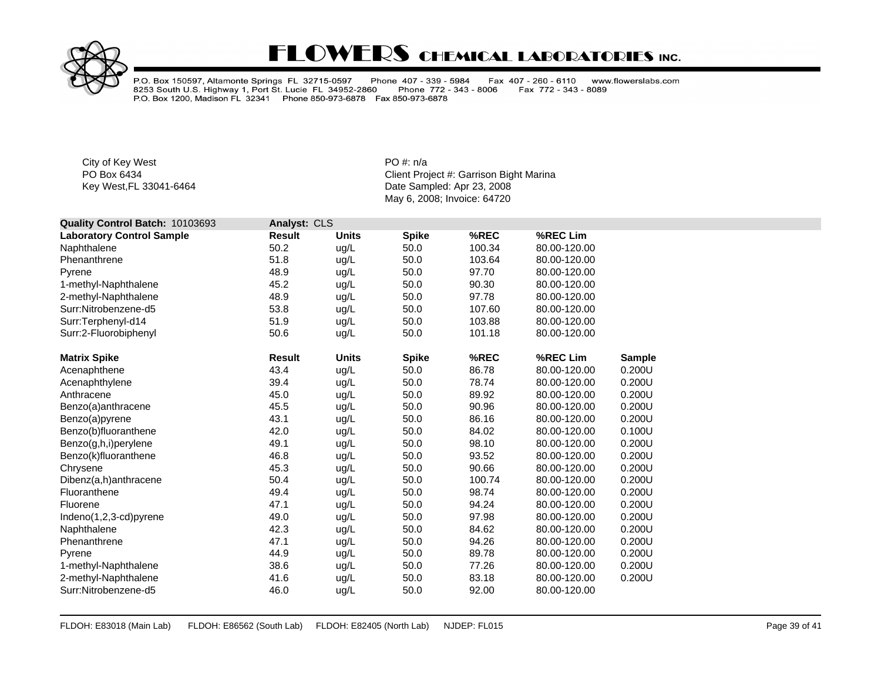

P.O. Box 150597, Altamonte Springs FL 32715-0597 Phone 407 - 339 - 5984<br>8253 South U.S. Highway 1, Port St. Lucie FL 34952-2860 Phone 772 - 343<br>P.O. Box 1200, Madison FL 32341 Phone 850-973-6878 Fax 850-973-6878 Fax 407 - 260 - 6110 www.flowerslabs.com Phone 772 - 343 - 8006 Fax 772 - 343 - 8089

City of Key West **PO** #: n/a

| <b>Result</b> | <b>Units</b> | <b>Spike</b>                                                         | %REC   | %REC Lim     |               |
|---------------|--------------|----------------------------------------------------------------------|--------|--------------|---------------|
| 50.2          | ug/L         | 50.0                                                                 | 100.34 | 80.00-120.00 |               |
| 51.8          | ug/L         | 50.0                                                                 | 103.64 | 80.00-120.00 |               |
| 48.9          | ug/L         | 50.0                                                                 | 97.70  | 80.00-120.00 |               |
| 45.2          | ug/L         | 50.0                                                                 | 90.30  | 80.00-120.00 |               |
| 48.9          | ug/L         | 50.0                                                                 | 97.78  | 80.00-120.00 |               |
| 53.8          | ug/L         | 50.0                                                                 | 107.60 | 80.00-120.00 |               |
| 51.9          | ug/L         | 50.0                                                                 | 103.88 | 80.00-120.00 |               |
| 50.6          | ug/L         | 50.0                                                                 | 101.18 | 80.00-120.00 |               |
| <b>Result</b> | <b>Units</b> | <b>Spike</b>                                                         | %REC   | %REC Lim     | <b>Sample</b> |
| 43.4          | ug/L         | 50.0                                                                 | 86.78  | 80.00-120.00 | 0.200U        |
| 39.4          | ug/L         | 50.0                                                                 | 78.74  | 80.00-120.00 | 0.200U        |
| 45.0          | ug/L         | 50.0                                                                 | 89.92  | 80.00-120.00 | 0.200U        |
| 45.5          | ug/L         | 50.0                                                                 | 90.96  | 80.00-120.00 | 0.200U        |
| 43.1          | ug/L         | 50.0                                                                 | 86.16  | 80.00-120.00 | 0.200U        |
| 42.0          |              | 50.0                                                                 | 84.02  | 80.00-120.00 | 0.100U        |
| 49.1          | ug/L         | 50.0                                                                 | 98.10  | 80.00-120.00 | 0.200U        |
| 46.8          | ug/L         | 50.0                                                                 | 93.52  | 80.00-120.00 | 0.200U        |
| 45.3          |              | 50.0                                                                 | 90.66  | 80.00-120.00 | 0.200U        |
| 50.4          |              | 50.0                                                                 | 100.74 | 80.00-120.00 | 0.200U        |
| 49.4          | ug/L         | 50.0                                                                 | 98.74  | 80.00-120.00 | 0.200U        |
| 47.1          |              | 50.0                                                                 | 94.24  | 80.00-120.00 | 0.200U        |
| 49.0          | ug/L         | 50.0                                                                 | 97.98  | 80.00-120.00 | 0.200U        |
| 42.3          | ug/L         | 50.0                                                                 | 84.62  | 80.00-120.00 | 0.200U        |
| 47.1          |              | 50.0                                                                 | 94.26  | 80.00-120.00 | 0.200U        |
| 44.9          |              | 50.0                                                                 | 89.78  | 80.00-120.00 | 0.200U        |
| 38.6          | ug/L         | 50.0                                                                 | 77.26  | 80.00-120.00 | 0.200U        |
| 41.6          |              | 50.0                                                                 | 83.18  | 80.00-120.00 | 0.200U        |
| 46.0          | ug/L         | 50.0                                                                 | 92.00  | 80.00-120.00 |               |
|               |              | Analyst: CLS<br>ug/L<br>ug/L<br>ug/L<br>ug/L<br>ug/L<br>ug/L<br>ug/L |        |              |               |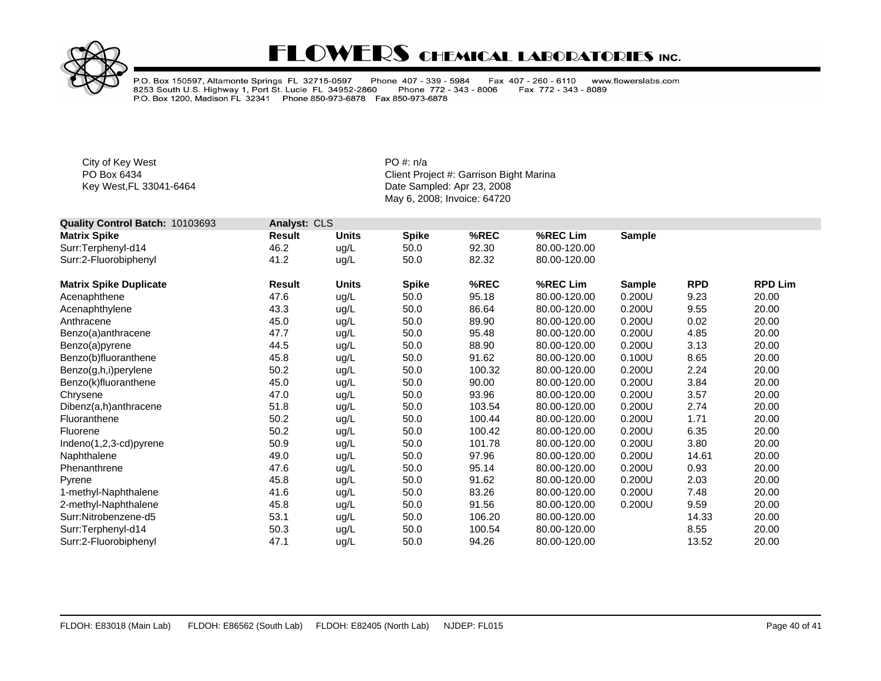

P.O. Box 150597, Altamonte Springs FL 32715-0597 Phone 407 - 339 - 5984<br>8253 South U.S. Highway 1, Port St. Lucie FL 34952-2860 Phone 772 - 343<br>P.O. Box 1200, Madison FL 32341 Phone 850-973-6878 Fax 850-973-6878 Fax 407 - 260 - 6110 www.flowerslabs.com Phone 772 - 343 - 8006 Fax 772 - 343 - 8089

City of Key West **PO** #: n/a

| Quality Control Batch: 10103693 | Analyst: CLS  |              |              |        |              |               |            |                |
|---------------------------------|---------------|--------------|--------------|--------|--------------|---------------|------------|----------------|
| <b>Matrix Spike</b>             | Result        | <b>Units</b> | <b>Spike</b> | %REC   | %REC Lim     | <b>Sample</b> |            |                |
| Surr:Terphenyl-d14              | 46.2          | ug/L         | 50.0         | 92.30  | 80.00-120.00 |               |            |                |
| Surr:2-Fluorobiphenyl           | 41.2          | ug/L         | 50.0         | 82.32  | 80.00-120.00 |               |            |                |
| <b>Matrix Spike Duplicate</b>   | <b>Result</b> | <b>Units</b> | <b>Spike</b> | %REC   | %REC Lim     | <b>Sample</b> | <b>RPD</b> | <b>RPD Lim</b> |
| Acenaphthene                    | 47.6          | ug/L         | 50.0         | 95.18  | 80.00-120.00 | 0.200U        | 9.23       | 20.00          |
| Acenaphthylene                  | 43.3          | ug/L         | 50.0         | 86.64  | 80.00-120.00 | 0.200U        | 9.55       | 20.00          |
| Anthracene                      | 45.0          | ug/L         | 50.0         | 89.90  | 80.00-120.00 | 0.200U        | 0.02       | 20.00          |
| Benzo(a)anthracene              | 47.7          | ug/L         | 50.0         | 95.48  | 80.00-120.00 | 0.200U        | 4.85       | 20.00          |
| Benzo(a)pyrene                  | 44.5          | ug/L         | 50.0         | 88.90  | 80.00-120.00 | 0.200U        | 3.13       | 20.00          |
| Benzo(b)fluoranthene            | 45.8          | ug/L         | 50.0         | 91.62  | 80.00-120.00 | 0.100U        | 8.65       | 20.00          |
| Benzo(g,h,i)perylene            | 50.2          | ug/L         | 50.0         | 100.32 | 80.00-120.00 | 0.200U        | 2.24       | 20.00          |
| Benzo(k)fluoranthene            | 45.0          | ug/L         | 50.0         | 90.00  | 80.00-120.00 | $0.200$ U     | 3.84       | 20.00          |
| Chrysene                        | 47.0          | ug/L         | 50.0         | 93.96  | 80.00-120.00 | 0.200U        | 3.57       | 20.00          |
| Dibenz(a,h)anthracene           | 51.8          | ug/L         | 50.0         | 103.54 | 80.00-120.00 | 0.200U        | 2.74       | 20.00          |
| Fluoranthene                    | 50.2          | ug/L         | 50.0         | 100.44 | 80.00-120.00 | 0.200U        | 1.71       | 20.00          |
| Fluorene                        | 50.2          | ug/L         | 50.0         | 100.42 | 80.00-120.00 | 0.200U        | 6.35       | 20.00          |
| Indeno(1,2,3-cd)pyrene          | 50.9          | ug/L         | 50.0         | 101.78 | 80.00-120.00 | 0.200U        | 3.80       | 20.00          |
| Naphthalene                     | 49.0          | ug/L         | 50.0         | 97.96  | 80.00-120.00 | 0.200U        | 14.61      | 20.00          |
| Phenanthrene                    | 47.6          | ug/L         | 50.0         | 95.14  | 80.00-120.00 | 0.200U        | 0.93       | 20.00          |
| Pyrene                          | 45.8          | ug/L         | 50.0         | 91.62  | 80.00-120.00 | 0.200U        | 2.03       | 20.00          |
| 1-methyl-Naphthalene            | 41.6          | ug/L         | 50.0         | 83.26  | 80.00-120.00 | 0.200U        | 7.48       | 20.00          |
| 2-methyl-Naphthalene            | 45.8          | ug/L         | 50.0         | 91.56  | 80.00-120.00 | 0.200U        | 9.59       | 20.00          |
| Surr:Nitrobenzene-d5            | 53.1          | ug/L         | 50.0         | 106.20 | 80.00-120.00 |               | 14.33      | 20.00          |
| Surr:Terphenyl-d14              | 50.3          | ug/L         | 50.0         | 100.54 | 80.00-120.00 |               | 8.55       | 20.00          |
| Surr:2-Fluorobiphenyl           | 47.1          | ug/L         | 50.0         | 94.26  | 80.00-120.00 |               | 13.52      | 20.00          |